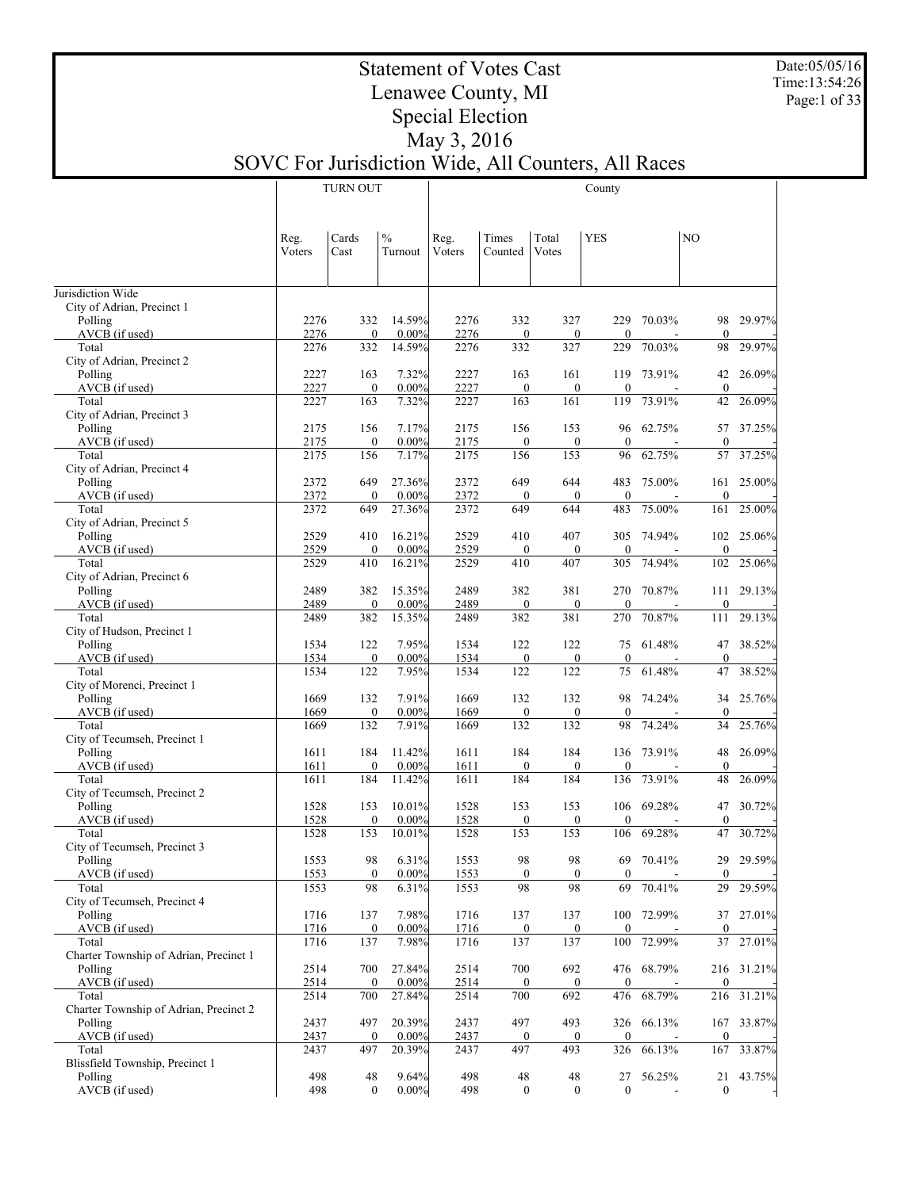Date:05/05/16 Time:13:54:26 Page:1 of 33

Τ

## Statement of Votes Cast Lenawee County, MI Special Election May 3, 2016

SOVC For Jurisdiction Wide, All Counters, All Races

|                                                   |                | <b>TURN OUT</b>         |                          |                |                     |                     | County              |            |                     |            |
|---------------------------------------------------|----------------|-------------------------|--------------------------|----------------|---------------------|---------------------|---------------------|------------|---------------------|------------|
|                                                   | Reg.<br>Voters | Cards<br>Cast           | $\frac{0}{0}$<br>Turnout | Reg.<br>Voters | Times<br>Counted    | Total<br>Votes      | <b>YES</b>          |            | N <sub>O</sub>      |            |
| Jurisdiction Wide                                 |                |                         |                          |                |                     |                     |                     |            |                     |            |
| City of Adrian, Precinct 1                        |                |                         |                          |                |                     |                     |                     |            |                     |            |
| Polling                                           | 2276           | 332                     | 14.59%                   | 2276           | 332                 | 327                 | 229                 | 70.03%     | 98<br>$\theta$      | 29.97%     |
| AVCB (if used)<br>Total                           | 2276<br>2276   | $\boldsymbol{0}$<br>332 | $0.00\%$<br>14.59%       | 2276<br>2276   | $\mathbf{0}$<br>332 | $\mathbf{0}$<br>327 | $\mathbf{0}$<br>229 | 70.03%     | 98                  | 29.97%     |
| City of Adrian, Precinct 2                        |                |                         |                          |                |                     |                     |                     |            |                     |            |
| Polling                                           | 2227           | 163                     | 7.32%                    | 2227           | 163                 | 161                 | 119                 | 73.91%     | 42                  | 26.09%     |
| AVCB (if used)                                    | 2227           | $\boldsymbol{0}$        | $0.00\%$                 | 2227           | $\mathbf{0}$        | $\boldsymbol{0}$    | $\theta$            |            | $\mathbf{0}$        |            |
| Total                                             | 2227           | 163                     | 7.32%                    | 2227           | 163                 | 161                 | 119                 | 73.91%     | 42                  | 26.09%     |
| City of Adrian, Precinct 3<br>Polling             | 2175           | 156                     | 7.17%                    | 2175           | 156                 | 153                 | 96                  | 62.75%     | 57                  | 37.25%     |
| AVCB (if used)                                    | 2175           | $\boldsymbol{0}$        | $0.00\%$                 | 2175           | $\mathbf{0}$        | $\mathbf{0}$        | $\mathbf{0}$        |            | $\mathbf{0}$        |            |
| Total                                             | 2175           | 156                     | 7.17%                    | 2175           | 156                 | 153                 | 96                  | 62.75%     | 57                  | 37.25%     |
| City of Adrian, Precinct 4                        |                |                         |                          |                |                     |                     |                     |            |                     |            |
| Polling                                           | 2372           | 649                     | 27.36%                   | 2372           | 649                 | 644                 | 483                 | 75.00%     | 161                 | 25.00%     |
| AVCB (if used)<br>Total                           | 2372<br>2372   | $\mathbf{0}$<br>649     | $0.00\%$<br>27.36%       | 2372<br>2372   | $\mathbf{0}$<br>649 | $\mathbf{0}$<br>644 | $\mathbf{0}$<br>483 | 75.00%     | $\theta$<br>161     | $25.00\%$  |
| City of Adrian, Precinct 5                        |                |                         |                          |                |                     |                     |                     |            |                     |            |
| Polling                                           | 2529           | 410                     | 16.21%                   | 2529           | 410                 | 407                 | 305                 | 74.94%     | 102                 | 25.06%     |
| AVCB (if used)                                    | 2529           | $\mathbf{0}$            | $0.00\%$                 | 2529           | $\mathbf{0}$        | $\mathbf{0}$        | $\mathbf{0}$        |            | $\theta$            |            |
| Total                                             | 2529           | 410                     | 16.21%                   | 2529           | 410                 | 407                 | 305                 | 74.94%     | 102                 | 25.06%     |
| City of Adrian, Precinct 6                        |                |                         |                          |                |                     |                     |                     |            |                     |            |
| Polling<br>AVCB (if used)                         | 2489<br>2489   | 382<br>$\mathbf{0}$     | 15.35%<br>$0.00\%$       | 2489<br>2489   | 382<br>$\mathbf{0}$ | 381<br>$\mathbf{0}$ | 270<br>$\mathbf{0}$ | 70.87%     | 111<br>$\mathbf{0}$ | 29.13%     |
| Total                                             | 2489           | 382                     | 15.35%                   | 2489           | 382                 | 381                 | 270                 | 70.87%     | 111                 | 29.13%     |
| City of Hudson, Precinct 1                        |                |                         |                          |                |                     |                     |                     |            |                     |            |
| Polling                                           | 1534           | 122                     | 7.95%                    | 1534           | 122                 | 122                 | 75                  | 61.48%     | 47                  | 38.52%     |
| AVCB (if used)                                    | 1534           | $\boldsymbol{0}$        | $0.00\%$                 | 1534           | $\mathbf{0}$        | $\mathbf{0}$        | $\mathbf{0}$        |            | $\mathbf{0}$        |            |
| Total                                             | 1534           | 122                     | 7.95%                    | 1534           | 122                 | 122                 | 75                  | 61.48%     | 47                  | 38.52%     |
| City of Morenci, Precinct 1<br>Polling            | 1669           | 132                     | 7.91%                    | 1669           | 132                 | 132                 | 98                  | 74.24%     | 34                  | 25.76%     |
| AVCB (if used)                                    | 1669           | $\boldsymbol{0}$        | $0.00\%$                 | 1669           | $\mathbf{0}$        | $\mathbf{0}$        | $\mathbf{0}$        |            | $\mathbf{0}$        |            |
| Total                                             | 1669           | 132                     | 7.91%                    | 1669           | 132                 | 132                 | 98                  | 74.24%     | 34                  | 25.76%     |
| City of Tecumseh, Precinct 1                      |                |                         |                          |                |                     |                     |                     |            |                     |            |
| Polling                                           | 1611           | 184                     | 11.42%                   | 1611           | 184                 | 184                 | 136                 | 73.91%     | 48                  | 26.09%     |
| AVCB (if used)                                    | 1611           | $\boldsymbol{0}$        | 0.00%                    | 1611           | $\mathbf{0}$        | $\mathbf{0}$        | $\theta$            |            | $\mathbf{0}$        |            |
| Total<br>City of Tecumseh, Precinct 2             | 1611           | 184                     | 11.42%                   | 1611           | 184                 | 184                 | 136                 | 73.91%     | 48                  | 26.09%     |
| Polling                                           | 1528           | 153                     | 10.01%                   | 1528           | 153                 | 153                 | 106                 | 69.28%     | 47                  | 30.72%     |
| AVCB (if used)                                    | 1528           | $\mathbf{0}$            | $0.00\%$                 | 1528           | $\mathbf{0}$        | $\mathbf{0}$        | $\theta$            |            | $\theta$            |            |
| Total                                             | 1528           | 153                     | 10.01%                   | 1528           | 153                 | 153                 | 106                 | 69.28%     | 47                  | 30.72%     |
| City of Tecumseh, Precinct 3                      |                |                         |                          |                |                     |                     |                     |            |                     |            |
| Polling<br>AVCB (if used)                         | 1553<br>1553   | 98<br>$\boldsymbol{0}$  | 6.31%<br>0.00%           | 1553<br>1553   | 98<br>$\mathbf{0}$  | 98<br>$\mathbf{0}$  | 69<br>$\mathbf{0}$  | 70.41%     | 29<br>$\mathbf{0}$  | 29.59%     |
| Total                                             | 1553           | 98                      | 6.31%                    | 1553           | 98                  | 98                  | 69                  | 70.41%     | 29                  | 29.59%     |
| City of Tecumseh, Precinct 4                      |                |                         |                          |                |                     |                     |                     |            |                     |            |
| Polling                                           | 1716           | 137                     | 7.98%                    | 1716           | 137                 | 137                 | 100                 | 72.99%     | 37                  | 27.01%     |
| AVCB (if used)                                    | 1716           | $\boldsymbol{0}$        | 0.00%                    | 1716           | $\bf{0}$            | $\bf{0}$            | $\boldsymbol{0}$    |            | $\boldsymbol{0}$    |            |
| Total                                             | 1716           | 137                     | 7.98%                    | 1716           | 137                 | 137                 | 100                 | 72.99%     | 37                  | 27.01%     |
| Charter Township of Adrian, Precinct 1<br>Polling | 2514           | 700                     | 27.84%                   | 2514           | 700                 | 692                 |                     | 476 68.79% |                     | 216 31.21% |
| AVCB (if used)                                    | 2514           | $\mathbf{0}$            | 0.00%                    | 2514           | $\bf{0}$            | $\bf{0}$            | $\bf{0}$            |            | $\mathbf{0}$        |            |
| Total                                             | 2514           | 700                     | 27.84%                   | 2514           | 700                 | 692                 | 476                 | 68.79%     | 216                 | 31.21%     |
| Charter Township of Adrian, Precinct 2            |                |                         |                          |                |                     |                     |                     |            |                     |            |
| Polling                                           | 2437           | 497                     | 20.39%                   | 2437           | 497                 | 493                 |                     | 326 66.13% | 167                 | 33.87%     |
| AVCB (if used)                                    | 2437           | $\boldsymbol{0}$        | $0.00\%$                 | 2437           | $\bf{0}$            | $\bf{0}$            | $\bf{0}$            |            | $\mathbf{0}$        |            |
| Total<br>Blissfield Township, Precinct 1          | 2437           | 497                     | 20.39%                   | 2437           | 497                 | 493                 | 326                 | 66.13%     | 167                 | 33.87%     |
| Polling                                           | 498            | 48                      | 9.64%                    | 498            | 48                  | 48                  | 27                  | 56.25%     | 21                  | 43.75%     |
| AVCB (if used)                                    | 498            | $\boldsymbol{0}$        | $0.00\%$                 | 498            | $\bf{0}$            | $\boldsymbol{0}$    | $\boldsymbol{0}$    |            | $\boldsymbol{0}$    |            |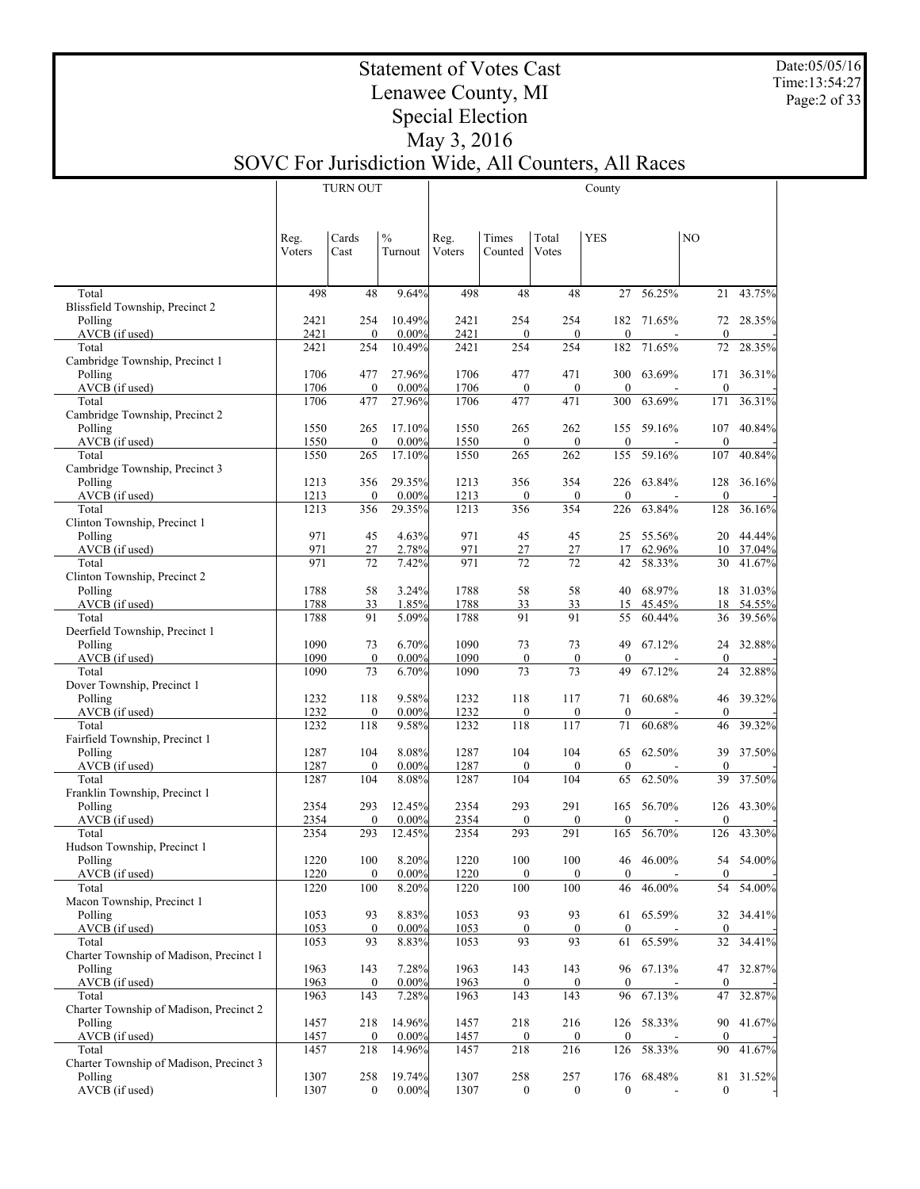Date:05/05/16 Time:13:54:27 Page:2 of 33

 $\overline{\phantom{a}}$ 

#### Statement of Votes Cast Lenawee County, MI Special Election May 3, 2016

# SOVC For Jurisdiction Wide, All Counters, All Races

|                                                    |              | <b>TURN OUT</b>         |                    | County       |                         |                         |                        |            |                    |        |
|----------------------------------------------------|--------------|-------------------------|--------------------|--------------|-------------------------|-------------------------|------------------------|------------|--------------------|--------|
|                                                    |              |                         |                    |              |                         |                         |                        |            |                    |        |
|                                                    | Reg.         | Cards                   | $\%$               | Reg.         | Times                   | Total                   | <b>YES</b>             |            | NO                 |        |
|                                                    | Voters       | Cast                    | Turnout            | Voters       | Counted                 | Votes                   |                        |            |                    |        |
|                                                    |              |                         |                    |              |                         |                         |                        |            |                    |        |
| Total                                              | 498          | 48                      | 9.64%              | 498          | 48                      | 48                      | 27                     | 56.25%     | 21                 | 43.75% |
| Blissfield Township, Precinct 2                    | 2421         |                         | 10.49%             |              | 254                     | 254                     |                        | 71.65%     |                    | 28.35% |
| Polling<br>AVCB (if used)                          | 2421         | 254<br>$\mathbf{0}$     | $0.00\%$           | 2421<br>2421 | $\mathbf{0}$            | $\mathbf{0}$            | 182<br>$\mathbf{0}$    |            | 72<br>$\mathbf{0}$ |        |
| Total                                              | 2421         | 254                     | 10.49%             | 2421         | 254                     | 254                     | 182                    | 71.65%     | 72                 | 28.35% |
| Cambridge Township, Precinct 1<br>Polling          | 1706         | 477                     | 27.96%             | 1706         | 477                     | 471                     | 300                    | 63.69%     | 171                | 36.31% |
| AVCB (if used)                                     | 1706         | $\boldsymbol{0}$        | $0.00\%$           | 1706         | $\mathbf{0}$            | $\boldsymbol{0}$        | $\mathbf{0}$           |            | $\mathbf{0}$       |        |
| Total                                              | 1706         | 477                     | 27.96%             | 1706         | 477                     | 471                     | 300                    | 63.69%     | 171                | 36.31% |
| Cambridge Township, Precinct 2<br>Polling          | 1550         | 265                     | 17.10%             | 1550         | 265                     | 262                     | 155                    | 59.16%     | 107                | 40.84% |
| AVCB (if used)                                     | 1550         | $\boldsymbol{0}$        | $0.00\%$           | 1550         | $\mathbf{0}$            | $\boldsymbol{0}$        | $\mathbf{0}$           |            | $\theta$           |        |
| Total<br>Cambridge Township, Precinct 3            | 1550         | 265                     | 17.10%             | 1550         | 265                     | 262                     | 155                    | 59.16%     | 107                | 40.84% |
| Polling                                            | 1213         | 356                     | 29.35%             | 1213         | 356                     | 354                     | 226                    | 63.84%     | 128                | 36.16% |
| AVCB (if used)                                     | 1213         | $\mathbf{0}$            | $0.00\%$           | 1213         | $\mathbf{0}$            | $\boldsymbol{0}$        | $\mathbf{0}$           |            | $\mathbf{0}$       |        |
| Total<br>Clinton Township, Precinct 1              | 1213         | 356                     | 29.35%             | 1213         | 356                     | 354                     | 226                    | 63.84%     | 128                | 36.16% |
| Polling                                            | 971          | 45                      | 4.63%              | 971          | 45                      | 45                      | 25                     | 55.56%     | 20                 | 44.44% |
| AVCB (if used)                                     | 971          | 27                      | 2.78%              | 971          | $27\,$                  | $27\,$                  | 17                     | 62.96%     | 10                 | 37.04% |
| Total<br>Clinton Township, Precinct 2              | 971          | 72                      | 7.42%              | 971          | 72                      | 72                      | 42                     | 58.33%     | 30                 | 41.67% |
| Polling                                            | 1788         | 58                      | 3.24%              | 1788         | 58                      | 58                      | 40                     | 68.97%     | 18                 | 31.03% |
| AVCB (if used)                                     | 1788         | 33                      | 1.85%              | 1788         | 33                      | 33                      | 15                     | 45.45%     | 18                 | 54.55% |
| Total<br>Deerfield Township, Precinct 1            | 1788         | 91                      | 5.09%              | 1788         | 91                      | 91                      | 55                     | 60.44%     | 36                 | 39.56% |
| Polling                                            | 1090         | 73                      | 6.70%              | 1090         | 73                      | 73                      | 49                     | 67.12%     | 24                 | 32.88% |
| AVCB (if used)                                     | 1090         | $\boldsymbol{0}$        | 0.00%              | 1090         | $\mathbf{0}$            | $\boldsymbol{0}$        | $\mathbf{0}$           |            | $\mathbf{0}$       |        |
| Total<br>Dover Township, Precinct 1                | 1090         | 73                      | 6.70%              | 1090         | 73                      | 73                      | 49                     | 67.12%     | 24                 | 32.88% |
| Polling                                            | 1232         | 118                     | 9.58%              | 1232         | 118                     | 117                     | 71                     | 60.68%     | 46                 | 39.32% |
| AVCB (if used)<br>Total                            | 1232<br>1232 | $\boldsymbol{0}$<br>118 | $0.00\%$<br>9.58%  | 1232<br>1232 | $\boldsymbol{0}$<br>118 | $\boldsymbol{0}$<br>117 | $\mathbf{0}$<br>71     | 60.68%     | $\mathbf{0}$<br>46 | 39.32% |
| Fairfield Township, Precinct 1                     |              |                         |                    |              |                         |                         |                        |            |                    |        |
| Polling                                            | 1287         | 104                     | 8.08%              | 1287         | 104                     | 104                     | 65                     | 62.50%     | 39                 | 37.50% |
| AVCB (if used)<br>Total                            | 1287<br>1287 | $\boldsymbol{0}$<br>104 | $0.00\%$<br>8.08%  | 1287<br>1287 | $\mathbf{0}$<br>104     | $\mathbf{0}$<br>104     | $\mathbf{0}$<br>65     | 62.50%     | $\theta$<br>39     | 37.50% |
| Franklin Township, Precinct 1                      |              |                         |                    |              |                         |                         |                        |            |                    |        |
| Polling                                            | 2354         | 293                     | 12.45%             | 2354         | 293                     | 291                     | 165                    | 56.70%     | 126                | 43.30% |
| AVCB (if used)<br>Total                            | 2354<br>2354 | $\mathbf{0}$<br>293     | $0.00\%$<br>12.45% | 2354<br>2354 | $\mathbf{0}$<br>293     | $\mathbf{0}$<br>291     | $\theta$<br>165        | 56.70%     | $\Omega$<br>126    | 43.30% |
| Hudson Township, Precinct 1                        |              |                         |                    |              |                         |                         |                        |            |                    |        |
| Polling                                            | 1220         | 100                     | 8.20%              | 1220         | 100                     | 100                     | 46<br>$\mathbf{0}$     | 46.00%     | 54<br>$\mathbf{0}$ | 54.00% |
| AVCB (if used)<br>Total                            | 1220<br>1220 | $\boldsymbol{0}$<br>100 | 0.00%<br>8.20%     | 1220<br>1220 | $\mathbf{0}$<br>100     | $\boldsymbol{0}$<br>100 | 46                     | 46.00%     | 54                 | 54.00% |
| Macon Township, Precinct 1                         |              |                         |                    |              |                         |                         |                        |            |                    |        |
| Polling<br>AVCB (if used)                          | 1053<br>1053 | 93<br>$\boldsymbol{0}$  | 8.83%<br>$0.00\%$  | 1053<br>1053 | 93<br>$\bf{0}$          | 93<br>$\boldsymbol{0}$  | 61<br>$\boldsymbol{0}$ | 65.59%     | 32<br>$\mathbf{0}$ | 34.41% |
| Total                                              | 1053         | 93                      | 8.83%              | 1053         | 93                      | 93                      | 61                     | 65.59%     | 32                 | 34.41% |
| Charter Township of Madison, Precinct 1            |              |                         |                    |              |                         |                         |                        |            |                    |        |
| Polling<br>AVCB (if used)                          | 1963<br>1963 | 143<br>$\boldsymbol{0}$ | 7.28%<br>$0.00\%$  | 1963<br>1963 | 143<br>$\bf{0}$         | 143<br>$\bf{0}$         | $\boldsymbol{0}$       | 96 67.13%  | 47<br>$\mathbf{0}$ | 32.87% |
| Total                                              | 1963         | 143                     | 7.28%              | 1963         | 143                     | 143                     | 96                     | 67.13%     | 47                 | 32.87% |
| Charter Township of Madison, Precinct 2            |              |                         |                    |              |                         |                         |                        |            |                    |        |
| Polling<br>AVCB (if used)                          | 1457<br>1457 | 218<br>$\boldsymbol{0}$ | 14.96%<br>0.00%    | 1457<br>1457 | 218<br>$\bf{0}$         | 216<br>$\bf{0}$         | $\boldsymbol{0}$       | 126 58.33% | 90<br>$\mathbf{0}$ | 41.67% |
| Total                                              | 1457         | 218                     | 14.96%             | 1457         | 218                     | 216                     | 126                    | 58.33%     | 90                 | 41.67% |
| Charter Township of Madison, Precinct 3<br>Polling | 1307         | 258                     | 19.74%             | 1307         | 258                     | 257                     |                        | 176 68.48% | 81                 | 31.52% |
| AVCB (if used)                                     | 1307         | $\boldsymbol{0}$        | 0.00%              | 1307         | $\bf{0}$                | $\bf{0}$                | $\boldsymbol{0}$       |            | $\mathbf{0}$       |        |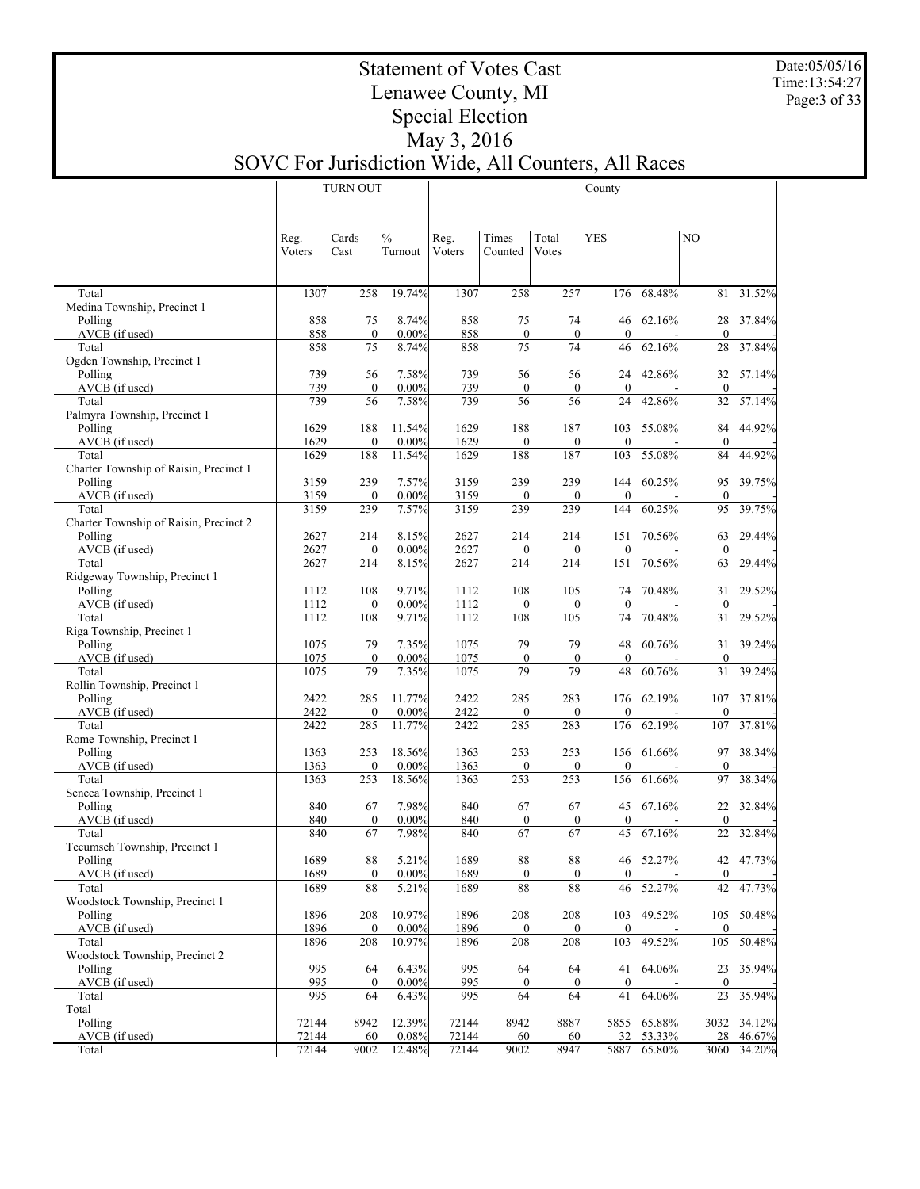Date:05/05/16 Time:13:54:27 Page:3 of 33

Τ

## Statement of Votes Cast Lenawee County, MI Special Election May 3, 2016

# SOVC For Jurisdiction Wide, All Counters, All Races

|                                                 |                | <b>TURN OUT</b>        |                          | County         |                         |                         |                        |             |                    |        |
|-------------------------------------------------|----------------|------------------------|--------------------------|----------------|-------------------------|-------------------------|------------------------|-------------|--------------------|--------|
|                                                 |                |                        |                          |                |                         |                         |                        |             |                    |        |
|                                                 |                |                        |                          |                |                         |                         |                        |             |                    |        |
|                                                 | Reg.<br>Voters | Cards<br>Cast          | $\frac{0}{0}$<br>Turnout | Reg.<br>Voters | Times<br>Counted        | Total<br>Votes          | <b>YES</b>             |             | N <sub>O</sub>     |        |
|                                                 |                |                        |                          |                |                         |                         |                        |             |                    |        |
|                                                 |                |                        |                          |                |                         |                         |                        |             |                    |        |
| Total<br>Medina Township, Precinct 1            | 1307           | 258                    | 19.74%                   | 1307           | 258                     | 257                     | 176                    | 68.48%      | 81                 | 31.52% |
| Polling                                         | 858            | 75                     | 8.74%                    | 858            | 75                      | 74                      | 46                     | 62.16%      | 28                 | 37.84% |
| AVCB (if used)                                  | 858            | $\boldsymbol{0}$       | 0.00%                    | 858            | $\boldsymbol{0}$        | $\boldsymbol{0}$        | $\mathbf{0}$           |             | $\mathbf{0}$       |        |
| Total                                           | 858            | 75                     | 8.74%                    | 858            | 75                      | 74                      | 46                     | 62.16%      | 28                 | 37.84% |
| Ogden Township, Precinct 1<br>Polling           | 739            | 56                     | 7.58%                    | 739            | 56                      | 56                      | 24                     | 42.86%      | 32                 | 57.14% |
| AVCB (if used)                                  | 739            | $\mathbf{0}$           | 0.00%                    | 739            | $\boldsymbol{0}$        | $\boldsymbol{0}$        | $\boldsymbol{0}$       |             | $\mathbf{0}$       |        |
| Total                                           | 739            | 56                     | 7.58%                    | 739            | 56                      | 56                      | 24                     | 42.86%      | 32                 | 57.14% |
| Palmyra Township, Precinct 1                    |                |                        |                          |                |                         |                         |                        |             |                    |        |
| Polling                                         | 1629<br>1629   | 188<br>$\mathbf{0}$    | 11.54%<br>$0.00\%$       | 1629           | 188                     | 187                     | 103<br>$\mathbf{0}$    | 55.08%      | 84<br>$\mathbf{0}$ | 44.92% |
| AVCB (if used)<br>Total                         | 1629           | 188                    | 11.54%                   | 1629<br>1629   | $\boldsymbol{0}$<br>188 | $\boldsymbol{0}$<br>187 | 103                    | 55.08%      | 84                 | 44.92% |
| Charter Township of Raisin, Precinct 1          |                |                        |                          |                |                         |                         |                        |             |                    |        |
| Polling                                         | 3159           | 239                    | 7.57%                    | 3159           | 239                     | 239                     | 144                    | 60.25%      | 95                 | 39.75% |
| AVCB (if used)                                  | 3159           | $\mathbf{0}$           | 0.00%                    | 3159           | $\boldsymbol{0}$        | $\mathbf{0}$            | $\boldsymbol{0}$       |             | $\mathbf{0}$       |        |
| Total<br>Charter Township of Raisin, Precinct 2 | 3159           | 239                    | 7.57%                    | 3159           | 239                     | 239                     | 144                    | 60.25%      | 95                 | 39.75% |
| Polling                                         | 2627           | 214                    | 8.15%                    | 2627           | 214                     | 214                     | 151                    | 70.56%      | 63                 | 29.44% |
| AVCB (if used)                                  | 2627           | $\mathbf{0}$           | 0.00%                    | 2627           | $\boldsymbol{0}$        | $\boldsymbol{0}$        | $\mathbf{0}$           |             | $\mathbf{0}$       |        |
| Total                                           | 2627           | 214                    | 8.15%                    | 2627           | 214                     | 214                     | 151                    | 70.56%      | 63                 | 29.44% |
| Ridgeway Township, Precinct 1<br>Polling        |                | 108                    | 9.71%                    |                | 108                     | 105                     | 74                     | 70.48%      |                    | 29.52% |
| AVCB (if used)                                  | 1112<br>1112   | $\mathbf{0}$           | 0.00%                    | 1112<br>1112   | $\boldsymbol{0}$        | $\boldsymbol{0}$        | $\mathbf{0}$           |             | 31<br>$\mathbf{0}$ |        |
| Total                                           | 1112           | 108                    | 9.71%                    | 1112           | 108                     | 105                     | 74                     | 70.48%      | 31                 | 29.52% |
| Riga Township, Precinct 1                       |                |                        |                          |                |                         |                         |                        |             |                    |        |
| Polling                                         | 1075           | 79                     | 7.35%                    | 1075           | 79                      | 79                      | 48                     | 60.76%      | 31                 | 39.24% |
| AVCB (if used)<br>Total                         | 1075<br>1075   | $\boldsymbol{0}$<br>79 | 0.00%<br>7.35%           | 1075<br>1075   | $\boldsymbol{0}$<br>79  | $\boldsymbol{0}$<br>79  | $\boldsymbol{0}$<br>48 | 60.76%      | $\mathbf{0}$<br>31 | 39.24% |
| Rollin Township, Precinct 1                     |                |                        |                          |                |                         |                         |                        |             |                    |        |
| Polling                                         | 2422           | 285                    | 11.77%                   | 2422           | 285                     | 283                     | 176                    | 62.19%      | 107                | 37.81% |
| AVCB (if used)                                  | 2422           | $\mathbf{0}$           | $0.00\%$                 | 2422           | $\boldsymbol{0}$        | $\boldsymbol{0}$        | $\mathbf{0}$           |             | $\theta$           |        |
| Total<br>Rome Township, Precinct 1              | 2422           | 285                    | 11.77%                   | 2422           | 285                     | 283                     | 176                    | 62.19%      | 107                | 37.81% |
| Polling                                         | 1363           | 253                    | 18.56%                   | 1363           | 253                     | 253                     | 156                    | 61.66%      | 97                 | 38.34% |
| AVCB (if used)                                  | 1363           | $\mathbf{0}$           | $0.00\%$                 | 1363           | $\boldsymbol{0}$        | $\boldsymbol{0}$        | $\mathbf{0}$           |             | $\theta$           |        |
| Total                                           | 1363           | 253                    | 18.56%                   | 1363           | 253                     | 253                     | 156                    | 61.66%      | 97                 | 38.34% |
| Seneca Township, Precinct 1                     | 840            | 67                     | 7.98%                    | 840            | 67                      | 67                      | 45                     | 67.16%      | 22                 | 32.84% |
| Polling<br>AVCB (if used)                       | 840            | $\boldsymbol{0}$       | $0.00\%$                 | 840            | $\boldsymbol{0}$        | $\boldsymbol{0}$        | $\mathbf{0}$           |             | $\mathbf{0}$       |        |
| Total                                           | 840            | 67                     | 7.98%                    | 840            | 67                      | 67                      | 45                     | 67.16%      | 22                 | 32.84% |
| Tecumseh Township, Precinct 1                   |                |                        |                          |                |                         |                         |                        |             |                    |        |
| Polling                                         | 1689           | 88<br>$\mathbf{0}$     | 5.21%                    | 1689           | 88                      | 88                      | 46<br>$\mathbf{0}$     | 52.27%      | 42<br>$\mathbf{0}$ | 47.73% |
| AVCB (if used)<br>Total                         | 1689<br>1689   | 88                     | 0.00%<br>5.21%           | 1689<br>1689   | $\boldsymbol{0}$<br>88  | $\mathbf{0}$<br>88      | 46                     | 52.27%      | 42                 | 47.73% |
| Woodstock Township, Precinct 1                  |                |                        |                          |                |                         |                         |                        |             |                    |        |
| Polling                                         | 1896           | 208                    | 10.97%                   | 1896           | 208                     | 208                     | 103                    | 49.52%      | 105                | 50.48% |
| AVCB (if used)                                  | 1896           | $\mathbf{0}$           | $0.00\%$                 | 1896           | $\boldsymbol{0}$        | $\boldsymbol{0}$        | $\boldsymbol{0}$       |             | $\mathbf{0}$       |        |
| Total<br>Woodstock Township, Precinct 2         | 1896           | 208                    | 10.97%                   | 1896           | 208                     | 208                     | 103                    | 49.52%      | 105                | 50.48% |
| Polling                                         | 995            | 64                     | 6.43%                    | 995            | 64                      | 64                      |                        | 41 64.06%   | 23                 | 35.94% |
| AVCB (if used)                                  | 995            | $\boldsymbol{0}$       | $0.00\%$                 | 995            | $\boldsymbol{0}$        | $\mathbf{0}$            | $\boldsymbol{0}$       |             | $\mathbf{0}$       |        |
| Total                                           | 995            | 64                     | 6.43%                    | 995            | 64                      | 64                      | 41                     | 64.06%      | 23                 | 35.94% |
| Total<br>Polling                                | 72144          | 8942                   | 12.39%                   | 72144          | 8942                    | 8887                    |                        | 5855 65.88% | 3032               | 34.12% |
| AVCB (if used)                                  | 72144          | 60                     | 0.08%                    | 72144          | 60                      | 60                      | 32                     | 53.33%      | 28                 | 46.67% |
| Total                                           | 72144          | 9002                   | 12.48%                   | 72144          | 9002                    | 8947                    | 5887                   | 65.80%      | 3060               | 34.20% |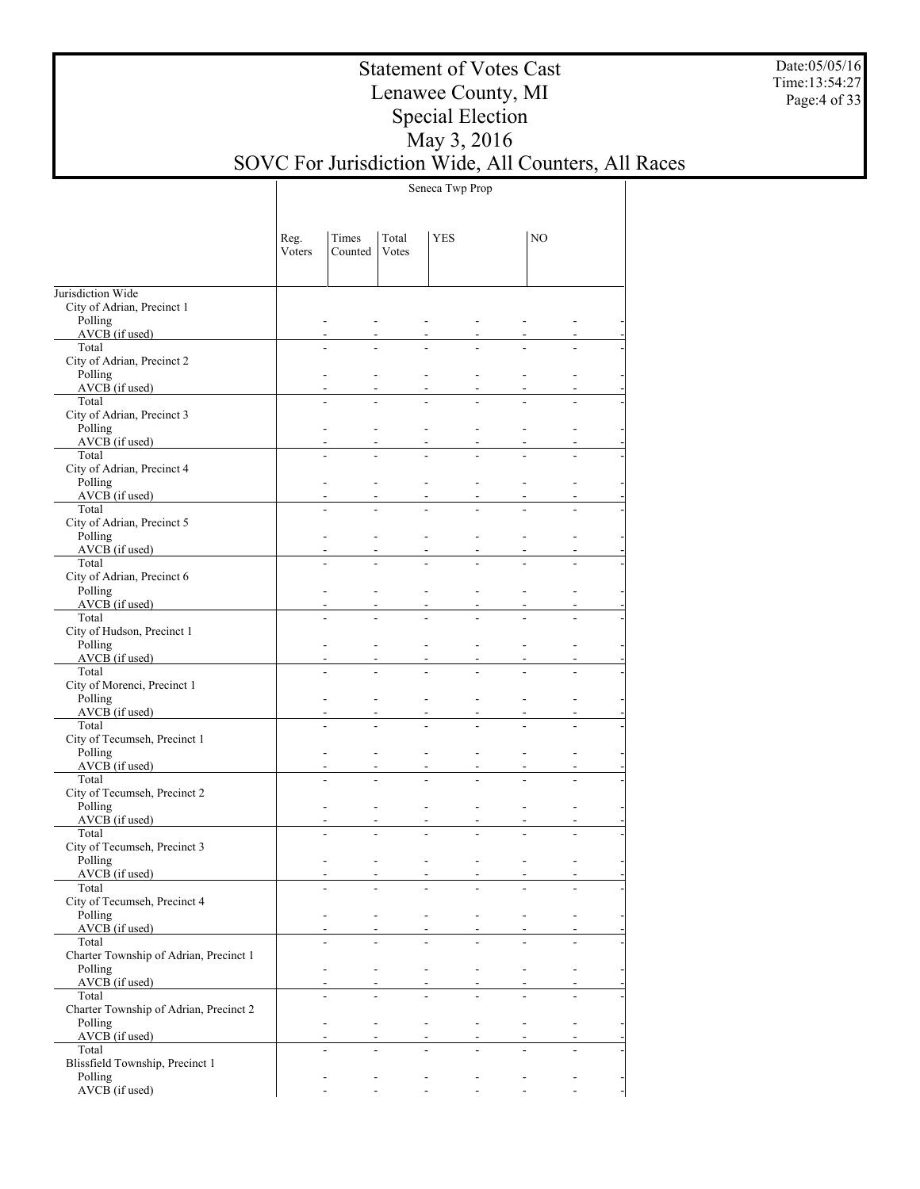Date:05/05/16 Time:13:54:27 Page:4 of 33

## Statement of Votes Cast Lenawee County, MI Special Election May 3, 2016 SOVC For Jurisdiction Wide, All Counters, All Races

Seneca Twp Prop

|                                                   | Reg.<br>Voters | Times<br>Counted              | Total<br>Votes            | <b>YES</b>     |                                            | NO                       |                           |
|---------------------------------------------------|----------------|-------------------------------|---------------------------|----------------|--------------------------------------------|--------------------------|---------------------------|
| Jurisdiction Wide                                 |                |                               |                           |                |                                            |                          |                           |
| City of Adrian, Precinct 1<br>Polling             |                |                               |                           |                |                                            |                          |                           |
| AVCB (if used)                                    |                |                               |                           |                |                                            |                          |                           |
| Total<br>City of Adrian, Precinct 2               |                |                               |                           |                |                                            |                          |                           |
| Polling<br>AVCB (if used)                         |                |                               |                           |                |                                            |                          |                           |
| Total<br>City of Adrian, Precinct 3               |                |                               |                           |                |                                            |                          |                           |
| Polling                                           |                |                               |                           |                |                                            |                          |                           |
| $AVCB$ (if used)<br>Total                         |                |                               |                           |                |                                            |                          |                           |
| City of Adrian, Precinct 4                        |                |                               |                           |                |                                            |                          |                           |
| Polling<br>$AVCB$ (if used)                       |                |                               |                           |                |                                            |                          |                           |
| Total<br>City of Adrian, Precinct 5               |                |                               |                           |                |                                            |                          |                           |
| Polling                                           |                |                               |                           |                |                                            |                          |                           |
| $AVCB$ (if used)<br>Total                         |                |                               |                           |                |                                            |                          |                           |
| City of Adrian, Precinct 6<br>Polling             |                |                               |                           |                |                                            |                          |                           |
| $AVCB$ (if used)                                  |                |                               |                           |                |                                            |                          |                           |
| Total                                             |                |                               |                           |                |                                            |                          |                           |
| City of Hudson, Precinct 1<br>Polling             |                |                               |                           |                |                                            |                          |                           |
| $AVCB$ (if used)                                  |                |                               |                           |                |                                            |                          |                           |
| Total<br>City of Morenci, Precinct 1              |                |                               |                           |                |                                            |                          |                           |
| Polling                                           |                |                               |                           |                |                                            |                          |                           |
| AVCB (if used)                                    |                |                               |                           |                |                                            |                          |                           |
| Total<br>City of Tecumseh, Precinct 1             |                |                               |                           |                |                                            |                          |                           |
| Polling                                           |                |                               |                           |                |                                            |                          |                           |
| AVCB (if used)                                    |                |                               |                           |                |                                            |                          |                           |
| Total<br>City of Tecumseh, Precinct 2             |                |                               |                           |                |                                            |                          |                           |
| Polling                                           |                |                               |                           |                |                                            |                          |                           |
| $AVCB$ (if used)                                  |                |                               |                           |                |                                            |                          |                           |
| Total<br>City of Tecumseh, Precinct 3             |                |                               |                           |                |                                            |                          |                           |
| Polling                                           |                |                               |                           |                |                                            |                          |                           |
| AVCB (if used)                                    |                |                               |                           |                |                                            |                          |                           |
| Total<br>City of Tecumseh, Precinct 4             |                |                               |                           |                |                                            |                          |                           |
| Polling<br>$AVCB$ (if used)                       |                | ÷                             | $\blacksquare$            | $\sim$         | $\blacksquare$                             |                          |                           |
| Total                                             |                |                               |                           |                |                                            |                          |                           |
| Charter Township of Adrian, Precinct 1<br>Polling |                | ÷<br>$\overline{\phantom{a}}$ |                           | $\mathbf{r}$   | $\overline{\phantom{a}}$<br>$\blacksquare$ | $\overline{\phantom{a}}$ |                           |
| $AVCB$ (if used)                                  |                |                               |                           |                |                                            |                          |                           |
| Total                                             |                |                               |                           |                |                                            |                          |                           |
| Charter Township of Adrian, Precinct 2<br>Polling |                | $\blacksquare$<br>÷           |                           | $\sim$         | $\blacksquare$<br>$\mathbf{r}$             |                          | $\overline{\phantom{a}}$  |
| $AVCB$ (if used)                                  |                |                               |                           |                |                                            |                          |                           |
| Total<br>Blissfield Township, Precinct 1          |                |                               |                           |                |                                            |                          |                           |
| Polling                                           |                | $\overline{\phantom{a}}$      | $\overline{\phantom{a}}$  | $\blacksquare$ | $\blacksquare$<br>$\blacksquare$           |                          |                           |
| AVCB (if used)                                    |                | $\omega_{\rm{max}}$           | and the second control of |                | $\mathbf{r}$                               |                          | $\mathbf{L}^{\text{max}}$ |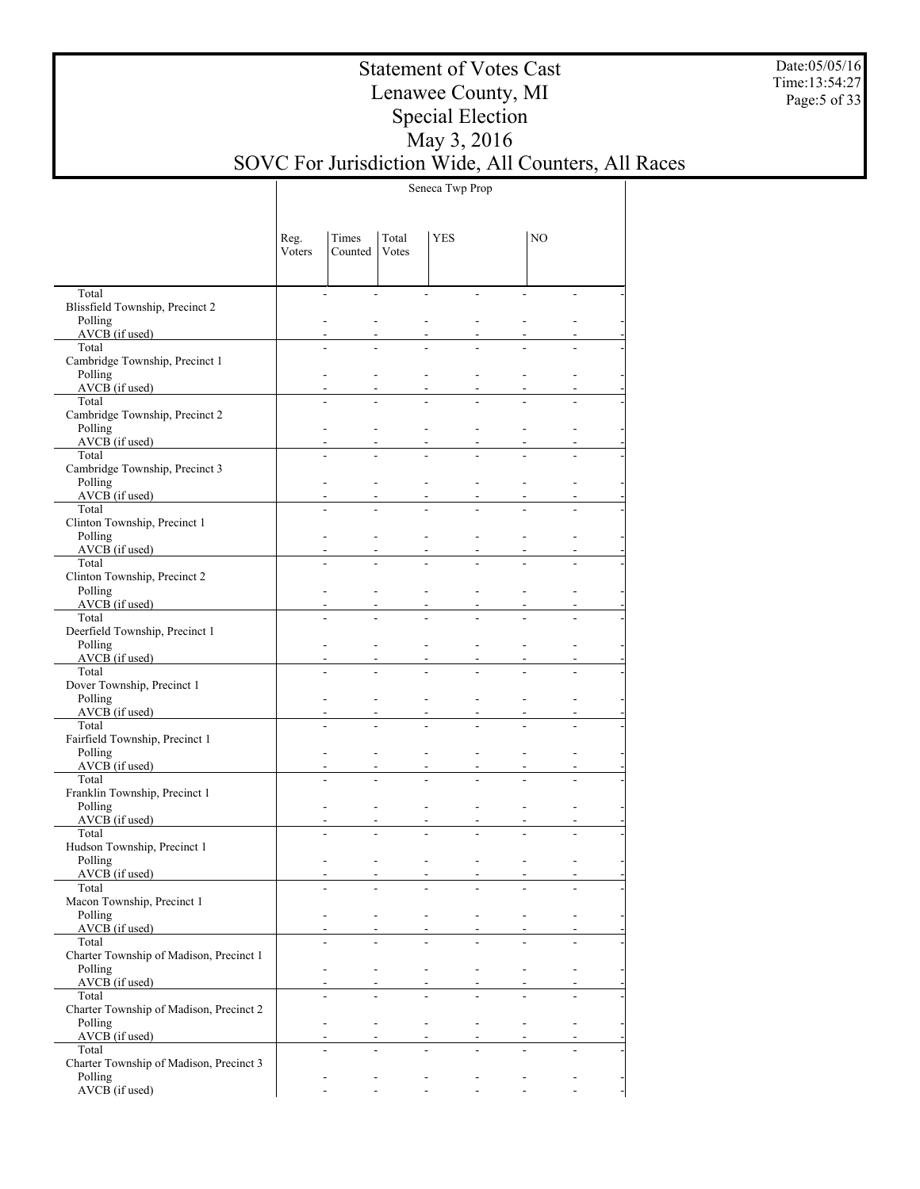Date:05/05/16 Time:13:54:27 Page:5 of 33

## Statement of Votes Cast Lenawee County, MI Special Election May 3, 2016 SOVC For Jurisdiction Wide, All Counters, All Races

Seneca Twp Prop

|                                                    | Reg.<br>Voters | Times<br>Counted            | Total<br>Votes           | <b>YES</b>     |                                            | NO             |                          |
|----------------------------------------------------|----------------|-----------------------------|--------------------------|----------------|--------------------------------------------|----------------|--------------------------|
| Total                                              |                | $\overline{a}$              | ÷.                       | $\overline{a}$ | $\overline{a}$                             |                |                          |
| Blissfield Township, Precinct 2                    |                |                             |                          |                |                                            |                |                          |
| Polling                                            |                |                             |                          |                |                                            |                |                          |
| AVCB (if used)                                     |                |                             |                          |                |                                            |                |                          |
| Total<br>Cambridge Township, Precinct 1            |                |                             |                          |                |                                            |                |                          |
| Polling                                            |                |                             |                          |                |                                            |                |                          |
| AVCB (if used)                                     |                |                             |                          |                |                                            |                |                          |
| Total                                              |                |                             |                          |                |                                            |                |                          |
| Cambridge Township, Precinct 2<br>Polling          |                |                             |                          |                |                                            |                |                          |
| $AVCB$ (if used)                                   |                |                             |                          |                |                                            |                |                          |
| Total                                              |                |                             |                          |                |                                            |                |                          |
| Cambridge Township, Precinct 3                     |                |                             |                          |                |                                            |                |                          |
| Polling                                            |                |                             |                          |                |                                            |                |                          |
| $AVCB$ (if used)<br>Total                          |                |                             |                          |                |                                            |                |                          |
| Clinton Township, Precinct 1                       |                |                             |                          |                |                                            |                |                          |
| Polling                                            |                |                             |                          |                |                                            |                |                          |
| AVCB (if used)                                     |                |                             |                          |                |                                            |                |                          |
| Total                                              |                |                             |                          |                |                                            |                |                          |
| Clinton Township, Precinct 2<br>Polling            |                |                             |                          |                |                                            |                |                          |
| $AVCB$ (if used)                                   |                |                             |                          |                |                                            |                |                          |
| Total                                              |                |                             |                          |                |                                            |                |                          |
| Deerfield Township, Precinct 1                     |                |                             |                          |                |                                            |                |                          |
| Polling<br>AVCB (if used)                          |                |                             |                          |                |                                            |                |                          |
| Total                                              |                |                             |                          |                |                                            |                |                          |
| Dover Township, Precinct 1                         |                |                             |                          |                |                                            |                |                          |
| Polling                                            |                |                             |                          |                |                                            |                |                          |
| AVCB (if used)                                     |                |                             |                          |                |                                            |                |                          |
| Total<br>Fairfield Township, Precinct 1            |                |                             |                          |                |                                            |                |                          |
| Polling                                            |                |                             |                          |                |                                            |                |                          |
| $AVCB$ (if used)                                   |                |                             |                          |                |                                            |                |                          |
| Total                                              |                |                             |                          |                |                                            |                |                          |
| Franklin Township, Precinct 1                      |                |                             |                          |                |                                            |                |                          |
| Polling<br>AVCB (if used)                          |                |                             |                          |                |                                            |                |                          |
| Total                                              |                |                             |                          |                |                                            |                |                          |
| Hudson Township, Precinct 1                        |                |                             |                          |                |                                            |                |                          |
| Polling                                            |                | $\blacksquare$              |                          |                | $\overline{a}$                             |                |                          |
| AVCB (if used)<br>Total                            |                | $\blacksquare$              |                          | $\blacksquare$ | $\blacksquare$                             |                |                          |
| Macon Township, Precinct 1                         |                |                             |                          |                |                                            |                |                          |
| Polling                                            |                | $\blacksquare$              | $\blacksquare$           | $\sim 100$     | $\sim$<br>$\blacksquare$                   |                |                          |
| AVCB (if used)                                     |                |                             |                          |                |                                            |                |                          |
| Total                                              |                |                             |                          |                |                                            |                |                          |
| Charter Township of Madison, Precinct 1<br>Polling |                | $\blacksquare$              | $\blacksquare$           | $\sim$         | $\mathcal{L}$                              | $\blacksquare$ | $\blacksquare$           |
| $AVCB$ (if used)                                   |                |                             |                          |                |                                            |                |                          |
| Total                                              |                |                             |                          |                |                                            |                |                          |
| Charter Township of Madison, Precinct 2            |                |                             |                          |                |                                            |                |                          |
| Polling                                            |                | $\blacksquare$              | $\blacksquare$           | $\sim$         | $\mathcal{L}$                              | $\mathcal{L}$  | $\overline{\phantom{a}}$ |
| $AVCB$ (if used)<br>Total                          |                | $\overline{a}$              |                          |                |                                            |                |                          |
| Charter Township of Madison, Precinct 3            |                |                             |                          |                |                                            |                |                          |
| Polling                                            |                | $\overline{\phantom{a}}$    | $\overline{\phantom{a}}$ | $\sim$         | $\blacksquare$<br>$\overline{\phantom{a}}$ |                |                          |
| AVCB (if used)                                     |                | $\mathcal{L}^{\mathcal{A}}$ | $\sim 100$               | $\sim 100$     | $\sim$                                     | $\sim$         | $\sim$                   |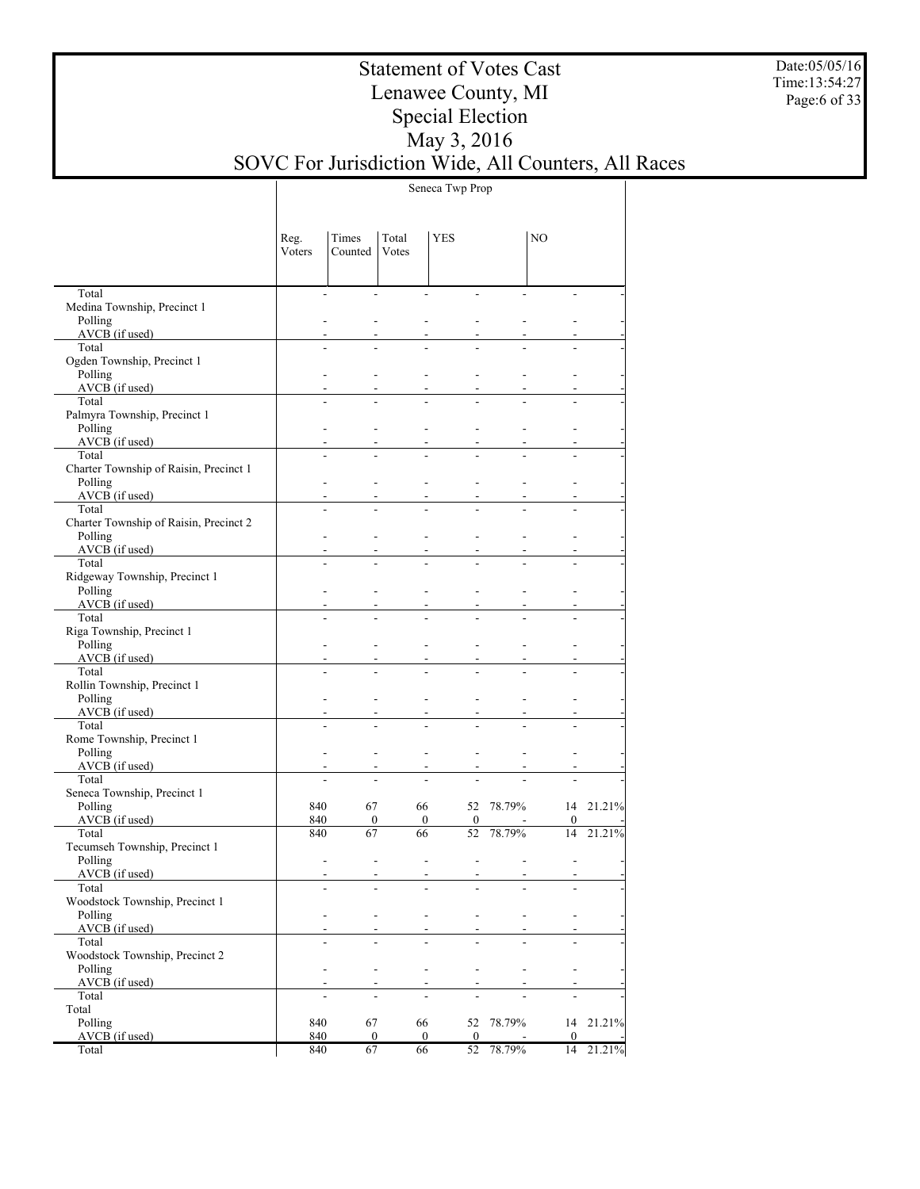Date:05/05/16 Time:13:54:27 Page:6 of 33

## Statement of Votes Cast Lenawee County, MI Special Election May 3, 2016 SOVC For Jurisdiction Wide, All Counters, All Races

Seneca Twp Prop

|                                                 | Reg.<br>Voters | Times<br>Counted                           | Total<br>Votes                                       | <b>YES</b>                                                             |                          | NO               |           |
|-------------------------------------------------|----------------|--------------------------------------------|------------------------------------------------------|------------------------------------------------------------------------|--------------------------|------------------|-----------|
| Total                                           |                | $\overline{\phantom{a}}$                   | $\overline{a}$<br>$\overline{a}$                     | ÷,                                                                     |                          |                  |           |
| Medina Township, Precinct 1<br>Polling          |                |                                            |                                                      |                                                                        |                          |                  |           |
| AVCB (if used)                                  |                |                                            |                                                      |                                                                        |                          |                  |           |
| Total                                           |                |                                            |                                                      |                                                                        |                          |                  |           |
| Ogden Township, Precinct 1                      |                |                                            |                                                      |                                                                        |                          |                  |           |
| Polling<br>$AVCB$ (if used)                     |                | $\blacksquare$                             |                                                      |                                                                        |                          |                  |           |
| Total                                           |                |                                            |                                                      |                                                                        |                          |                  |           |
| Palmyra Township, Precinct 1                    |                |                                            |                                                      |                                                                        |                          |                  |           |
| Polling                                         |                | $\blacksquare$                             |                                                      |                                                                        |                          |                  |           |
| AVCB (if used)                                  |                | $\overline{\phantom{a}}$                   |                                                      |                                                                        |                          |                  |           |
| Total<br>Charter Township of Raisin, Precinct 1 |                |                                            |                                                      |                                                                        |                          |                  |           |
| Polling                                         |                | $\blacksquare$                             |                                                      |                                                                        |                          |                  |           |
| $AVCB$ (if used)                                |                |                                            |                                                      |                                                                        |                          |                  |           |
| Total                                           |                |                                            |                                                      |                                                                        |                          |                  |           |
| Charter Township of Raisin, Precinct 2          |                |                                            |                                                      |                                                                        |                          |                  |           |
| Polling<br>$AVCB$ (if used)                     |                | $\blacksquare$                             |                                                      |                                                                        |                          |                  |           |
| Total                                           |                | $\overline{a}$                             |                                                      |                                                                        |                          |                  |           |
| Ridgeway Township, Precinct 1                   |                |                                            |                                                      |                                                                        |                          |                  |           |
| Polling                                         |                | $\blacksquare$                             |                                                      |                                                                        |                          |                  |           |
| $AVCB$ (if used)                                |                |                                            |                                                      |                                                                        |                          |                  |           |
| Total<br>Riga Township, Precinct 1              |                |                                            |                                                      |                                                                        |                          |                  |           |
| Polling                                         |                | $\blacksquare$                             |                                                      |                                                                        |                          |                  |           |
| $AVCB$ (if used)                                |                |                                            |                                                      |                                                                        |                          |                  |           |
| Total                                           |                | $\overline{a}$                             |                                                      |                                                                        |                          |                  |           |
| Rollin Township, Precinct 1                     |                |                                            |                                                      |                                                                        |                          |                  |           |
| Polling<br>$AVCB$ (if used)                     |                | $\overline{\phantom{a}}$<br>$\blacksquare$ |                                                      |                                                                        |                          |                  |           |
| Total                                           |                | $\overline{a}$                             |                                                      |                                                                        |                          |                  |           |
| Rome Township, Precinct 1                       |                |                                            |                                                      |                                                                        |                          |                  |           |
| Polling                                         |                | $\overline{\phantom{a}}$                   | $\overline{\phantom{a}}$                             |                                                                        |                          |                  |           |
| $AVCB$ (if used)                                |                |                                            |                                                      |                                                                        |                          |                  |           |
| Total<br>Seneca Township, Precinct 1            |                | ÷,                                         |                                                      |                                                                        |                          |                  |           |
| Polling                                         | 840            | 67                                         | 66                                                   |                                                                        | 52 78.79%                |                  | 14 21.21% |
| AVCB (if used)                                  | 840            | $\boldsymbol{0}$                           | $\overline{0}$                                       | $\mathbf{0}$                                                           |                          | $\boldsymbol{0}$ |           |
| Total                                           | 840            | 67                                         | 66                                                   | 52                                                                     | 78.79%                   | 14               | 21.21%    |
| Tecumseh Township, Precinct 1                   |                |                                            |                                                      |                                                                        |                          |                  |           |
| Polling<br>AVCB (if used)                       |                | $\blacksquare$<br>$\overline{\phantom{a}}$ |                                                      | $\overline{a}$<br>$\overline{\phantom{a}}$<br>$\overline{\phantom{a}}$ |                          |                  |           |
| Total                                           |                | ۰                                          | $\overline{\phantom{a}}$                             | ۰                                                                      | $\overline{\phantom{a}}$ |                  |           |
| Woodstock Township, Precinct 1                  |                |                                            |                                                      |                                                                        |                          |                  |           |
| Polling                                         |                | $\blacksquare$                             | $\overline{\phantom{a}}$<br>$\overline{\phantom{a}}$ | ۰                                                                      |                          | $\overline{a}$   |           |
| AVCB (if used)<br>Total                         |                |                                            |                                                      | $\blacksquare$                                                         |                          |                  |           |
| Woodstock Township, Precinct 2                  |                |                                            |                                                      |                                                                        |                          |                  |           |
| Polling                                         |                | ٠                                          | $\overline{\phantom{a}}$<br>$\blacksquare$           | $\blacksquare$                                                         |                          | ۰                |           |
| AVCB (if used)                                  |                |                                            | $\overline{\phantom{a}}$                             | ٠                                                                      |                          |                  |           |
| Total                                           |                | $\overline{a}$                             | ÷,                                                   | $\blacksquare$                                                         |                          |                  |           |
| Total<br>Polling                                | 840            | 67                                         | 66                                                   | 52                                                                     | 78.79%                   | 14               | 21.21%    |
| AVCB (if used)                                  | 840            | $\boldsymbol{0}$                           | $\overline{0}$                                       | $\mathbf{0}$                                                           |                          | $\mathbf{0}$     |           |
| Total                                           | 840            | 67                                         | 66                                                   | $\overline{52}$                                                        | 78.79%                   | 14               | 21.21%    |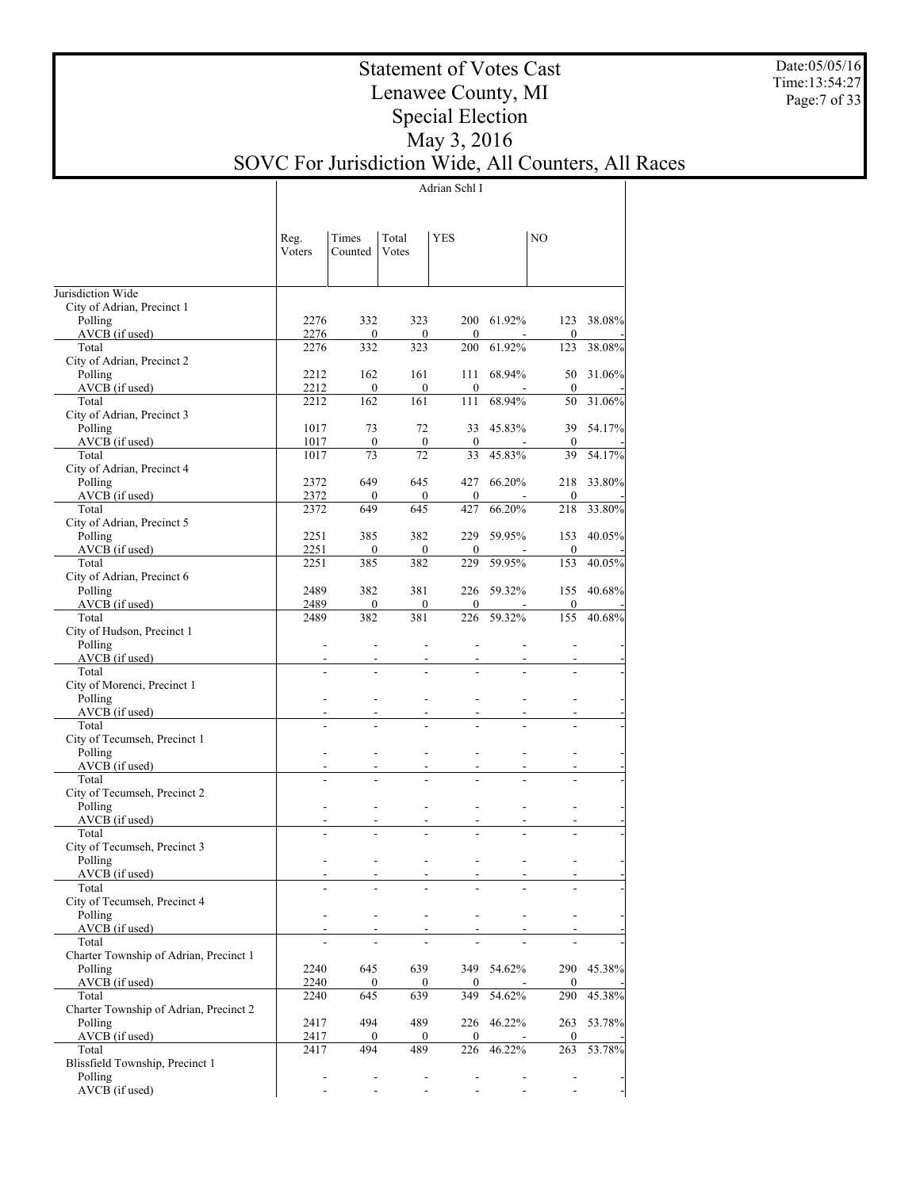Date:05/05/16 Time:13:54:27 Page:7 of 33

## Statement of Votes Cast Lenawee County, MI Special Election May 3, 2016 SOVC For Jurisdiction Wide, All Counters, All Races

Adrian Schl I

|                                                   | Reg.<br>Voters           | Times<br>Counted         | Total<br>Votes           | YES                          |                          | NO                       |            |
|---------------------------------------------------|--------------------------|--------------------------|--------------------------|------------------------------|--------------------------|--------------------------|------------|
| Jurisdiction Wide                                 |                          |                          |                          |                              |                          |                          |            |
| City of Adrian, Precinct 1                        |                          |                          |                          |                              |                          |                          |            |
| Polling                                           | 2276                     | 332                      | 323                      |                              | 200 61.92%               | 123                      | 38.08%     |
| AVCB (if used)                                    | 2276                     | 0                        | 0                        | $\boldsymbol{0}$             |                          | $\boldsymbol{0}$         |            |
| Total                                             | 2276                     | 332                      | 323                      | 200                          | 61.92%                   | 123                      | 38.08%     |
| City of Adrian, Precinct 2                        | 2212                     | 162                      | 161                      | 111                          | 68.94%                   | 50                       | 31.06%     |
| Polling<br>AVCB (if used)                         | 2212                     | 0                        | $\boldsymbol{0}$         | $\mathbf{0}$                 |                          | $\boldsymbol{0}$         |            |
| Total                                             | 2212                     | 162                      | 161                      | 111                          | 68.94%                   | 50                       | 31.06%     |
| City of Adrian, Precinct 3                        |                          |                          |                          |                              |                          |                          |            |
| Polling                                           | 1017                     | 73                       | 72                       | 33                           | 45.83%                   | 39                       | 54.17%     |
| AVCB (if used)                                    | 1017                     | $\boldsymbol{0}$         | $\boldsymbol{0}$         | $\bf{0}$                     |                          | $\boldsymbol{0}$         |            |
| Total                                             | 1017                     | 73                       | 72                       | 33                           | 45.83%                   | 39                       | 54.17%     |
| City of Adrian, Precinct 4                        | 2372                     | 649                      | 645                      | 427                          | 66.20%                   | 218                      |            |
| Polling<br>AVCB (if used)                         | 2372                     | $\mathbf{0}$             | $\boldsymbol{0}$         | $\mathbf{0}$                 |                          | $\boldsymbol{0}$         | 33.80%     |
| Total                                             | 2372                     | 649                      | 645                      | 427                          | 66.20%                   | 218                      | 33.80%     |
| City of Adrian, Precinct 5                        |                          |                          |                          |                              |                          |                          |            |
| Polling                                           | 2251                     | 385                      | 382                      | 229                          | 59.95%                   | 153                      | 40.05%     |
| AVCB (if used)                                    | 2251                     | 0                        | 0                        | $\mathbf{0}$                 |                          | $\boldsymbol{0}$         |            |
| Total                                             | 2251                     | 385                      | 382                      | 229                          | 59.95%                   | 153                      | 40.05%     |
| City of Adrian, Precinct 6                        | 2489                     | 382                      | 381                      | 226                          | 59.32%                   | 155                      |            |
| Polling<br>AVCB (if used)                         | 2489                     | 0                        | 0                        | 0                            |                          | 0                        | 40.68%     |
| Total                                             | 2489                     | 382                      | 381                      | 226                          | 59.32%                   | 155                      | 40.68%     |
| City of Hudson, Precinct 1                        |                          |                          |                          |                              |                          |                          |            |
| Polling                                           | $\overline{\phantom{a}}$ | $\blacksquare$           | $\overline{\phantom{a}}$ | ٠                            |                          |                          |            |
| AVCB (if used)                                    |                          |                          |                          |                              |                          |                          |            |
| Total                                             | $\overline{a}$           |                          |                          |                              |                          |                          |            |
| City of Morenci, Precinct 1<br>Polling            |                          |                          | $\blacksquare$           | ۰                            |                          |                          |            |
| AVCB (if used)                                    |                          |                          |                          |                              |                          |                          |            |
| Total                                             |                          |                          |                          |                              |                          |                          |            |
| City of Tecumseh, Precinct 1                      |                          |                          |                          |                              |                          |                          |            |
| Polling                                           |                          |                          | $\blacksquare$           | $\blacksquare$               |                          |                          |            |
| AVCB (if used)                                    |                          |                          |                          | ۰                            |                          |                          |            |
| Total                                             |                          |                          |                          |                              |                          |                          |            |
| City of Tecumseh, Precinct 2<br>Polling           | $\blacksquare$           |                          | $\blacksquare$           | ٠                            | ٠                        | ٠                        |            |
| AVCB (if used)                                    | $\overline{\phantom{a}}$ |                          | $\overline{\phantom{a}}$ | ۰                            | ٠                        |                          |            |
| Total                                             |                          |                          |                          |                              |                          |                          |            |
| City of Tecumseh, Precinct 3                      |                          |                          |                          |                              |                          |                          |            |
| Polling                                           | $\blacksquare$           | $\blacksquare$           | $\overline{\phantom{a}}$ | ۰                            |                          |                          |            |
| AVCB (if used)                                    | $\blacksquare$           | $\overline{\phantom{a}}$ | $\blacksquare$           | $\overline{\phantom{a}}$     | $\overline{\phantom{a}}$ | ٠                        |            |
| Total                                             | -                        | ۰                        | $\overline{\phantom{a}}$ | ۰                            | $\overline{\phantom{a}}$ | ۰                        |            |
| City of Tecumseh, Precinct 4<br>Polling           | $\overline{\phantom{a}}$ | $\overline{\phantom{a}}$ | $\blacksquare$           | ۰                            |                          | $\overline{\phantom{0}}$ |            |
| AVCB (if used)                                    |                          |                          | $\sim$                   |                              |                          |                          |            |
| Total                                             |                          |                          |                          |                              |                          |                          |            |
| Charter Township of Adrian, Precinct 1            |                          |                          |                          |                              |                          |                          |            |
| Polling                                           | 2240                     | 645                      | 639                      |                              | 349 54.62%               |                          | 290 45.38% |
| AVCB (if used)                                    | 2240                     | 0                        | $\mathbf{0}$             | $\overline{0}$               |                          | $\boldsymbol{0}$         |            |
| Total                                             | 2240                     | 645                      | 639                      | 349                          | 54.62%                   | 290                      | 45.38%     |
| Charter Township of Adrian, Precinct 2<br>Polling | 2417                     | 494                      | 489                      | 226                          | 46.22%                   | 263                      | 53.78%     |
| AVCB (if used)                                    | 2417                     | 0                        | $\mathbf{0}$             | $\mathbf{0}$                 |                          | $\boldsymbol{0}$         |            |
| Total                                             | 2417                     | 494                      | 489                      | 226                          | 46.22%                   | 263                      | 53.78%     |
| Blissfield Township, Precinct 1                   |                          |                          |                          |                              |                          |                          |            |
| Polling                                           | ۰                        | $\overline{\phantom{a}}$ | $\overline{\phantom{a}}$ | $\overline{\phantom{a}}$     |                          | -                        |            |
| AVCB (if used)                                    |                          | $\overline{\phantom{a}}$ | $\overline{\phantom{a}}$ | $\qquad \qquad \blacksquare$ |                          |                          |            |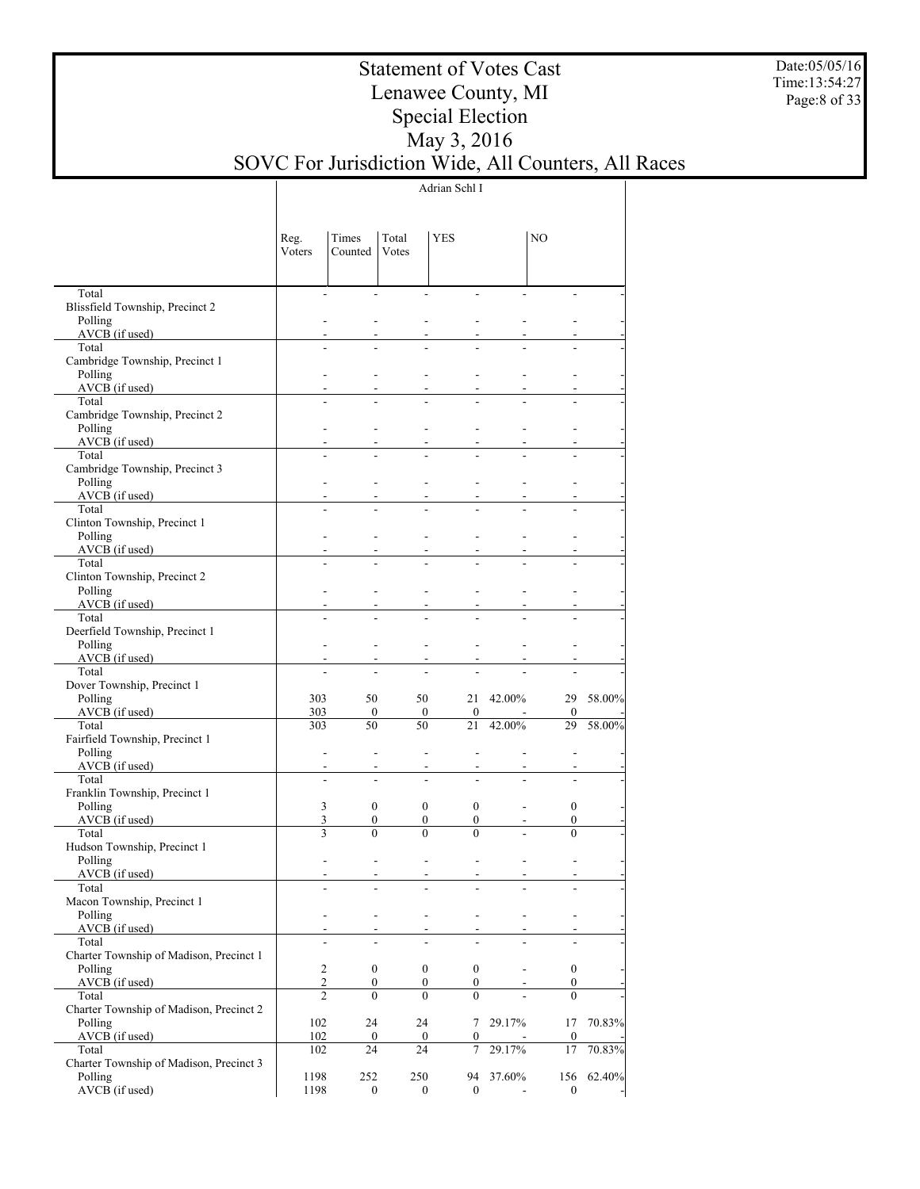Date:05/05/16 Time:13:54:27 Page:8 of 33

## Statement of Votes Cast Lenawee County, MI Special Election May 3, 2016 SOVC For Jurisdiction Wide, All Counters, All Races

Adrian Schl I

|                                           | Reg.<br>Voters | Times<br>Counted         | Total<br>Votes                                       | YES                      |                | NO                     |        |
|-------------------------------------------|----------------|--------------------------|------------------------------------------------------|--------------------------|----------------|------------------------|--------|
| Total<br>Blissfield Township, Precinct 2  |                | $\blacksquare$           | ÷.<br>$\overline{a}$                                 |                          |                |                        |        |
| Polling                                   |                |                          |                                                      |                          |                |                        |        |
| $AVCB$ (if used)                          |                |                          |                                                      |                          |                |                        |        |
| Total<br>Cambridge Township, Precinct 1   |                |                          |                                                      |                          |                |                        |        |
| Polling                                   |                |                          |                                                      |                          |                |                        |        |
| $AVCB$ (if used)                          |                |                          |                                                      |                          |                |                        |        |
| Total                                     |                |                          |                                                      |                          |                |                        |        |
| Cambridge Township, Precinct 2            |                |                          |                                                      |                          |                |                        |        |
| Polling                                   |                |                          |                                                      |                          |                |                        |        |
| AVCB (if used)<br>Total                   |                |                          |                                                      |                          |                |                        |        |
| Cambridge Township, Precinct 3            |                |                          |                                                      |                          |                |                        |        |
| Polling                                   |                |                          |                                                      |                          |                |                        |        |
| AVCB (if used)                            |                |                          |                                                      |                          |                |                        |        |
| Total                                     |                |                          |                                                      |                          |                |                        |        |
| Clinton Township, Precinct 1              |                |                          |                                                      |                          |                |                        |        |
| Polling<br>AVCB (if used)                 |                |                          |                                                      |                          |                |                        |        |
| Total                                     |                |                          |                                                      |                          |                |                        |        |
| Clinton Township, Precinct 2              |                |                          |                                                      |                          |                |                        |        |
| Polling                                   |                |                          |                                                      |                          |                |                        |        |
| AVCB (if used)                            |                |                          |                                                      |                          |                |                        |        |
| Total                                     |                |                          |                                                      |                          |                |                        |        |
| Deerfield Township, Precinct 1            |                |                          |                                                      |                          |                |                        |        |
| Polling<br>AVCB (if used)                 |                |                          |                                                      |                          |                |                        |        |
| Total                                     |                |                          |                                                      |                          |                |                        |        |
| Dover Township, Precinct 1                |                |                          |                                                      |                          |                |                        |        |
| Polling                                   | 303            | 50                       | 50                                                   |                          | 21 42.00%      | 29                     | 58.00% |
| $AVCB$ (if used)                          | 303            | $\boldsymbol{0}$         | $\boldsymbol{0}$                                     | $\mathbf{0}$             |                | 0                      |        |
| Total                                     | 303            | 50                       | 50                                                   | 21                       | 42.00%         | 29                     | 58.00% |
| Fairfield Township, Precinct 1<br>Polling |                |                          |                                                      |                          |                |                        |        |
| AVCB (if used)                            |                |                          |                                                      |                          |                |                        |        |
| Total                                     |                | $\overline{a}$           |                                                      |                          |                |                        |        |
| Franklin Township, Precinct 1             |                |                          |                                                      |                          |                |                        |        |
| Polling                                   | 3              | $\overline{0}$           | $\overline{0}$                                       | $\overline{0}$           | $\overline{a}$ | $\boldsymbol{0}$       |        |
| AVCB (if used)                            | 3              | 0                        | $\boldsymbol{0}$                                     | $\mathbf{0}$             |                | 0                      |        |
| Total                                     | 3              | $\theta$                 | $\theta$                                             | $\Omega$                 |                | $\theta$               |        |
| Hudson Township, Precinct 1<br>Polling    |                |                          |                                                      |                          |                |                        |        |
| $AVCB$ (if used)                          |                |                          | $\overline{a}$                                       | $\overline{\phantom{a}}$ |                |                        |        |
| Total                                     |                |                          |                                                      |                          |                |                        |        |
| Macon Township, Precinct 1                |                |                          |                                                      |                          |                |                        |        |
| Polling                                   |                | $\overline{\phantom{a}}$ | $\overline{\phantom{0}}$<br>$\overline{\phantom{a}}$ |                          |                |                        |        |
| AVCB (if used)<br>Total                   |                |                          |                                                      |                          |                |                        |        |
| Charter Township of Madison, Precinct 1   |                |                          |                                                      |                          |                |                        |        |
| Polling                                   | $\sqrt{2}$     | $\boldsymbol{0}$         | $\boldsymbol{0}$                                     | $\boldsymbol{0}$         | $\frac{1}{2}$  | $\boldsymbol{0}$       |        |
| AVCB (if used)                            | $\overline{c}$ | 0                        | $\boldsymbol{0}$                                     | $\mathbf{0}$             |                | 0                      |        |
| Total                                     | $\overline{c}$ | $\overline{0}$           | $\theta$                                             | $\theta$                 |                | $\theta$               |        |
| Charter Township of Madison, Precinct 2   |                |                          |                                                      |                          |                |                        |        |
| Polling                                   | 102            | 24                       | 24                                                   |                          | 7 29.17%       | 17                     | 70.83% |
| AVCB (if used)<br>Total                   | 102<br>102     | 0<br>24                  | $\boldsymbol{0}$<br>24                               | $\mathbf{0}$<br>7        | 29.17%         | $\boldsymbol{0}$<br>17 | 70.83% |
| Charter Township of Madison, Precinct 3   |                |                          |                                                      |                          |                |                        |        |
| Polling                                   | 1198           | 252                      | 250                                                  |                          | 94 37.60%      | 156                    | 62.40% |
| AVCB (if used)                            | 1198           | $\boldsymbol{0}$         | $\boldsymbol{0}$                                     | $\mathbf{0}$             | $\sim$         | $\boldsymbol{0}$       |        |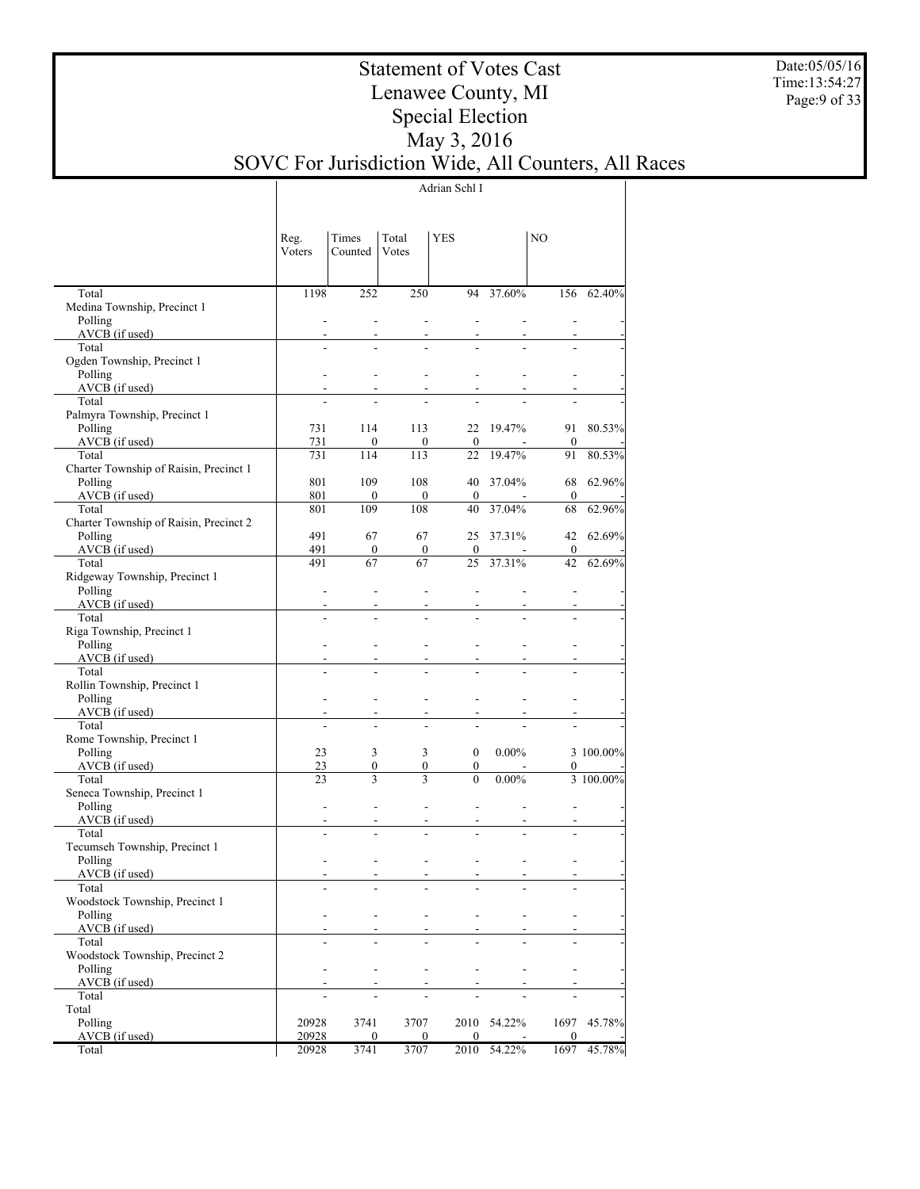Date:05/05/16 Time:13:54:27 Page:9 of 33

## Statement of Votes Cast Lenawee County, MI Special Election May 3, 2016 SOVC For Jurisdiction Wide, All Counters, All Races

Adrian Schl I

|                                          | Reg.<br>Voters           | Times<br>Counted | Total<br>Votes   | <b>YES</b>       |          | NO               |           |
|------------------------------------------|--------------------------|------------------|------------------|------------------|----------|------------------|-----------|
| Total                                    | 1198                     | 252              | 250              | 94               | 37.60%   | 156              | 62.40%    |
| Medina Township, Precinct 1              |                          |                  |                  |                  |          |                  |           |
| Polling                                  | $\overline{\phantom{a}}$ | ÷,               | ÷                | ÷,               | L,       |                  |           |
| AVCB (if used)                           | $\overline{\phantom{a}}$ |                  |                  |                  |          |                  |           |
| Total                                    | $\overline{a}$           |                  |                  |                  |          |                  |           |
| Ogden Township, Precinct 1               |                          |                  |                  |                  |          |                  |           |
| Polling                                  |                          |                  |                  |                  |          |                  |           |
| AVCB (if used)                           |                          |                  |                  |                  |          |                  |           |
| Total<br>Palmyra Township, Precinct 1    |                          |                  |                  |                  |          |                  |           |
| Polling                                  | 731                      | 114              | 113              | 22               | 19.47%   | 91               | 80.53%    |
| AVCB (if used)                           | 731                      | $\theta$         | 0                | $\boldsymbol{0}$ | $\sim$   | $\boldsymbol{0}$ |           |
| Total                                    | 731                      | 114              | 113              | 22               | 19.47%   | 91               | 80.53%    |
| Charter Township of Raisin, Precinct 1   |                          |                  |                  |                  |          |                  |           |
| Polling                                  | 801                      | 109              | 108              | 40               | 37.04%   | 68               | 62.96%    |
| AVCB (if used)                           | 801                      | $\mathbf{0}$     | $\overline{0}$   | $\mathbf{0}$     |          | $\mathbf{0}$     |           |
| Total                                    | 801                      | 109              | 108              | 40               | 37.04%   | 68               | 62.96%    |
| Charter Township of Raisin, Precinct 2   |                          |                  |                  |                  |          |                  |           |
| Polling                                  | 491                      | 67               | 67               | 25               | 37.31%   | 42               | 62.69%    |
| AVCB (if used)                           | 491                      | $\mathbf{0}$     | $\boldsymbol{0}$ | $\mathbf{0}$     |          | $\mathbf{0}$     |           |
| Total                                    | 491                      | 67               | 67               | 25               | 37.31%   | 42               | 62.69%    |
| Ridgeway Township, Precinct 1            |                          |                  |                  |                  |          |                  |           |
| Polling                                  | ÷,                       | ÷,               | ÷                | ÷,               |          |                  |           |
| AVCB (if used)<br>Total                  | $\overline{\phantom{a}}$ |                  |                  |                  |          |                  |           |
|                                          | ÷,                       |                  |                  |                  |          |                  |           |
| Riga Township, Precinct 1<br>Polling     |                          |                  |                  |                  |          |                  |           |
| AVCB (if used)                           |                          |                  |                  |                  |          |                  |           |
| Total                                    | $\overline{a}$           |                  |                  |                  |          |                  |           |
| Rollin Township, Precinct 1              |                          |                  |                  |                  |          |                  |           |
| Polling                                  |                          |                  |                  |                  |          |                  |           |
| AVCB (if used)                           |                          |                  |                  |                  |          |                  |           |
| Total                                    | $\overline{a}$           |                  |                  | ÷.               |          |                  |           |
| Rome Township, Precinct 1                |                          |                  |                  |                  |          |                  |           |
| Polling                                  | 23                       | 3                | 3                | $\mathbf{0}$     | $0.00\%$ |                  | 3 100.00% |
| AVCB (if used)                           | 23                       | 0                | 0                | $\boldsymbol{0}$ |          | 0                |           |
| Total                                    | 23                       | 3                | 3                | $\theta$         | $0.00\%$ |                  | 3 100.00% |
| Seneca Township, Precinct 1              |                          |                  |                  |                  |          |                  |           |
| Polling                                  |                          |                  |                  | ÷,               | ÷,       |                  |           |
| AVCB (if used)                           | $\overline{\phantom{a}}$ |                  |                  |                  |          |                  |           |
| Total                                    | $\overline{a}$           |                  |                  |                  |          |                  |           |
| Tecumseh Township, Precinct 1<br>Polling |                          |                  |                  |                  |          |                  |           |
| AVCB (if used)                           |                          |                  |                  |                  |          |                  |           |
| Total                                    | $\overline{a}$           |                  | $\overline{a}$   | $\overline{a}$   | ÷,       |                  |           |
| Woodstock Township, Precinct 1           |                          |                  |                  |                  |          |                  |           |
| Polling                                  |                          |                  |                  |                  |          |                  |           |
| AVCB (if used)                           |                          |                  |                  |                  |          |                  |           |
| Total                                    |                          |                  |                  |                  |          |                  |           |
| Woodstock Township, Precinct 2           |                          |                  |                  |                  |          |                  |           |
| Polling                                  |                          |                  |                  |                  |          |                  |           |
| AVCB (if used)                           |                          |                  |                  |                  |          |                  |           |
| Total                                    |                          |                  |                  |                  |          |                  |           |
| Total                                    |                          |                  |                  |                  |          |                  |           |
| Polling                                  | 20928                    | 3741             | 3707             | 2010             | 54.22%   | 1697             | 45.78%    |
| AVCB (if used)                           | 20928                    | 0                | 0                | $\mathbf{0}$     |          | $\mathbf{0}$     |           |
| Total                                    | 20928                    | 3741             | 3707             | 2010             | 54.22%   | 1697             | 45.78%    |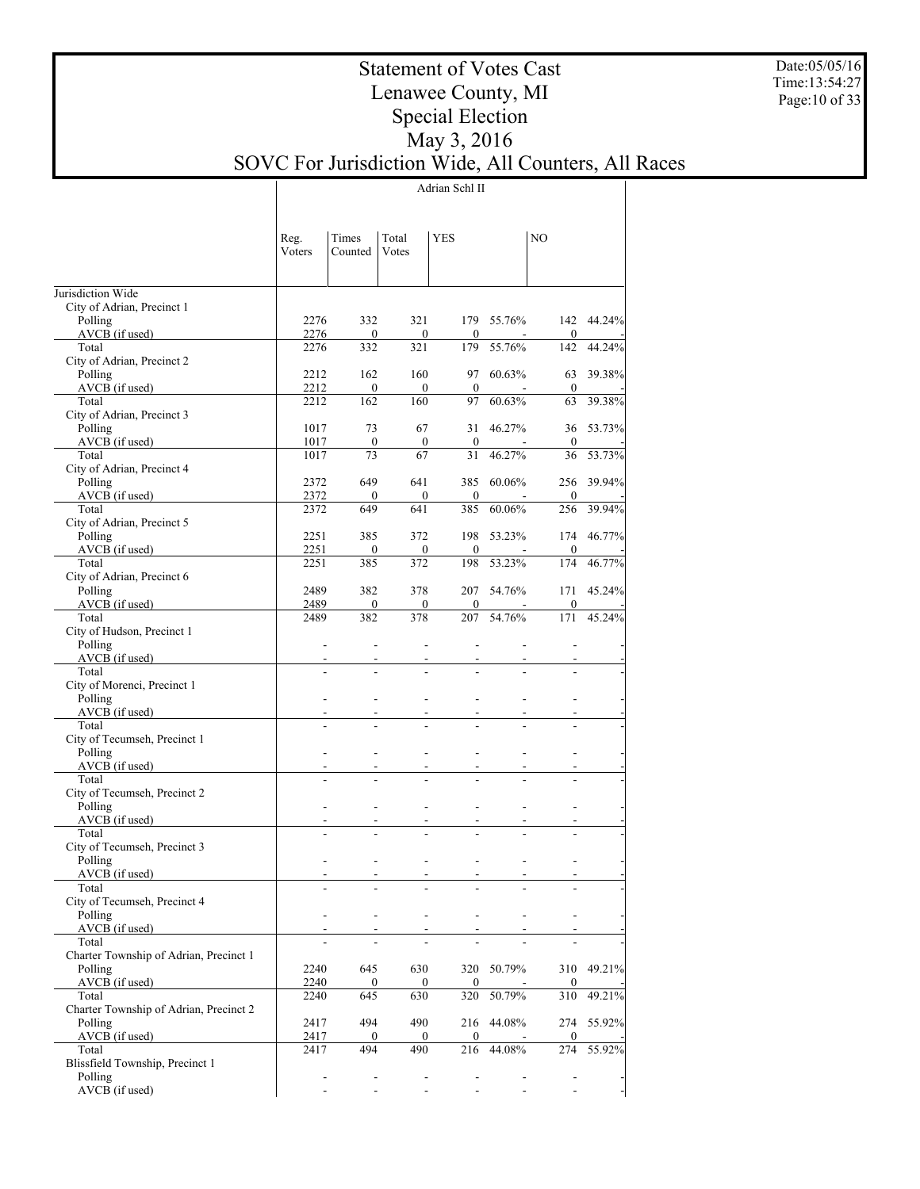Date:05/05/16 Time:13:54:27 Page:10 of 33

## Statement of Votes Cast Lenawee County, MI Special Election May 3, 2016 SOVC For Jurisdiction Wide, All Counters, All Races

Adrian Schl II

|                                            | Reg.<br>Voters | Times<br>Counted         | Total<br>Votes           | YES                      |            | NO                      |            |
|--------------------------------------------|----------------|--------------------------|--------------------------|--------------------------|------------|-------------------------|------------|
| Jurisdiction Wide                          |                |                          |                          |                          |            |                         |            |
| City of Adrian, Precinct 1                 |                |                          |                          |                          |            |                         |            |
| Polling                                    | 2276           | 332                      | 321                      |                          | 179 55.76% | 142                     | 44.24%     |
| AVCB (if used)<br>Total                    | 2276<br>2276   | $\mathbf{0}$<br>332      | $\boldsymbol{0}$<br>321  | $\mathbf{0}$<br>179      | 55.76%     | $\boldsymbol{0}$<br>142 | 44.24%     |
| City of Adrian, Precinct 2                 |                |                          |                          |                          |            |                         |            |
| Polling                                    | 2212           | 162                      | 160                      | 97                       | 60.63%     | 63                      | 39.38%     |
| AVCB (if used)                             | 2212           | $\mathbf{0}$             | $\mathbf{0}$             | $\mathbf{0}$             |            | $\mathbf{0}$            |            |
| Total                                      | 2212           | 162                      | 160                      | 97                       | 60.63%     | 63                      | 39.38%     |
| City of Adrian, Precinct 3<br>Polling      | 1017           | 73                       | 67                       | 31                       | 46.27%     | 36                      | 53.73%     |
| AVCB (if used)                             | 1017           | $\mathbf{0}$             | $\mathbf{0}$             | $\mathbf{0}$             |            | $\mathbf{0}$            |            |
| Total                                      | 1017           | 73                       | 67                       | 31                       | 46.27%     | 36                      | 53.73%     |
| City of Adrian, Precinct 4                 |                |                          |                          |                          |            |                         |            |
| Polling<br>AVCB (if used)                  | 2372<br>2372   | 649<br>$\mathbf{0}$      | 641<br>$\mathbf{0}$      | 385<br>$\mathbf{0}$      | 60.06%     | 256<br>$\mathbf{0}$     | 39.94%     |
| Total                                      | 2372           | 649                      | 641                      | 385                      | 60.06%     | 256                     | 39.94%     |
| City of Adrian, Precinct 5                 |                |                          |                          |                          |            |                         |            |
| Polling                                    | 2251           | 385                      | 372                      | 198                      | 53.23%     | 174                     | 46.77%     |
| AVCB (if used)                             | 2251           | $\mathbf{0}$             | $\boldsymbol{0}$         | $\mathbf{0}$             |            | $\mathbf{0}$            |            |
| Total<br>City of Adrian, Precinct 6        | 2251           | 385                      | 372                      | 198                      | 53.23%     | 174                     | 46.77%     |
| Polling                                    | 2489           | 382                      | 378                      | 207                      | 54.76%     | 171                     | 45.24%     |
| AVCB (if used)                             | 2489           | $\mathbf{0}$             | $\boldsymbol{0}$         | $\mathbf{0}$             |            | $\mathbf{0}$            |            |
| Total                                      | 2489           | 382                      | 378                      | 207                      | 54.76%     | 171                     | 45.24%     |
| City of Hudson, Precinct 1                 |                |                          |                          |                          |            |                         |            |
| Polling<br>AVCB (if used)                  | $\frac{1}{2}$  |                          | $\overline{a}$           |                          |            |                         |            |
| Total                                      | $\overline{a}$ |                          |                          |                          |            |                         |            |
| City of Morenci, Precinct 1                |                |                          |                          |                          |            |                         |            |
| Polling                                    |                |                          |                          |                          |            |                         |            |
| AVCB (if used)                             |                |                          |                          |                          |            |                         |            |
| Total                                      | $\overline{a}$ |                          |                          |                          |            |                         |            |
| City of Tecumseh, Precinct 1<br>Polling    |                |                          |                          | L,                       |            |                         |            |
| AVCB (if used)                             |                |                          |                          |                          |            |                         |            |
| Total                                      | $\overline{a}$ |                          |                          |                          |            |                         |            |
| City of Tecumseh, Precinct 2               |                |                          |                          |                          |            |                         |            |
| Polling                                    |                |                          |                          | L,                       |            |                         |            |
| AVCB (if used)<br>Total                    |                |                          |                          |                          |            |                         |            |
| City of Tecumseh, Precinct 3               |                |                          |                          |                          |            |                         |            |
| Polling                                    |                |                          |                          | $\overline{a}$           |            |                         |            |
| AVCB (if used)                             |                |                          |                          | $\overline{\phantom{m}}$ |            |                         |            |
| Total                                      |                |                          |                          |                          |            |                         |            |
| City of Tecumseh, Precinct 4<br>Polling    |                | $\overline{\phantom{0}}$ | $\overline{\phantom{a}}$ | $\overline{\phantom{0}}$ |            |                         |            |
| $AVCB$ (if used)                           |                |                          |                          |                          |            |                         |            |
| Total                                      |                |                          |                          |                          |            |                         |            |
| Charter Township of Adrian, Precinct 1     |                |                          |                          |                          |            |                         |            |
| Polling                                    | 2240           | 645                      | 630                      |                          | 320 50.79% |                         | 310 49.21% |
| $AVCB$ (if used)<br>Total                  | 2240<br>2240   | $\boldsymbol{0}$<br>645  | $\boldsymbol{0}$<br>630  | $\overline{0}$<br>320    | 50.79%     | $\mathbf{0}$<br>310     | 49.21%     |
| Charter Township of Adrian, Precinct 2     |                |                          |                          |                          |            |                         |            |
| Polling                                    | 2417           | 494                      | 490                      | 216                      | 44.08%     | 274                     | 55.92%     |
| $AVCB$ (if used)                           | 2417           | $\boldsymbol{0}$         | $\overline{0}$           | $\overline{0}$           |            | $\mathbf{0}$            |            |
| Total                                      | 2417           | 494                      | 490                      | 216                      | 44.08%     | 274                     | 55.92%     |
| Blissfield Township, Precinct 1<br>Polling |                | $\overline{\phantom{a}}$ | $\overline{\phantom{a}}$ | $\frac{1}{2}$            |            | $\frac{1}{2}$           |            |
| AVCB (if used)                             |                |                          | ä,                       |                          |            |                         |            |
|                                            |                |                          |                          |                          |            |                         |            |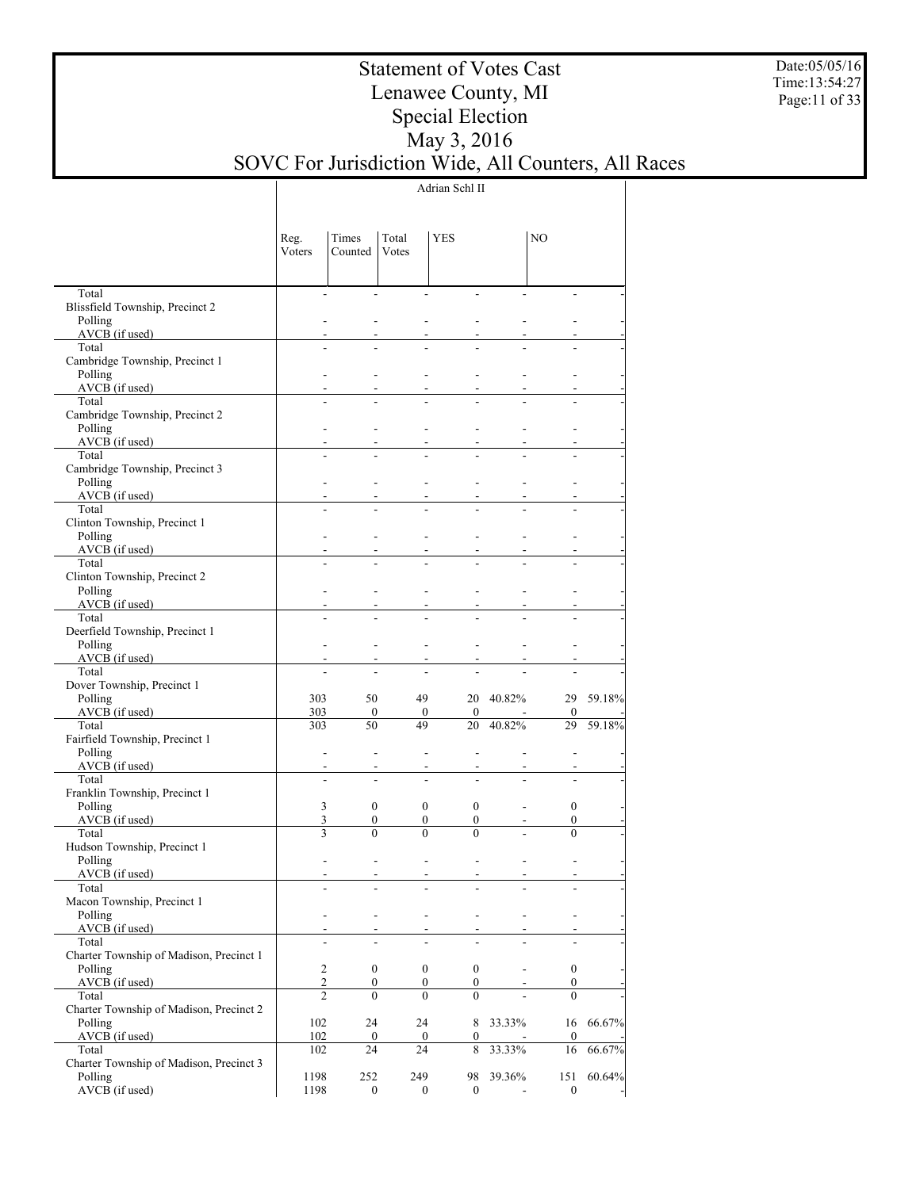Date:05/05/16 Time:13:54:27 Page:11 of 33

## Statement of Votes Cast Lenawee County, MI Special Election May 3, 2016 SOVC For Jurisdiction Wide, All Counters, All Races

Adrian Schl II

|                                                    | Reg.<br>Voters           | Times<br>Counted | Total<br>Votes                       | <b>YES</b>                           |           | NO               |           |
|----------------------------------------------------|--------------------------|------------------|--------------------------------------|--------------------------------------|-----------|------------------|-----------|
| Total                                              | $\overline{\phantom{a}}$ |                  | $\overline{a}$                       |                                      |           |                  |           |
| Blissfield Township, Precinct 2<br>Polling         |                          |                  |                                      |                                      |           |                  |           |
| AVCB (if used)                                     |                          |                  |                                      |                                      |           |                  |           |
| Total                                              |                          |                  |                                      |                                      |           |                  |           |
| Cambridge Township, Precinct 1                     |                          |                  |                                      |                                      |           |                  |           |
| Polling                                            |                          |                  |                                      |                                      |           |                  |           |
| $AVCB$ (if used)                                   |                          |                  |                                      |                                      |           |                  |           |
| Total<br>Cambridge Township, Precinct 2            |                          |                  |                                      |                                      |           |                  |           |
| Polling                                            |                          |                  |                                      |                                      |           |                  |           |
| $AVCB$ (if used)                                   |                          |                  |                                      |                                      |           |                  |           |
| Total                                              |                          |                  |                                      |                                      |           |                  |           |
| Cambridge Township, Precinct 3                     |                          |                  |                                      |                                      |           |                  |           |
| Polling                                            |                          |                  |                                      |                                      |           |                  |           |
| $AVCB$ (if used)<br>Total                          |                          |                  |                                      |                                      |           |                  |           |
| Clinton Township, Precinct 1                       |                          |                  |                                      |                                      |           |                  |           |
| Polling                                            |                          |                  |                                      |                                      |           |                  |           |
| $AVCB$ (if used)                                   |                          |                  |                                      |                                      |           |                  |           |
| Total                                              |                          |                  |                                      |                                      |           |                  |           |
| Clinton Township, Precinct 2                       |                          |                  |                                      |                                      |           |                  |           |
| Polling<br>$AVCB$ (if used)                        |                          |                  |                                      |                                      |           |                  |           |
| Total                                              |                          |                  |                                      |                                      |           |                  |           |
| Deerfield Township, Precinct 1                     |                          |                  |                                      |                                      |           |                  |           |
| Polling                                            | $\blacksquare$           |                  |                                      |                                      |           |                  |           |
| $AVCB$ (if used)                                   |                          |                  |                                      |                                      |           |                  |           |
| Total                                              |                          |                  |                                      |                                      |           |                  |           |
| Dover Township, Precinct 1<br>Polling              | 303                      | 50               | 49                                   |                                      | 20 40.82% |                  | 29 59.18% |
| $AVCB$ (if used)                                   | 303                      | $\boldsymbol{0}$ | $\boldsymbol{0}$                     | $\overline{0}$                       |           | $\boldsymbol{0}$ |           |
| Total                                              | 303                      | 50               | 49                                   | 20                                   | 40.82%    | 29               | 59.18%    |
| Fairfield Township, Precinct 1                     |                          |                  |                                      |                                      |           |                  |           |
| Polling                                            | $\overline{\phantom{a}}$ |                  |                                      |                                      |           |                  |           |
| AVCB (if used)<br>Total                            | ÷,                       |                  |                                      |                                      |           |                  |           |
| Franklin Township, Precinct 1                      |                          | ٠                |                                      |                                      |           |                  |           |
| Polling                                            | 3                        | $\boldsymbol{0}$ | $\boldsymbol{0}$                     | $\mathbf{0}$                         |           | $\boldsymbol{0}$ |           |
| $AVCB$ (if used)                                   | $\mathfrak{Z}$           | $\boldsymbol{0}$ | $\boldsymbol{0}$                     | $\overline{0}$                       |           | $\boldsymbol{0}$ |           |
| Total                                              | 3                        | $\theta$         | $\theta$                             | $\theta$                             |           | $\theta$         |           |
| Hudson Township, Precinct 1                        |                          |                  |                                      |                                      |           |                  |           |
| Polling                                            |                          |                  | $\overline{\phantom{a}}$             |                                      |           |                  |           |
| AVCB (if used)<br>Total                            |                          |                  | $\overline{\phantom{a}}$             | $\overline{\phantom{a}}$<br>-        |           |                  |           |
| Macon Township, Precinct 1                         |                          |                  |                                      |                                      |           |                  |           |
| Polling                                            | $\overline{\phantom{a}}$ |                  | ۰<br>$\blacksquare$                  | $\overline{\phantom{a}}$             |           | $\overline{a}$   |           |
| AVCB (if used)                                     |                          |                  | $\overline{\phantom{a}}$             |                                      |           |                  |           |
| Total                                              |                          |                  |                                      |                                      |           |                  |           |
| Charter Township of Madison, Precinct 1<br>Polling | $\overline{c}$           | $\boldsymbol{0}$ |                                      |                                      |           | $\boldsymbol{0}$ |           |
| $AVCB$ (if used)                                   | $\sqrt{2}$               | 0                | $\boldsymbol{0}$<br>$\boldsymbol{0}$ | $\boldsymbol{0}$<br>$\boldsymbol{0}$ |           | $\boldsymbol{0}$ |           |
| Total                                              | $\overline{2}$           | $\theta$         | $\theta$                             | $\theta$                             |           | $\theta$         |           |
| Charter Township of Madison, Precinct 2            |                          |                  |                                      |                                      |           |                  |           |
| Polling                                            | 102                      | 24               | 24                                   |                                      | 8 33.33%  | 16               | 66.67%    |
| AVCB (if used)                                     | 102                      | $\boldsymbol{0}$ | $\mathbf{0}$                         | $\overline{0}$                       |           | $\boldsymbol{0}$ |           |
| Total<br>Charter Township of Madison, Precinct 3   | 102                      | 24               | 24                                   | 8                                    | 33.33%    | 16               | 66.67%    |
| Polling                                            | 1198                     | 252              | 249                                  |                                      | 98 39.36% | 151              | 60.64%    |
| AVCB (if used)                                     | 1198                     | $\boldsymbol{0}$ | $\boldsymbol{0}$                     | $\overline{0}$                       |           | $\boldsymbol{0}$ |           |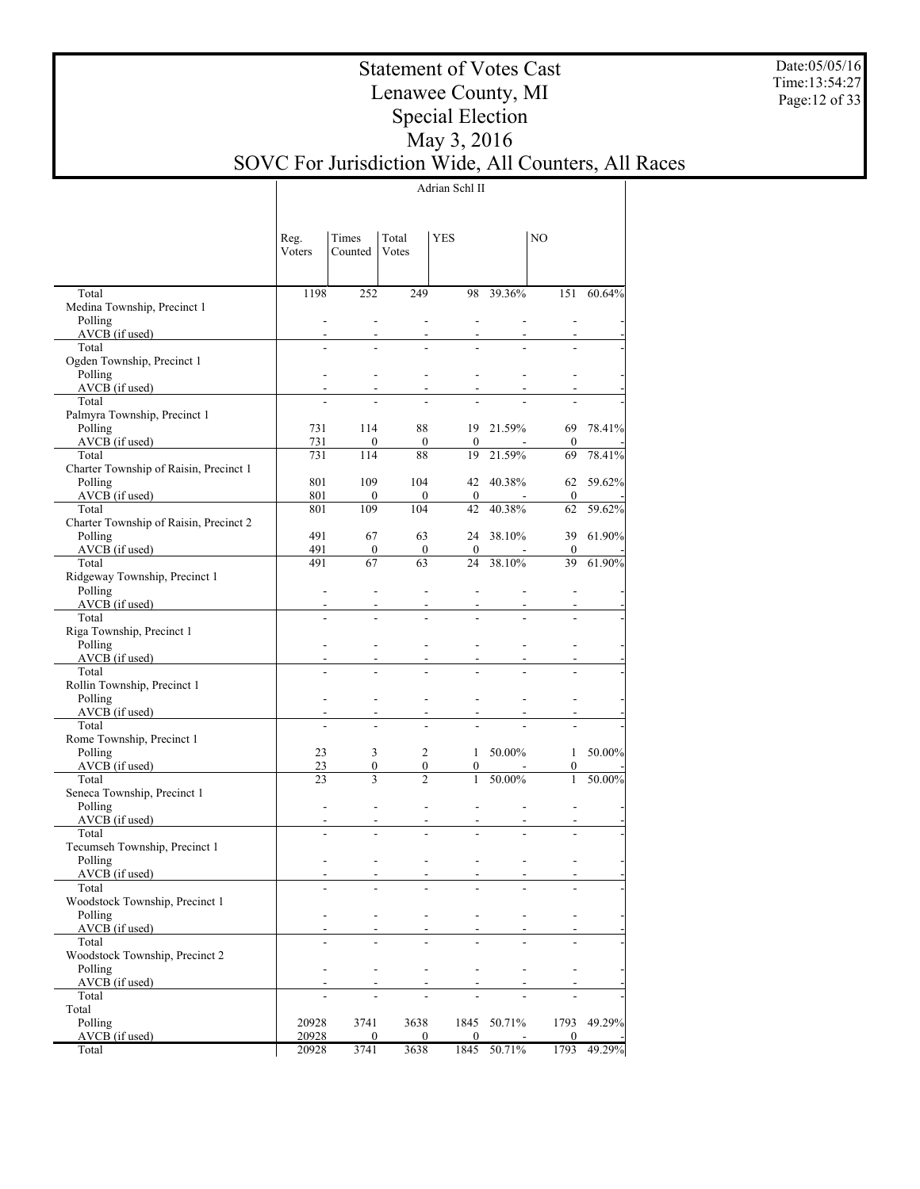Date:05/05/16 Time:13:54:27 Page:12 of 33

## Statement of Votes Cast Lenawee County, MI Special Election May 3, 2016 SOVC For Jurisdiction Wide, All Counters, All Races

Adrian Schl II

|                                                                | Reg.<br>Voters                   | Times<br>Counted                 | Total<br>Votes       | <b>YES</b>               |                          | NO                       |             |
|----------------------------------------------------------------|----------------------------------|----------------------------------|----------------------|--------------------------|--------------------------|--------------------------|-------------|
|                                                                |                                  |                                  |                      |                          |                          |                          |             |
| Total<br>Medina Township, Precinct 1                           | 1198                             | 252                              | 249                  | 98                       | 39.36%                   | 151                      | 60.64%      |
| Polling                                                        | ÷.                               | $\overline{a}$                   | ÷.                   | $\overline{a}$           | ÷.                       | ÷                        |             |
| AVCB (if used)                                                 | $\blacksquare$                   | $\blacksquare$                   | $\blacksquare$       | $\blacksquare$           | $\overline{\phantom{a}}$ | $\blacksquare$           |             |
| Total                                                          | ÷.                               |                                  |                      |                          |                          |                          |             |
| Ogden Township, Precinct 1                                     |                                  |                                  |                      |                          |                          |                          |             |
| Polling                                                        |                                  | ÷                                | ÷                    | $\overline{a}$           | ÷                        |                          |             |
| AVCB (if used)<br><u> 1999 - Jan Barnett, fransk politiker</u> | ÷                                | $\overline{a}$                   | $\blacksquare$       | $\blacksquare$           | $\blacksquare$           |                          |             |
| Total                                                          |                                  |                                  |                      |                          |                          |                          |             |
| Palmyra Township, Precinct 1                                   |                                  |                                  |                      |                          |                          |                          |             |
| Polling                                                        | 731                              | 114                              | 88                   |                          | 19 21.59%                | 69                       | 78.41%      |
| AVCB (if used)                                                 | 731                              | $\Omega$                         | $\mathbf{0}$         | $\mathbf{0}$             | $\overline{\phantom{a}}$ | $\mathbf{0}$             |             |
| Total                                                          | 731                              | 114                              | 88                   | 19                       | 21.59%                   | 69                       | 78.41%      |
| Charter Township of Raisin, Precinct 1                         |                                  |                                  |                      |                          |                          |                          |             |
| Polling                                                        | 801                              | 109                              | 104                  |                          | 42 40.38%                | 62                       | 59.62%      |
| AVCB (if used)                                                 | 801                              | $\mathbf{0}$                     | $\overline{0}$       | $\overline{0}$           | $\sim$                   | $\mathbf{0}$             |             |
| Total                                                          | 801                              | 109                              | 104                  | 42                       | 40.38%                   | 62                       | 59.62%      |
| Charter Township of Raisin, Precinct 2                         |                                  |                                  |                      |                          |                          |                          |             |
| Polling                                                        | 491                              | 67                               | 63                   |                          | 24 38.10%                | 39                       | 61.90%      |
| AVCB (if used)                                                 | 491                              | $\mathbf{0}$                     | $\mathbf{0}$         | $\mathbf{0}$             | $\sim$                   | $\mathbf{0}$             |             |
| Total                                                          | 491                              | 67                               | 63                   | 24                       | 38.10%                   | 39                       | 61.90%      |
| Ridgeway Township, Precinct 1                                  |                                  |                                  |                      |                          |                          |                          |             |
| Polling                                                        | ÷                                | $\overline{a}$                   | $\overline{a}$       | $\overline{a}$           | $\overline{a}$           | ÷                        |             |
| AVCB (if used)                                                 | $\blacksquare$                   | $\blacksquare$                   | $\blacksquare$       | $\blacksquare$           | $\blacksquare$           | $\overline{\phantom{a}}$ |             |
| Total                                                          | $\overline{a}$                   | $\overline{a}$                   | $\overline{a}$       | ÷.                       | ÷.                       | ÷.                       |             |
| Riga Township, Precinct 1                                      |                                  |                                  |                      |                          |                          |                          |             |
| Polling                                                        | ÷                                | ÷                                | ÷                    | $\overline{a}$           | ÷                        | ÷.                       |             |
| AVCB (if used)                                                 | ۰                                | $\blacksquare$                   | $\blacksquare$       | $\overline{\phantom{a}}$ | $\overline{\phantom{a}}$ | $\blacksquare$           |             |
| Total                                                          | ÷.                               | $\overline{a}$                   |                      |                          | ÷                        |                          |             |
| Rollin Township, Precinct 1                                    |                                  |                                  |                      |                          |                          |                          |             |
| Polling                                                        | ÷                                | ÷                                | ÷                    | ÷.                       | ÷                        | ÷.                       |             |
| AVCB (if used)<br>Total                                        | $\blacksquare$<br>$\overline{a}$ | $\blacksquare$<br>$\overline{a}$ | $\blacksquare$<br>÷. | $\blacksquare$<br>÷.     | $\overline{\phantom{a}}$ | $\blacksquare$<br>÷.     |             |
| Rome Township, Precinct 1                                      |                                  |                                  |                      |                          |                          |                          |             |
| Polling                                                        | 23                               | 3                                | 2                    | $\mathbf{1}$             | 50.00%                   | $\mathbf{1}$             | 50.00%      |
| AVCB (if used)                                                 | 23                               | $\mathbf{0}$                     | 0                    | $\boldsymbol{0}$         | $\sim$                   | 0                        |             |
| Total                                                          | 23                               | 3                                | $\overline{c}$       | $\mathbf{1}$             | 50.00%                   | $\mathbf{1}$             | 50.00%      |
| Seneca Township, Precinct 1                                    |                                  |                                  |                      |                          |                          |                          |             |
| Polling                                                        | ÷                                | $\overline{a}$                   | ÷.                   | $\overline{a}$           | $\overline{a}$           | ÷                        |             |
| AVCB (if used)                                                 | $\blacksquare$                   | $\blacksquare$                   | $\blacksquare$       | $\blacksquare$           | $\overline{\phantom{a}}$ | $\overline{\phantom{a}}$ |             |
| Total                                                          | ÷.                               | ÷                                | L.                   | ÷                        | ÷.                       | ÷.                       |             |
| Tecumseh Township, Precinct 1                                  |                                  |                                  |                      |                          |                          |                          |             |
| Polling                                                        |                                  | ÷                                | ÷                    | $\overline{a}$           | ÷                        |                          |             |
| AVCB (if used)                                                 | $\blacksquare$                   | $\blacksquare$                   | $\blacksquare$       | $\overline{\phantom{a}}$ | $\blacksquare$           | $\blacksquare$           |             |
| Total                                                          | ÷.                               | $\overline{a}$                   | ÷.                   | $\overline{a}$           | $\overline{a}$           | $\overline{a}$           |             |
| Woodstock Township, Precinct 1                                 |                                  |                                  |                      |                          |                          |                          |             |
| Polling                                                        |                                  |                                  |                      |                          |                          |                          |             |
| AVCB (if used)                                                 |                                  |                                  | $\blacksquare$       |                          |                          |                          |             |
| Total                                                          |                                  |                                  |                      |                          |                          |                          |             |
| Woodstock Township, Precinct 2                                 |                                  |                                  |                      |                          |                          |                          |             |
| Polling                                                        |                                  |                                  |                      |                          |                          |                          |             |
| AVCB (if used)                                                 | ۰                                | $\blacksquare$                   | $\blacksquare$       | $\blacksquare$           |                          | $\overline{\phantom{a}}$ |             |
| Total                                                          |                                  |                                  |                      |                          |                          |                          |             |
| Total                                                          |                                  |                                  |                      |                          |                          |                          |             |
| Polling                                                        | 20928                            | 3741                             | 3638                 |                          | 1845 50.71%              | 1793                     | 49.29%      |
| AVCB (if used)                                                 | 20928                            | $\mathbf{0}$                     | $\mathbf{0}$         | $\overline{0}$           |                          | $\mathbf{0}$             |             |
| Total                                                          | 20928                            | 3741                             | 3638                 |                          | 1845 50.71%              |                          | 1793 49.29% |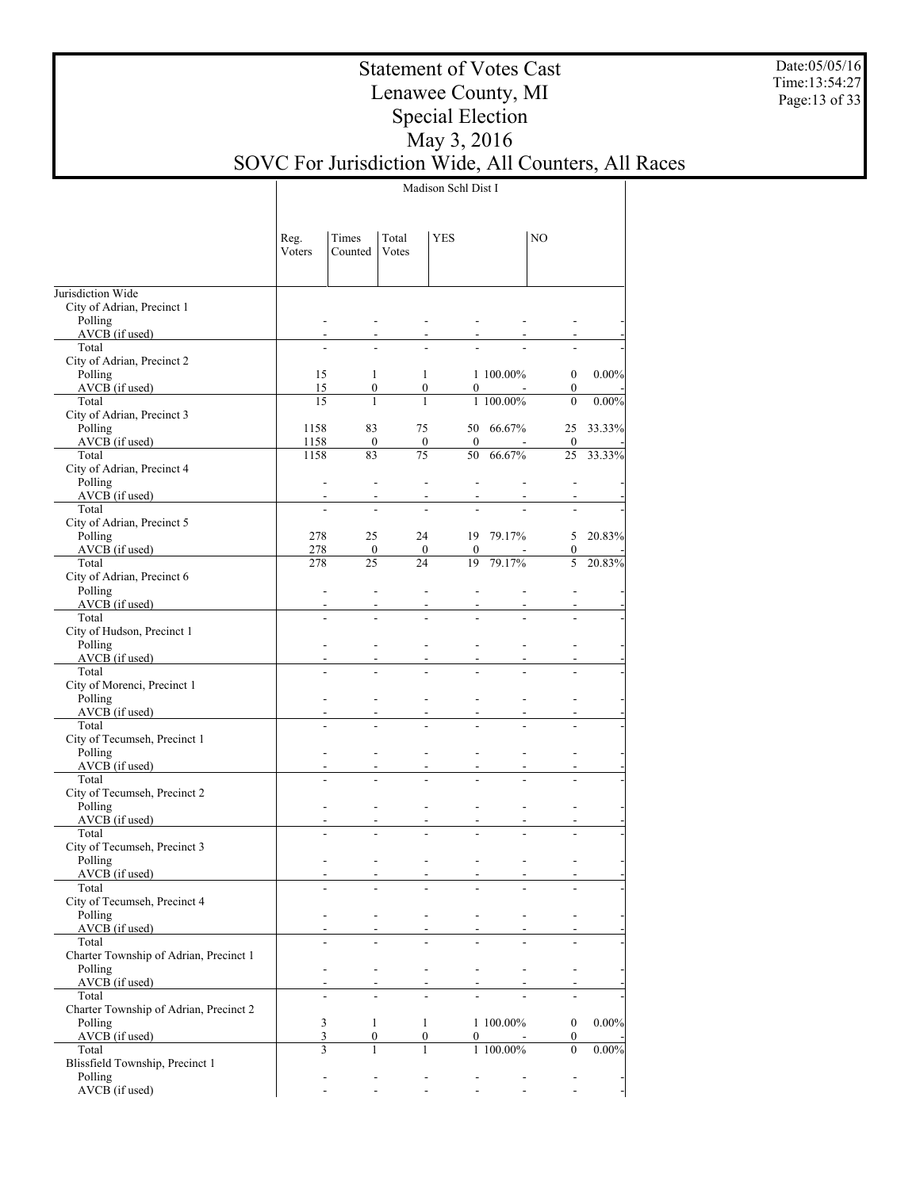Date:05/05/16 Time:13:54:27 Page:13 of 33

## Statement of Votes Cast Lenawee County, MI Special Election May 3, 2016 SOVC For Jurisdiction Wide, All Counters, All Races

Madison Schl Dist I

|                                                   | Reg.<br>Voters    | Times<br>Counted         | Total<br>Votes  | YES                                                               |                              | NO                                                                     |          |
|---------------------------------------------------|-------------------|--------------------------|-----------------|-------------------------------------------------------------------|------------------------------|------------------------------------------------------------------------|----------|
| Jurisdiction Wide                                 |                   |                          |                 |                                                                   |                              |                                                                        |          |
| City of Adrian, Precinct 1                        |                   |                          |                 |                                                                   |                              |                                                                        |          |
| Polling                                           | ۰                 |                          |                 |                                                                   |                              |                                                                        |          |
| AVCB (if used)<br>Total                           |                   |                          |                 |                                                                   |                              |                                                                        |          |
| City of Adrian, Precinct 2                        |                   |                          |                 |                                                                   |                              |                                                                        |          |
| Polling                                           | 15                | 1                        |                 | 1                                                                 | 1 100.00%                    | $\boldsymbol{0}$                                                       | $0.00\%$ |
| AVCB (if used)                                    | 15                | $\boldsymbol{0}$         |                 | $\boldsymbol{0}$<br>0                                             |                              | $\boldsymbol{0}$                                                       |          |
| Total                                             | 15                | 1                        | $\mathbf{1}$    |                                                                   | 1 100.00%                    | $\mathbf{0}$                                                           | $0.00\%$ |
| City of Adrian, Precinct 3                        |                   |                          |                 |                                                                   |                              |                                                                        |          |
| Polling                                           | 1158              | 83                       | 75              |                                                                   | 50 66.67%                    | 25                                                                     | 33.33%   |
| AVCB (if used)<br>Total                           | 1158<br>1158      | $\boldsymbol{0}$<br>83   | $\overline{75}$ | $\boldsymbol{0}$<br>$\mathbf{0}$<br>50                            | 66.67%                       | 0<br>25                                                                | 33.33%   |
| City of Adrian, Precinct 4                        |                   |                          |                 |                                                                   |                              |                                                                        |          |
| Polling                                           | ÷                 | ÷                        |                 | L,<br>$\overline{\phantom{a}}$                                    |                              | $\overline{a}$                                                         |          |
| AVCB (if used)                                    |                   |                          |                 |                                                                   |                              |                                                                        |          |
| Total                                             | $\overline{a}$    |                          |                 |                                                                   |                              |                                                                        |          |
| City of Adrian, Precinct 5                        |                   |                          |                 |                                                                   |                              |                                                                        |          |
| Polling                                           | 278               | 25                       | 24              |                                                                   | 19 79.17%                    | 5                                                                      | 20.83%   |
| AVCB (if used)<br>Total                           | 278<br>278        | $\boldsymbol{0}$<br>25   | 24              | $\boldsymbol{0}$<br>$\bf{0}$<br>19                                | 79.17%                       | 0<br>5                                                                 | 20.83%   |
| City of Adrian, Precinct 6                        |                   |                          |                 |                                                                   |                              |                                                                        |          |
| Polling                                           | ÷                 | ÷                        |                 | ÷<br>$\overline{\phantom{a}}$                                     |                              |                                                                        |          |
| AVCB (if used)                                    | ٠                 |                          |                 |                                                                   |                              |                                                                        |          |
| Total                                             | $\overline{a}$    |                          |                 |                                                                   |                              |                                                                        |          |
| City of Hudson, Precinct 1                        |                   |                          |                 |                                                                   |                              |                                                                        |          |
| Polling                                           | ٠                 |                          |                 | L.                                                                |                              |                                                                        |          |
| AVCB (if used)<br>Total                           |                   |                          |                 |                                                                   |                              |                                                                        |          |
| City of Morenci, Precinct 1                       |                   |                          |                 |                                                                   |                              |                                                                        |          |
| Polling                                           | ٠                 |                          |                 | L.                                                                |                              | ÷.                                                                     |          |
| AVCB (if used)                                    |                   |                          |                 |                                                                   |                              |                                                                        |          |
| Total                                             |                   |                          |                 |                                                                   |                              |                                                                        |          |
| City of Tecumseh, Precinct 1                      |                   |                          |                 |                                                                   |                              |                                                                        |          |
| Polling                                           | ٠                 |                          |                 | L.<br>$\overline{a}$                                              |                              | ÷.                                                                     |          |
| AVCB (if used)<br>Total                           | ÷.                |                          |                 |                                                                   |                              |                                                                        |          |
| City of Tecumseh, Precinct 2                      |                   |                          |                 |                                                                   |                              |                                                                        |          |
| Polling                                           | ÷                 |                          |                 | ÷<br>$\overline{a}$                                               | ÷.                           | ÷                                                                      |          |
| AVCB (if used)                                    | ÷                 |                          |                 |                                                                   | ۰                            |                                                                        |          |
| Total                                             |                   |                          |                 |                                                                   |                              |                                                                        |          |
| City of Tecumseh, Precinct 3                      |                   |                          |                 |                                                                   |                              |                                                                        |          |
| Polling<br>AVCB (if used)                         | ÷<br>$\mathbf{r}$ | $\blacksquare$           |                 | $\blacksquare$<br>$\blacksquare$<br>۰<br>$\overline{\phantom{a}}$ | $\blacksquare$               | $\blacksquare$                                                         |          |
| Total                                             |                   |                          |                 | $\qquad \qquad \blacksquare$<br>$\overline{\phantom{a}}$          | $\qquad \qquad \blacksquare$ |                                                                        |          |
| City of Tecumseh, Precinct 4                      |                   |                          |                 |                                                                   |                              |                                                                        |          |
| Polling                                           | $\mathbf{r}$      | $\overline{\phantom{a}}$ |                 | $\overline{\phantom{a}}$<br>$\blacksquare$                        | $\blacksquare$               | $\overline{\phantom{a}}$                                               |          |
| AVCB (if used)                                    |                   |                          |                 |                                                                   |                              |                                                                        |          |
| Total                                             |                   |                          |                 |                                                                   |                              |                                                                        |          |
| Charter Township of Adrian, Precinct 1<br>Polling | ÷                 | $\overline{a}$           |                 |                                                                   |                              |                                                                        |          |
| AVCB (if used)                                    |                   | $\sim$                   |                 | $\overline{\phantom{a}}$<br>$\sim$                                | ٠                            | $\overline{\phantom{a}}$                                               |          |
| Total                                             | L.                |                          |                 | $\overline{a}$                                                    |                              | $\overline{a}$                                                         |          |
| Charter Township of Adrian, Precinct 2            |                   |                          |                 |                                                                   |                              |                                                                        |          |
| Polling                                           | 3                 | 1                        |                 | $\mathbf{1}$                                                      | 1 100.00%                    | $\boldsymbol{0}$                                                       | $0.00\%$ |
| AVCB (if used)                                    | 3                 | $\boldsymbol{0}$         |                 | 0<br>0                                                            |                              | $\boldsymbol{0}$                                                       |          |
| Total                                             | 3                 | 1                        |                 | $\mathbf{1}$                                                      | 1 100.00%                    | $\boldsymbol{0}$                                                       | $0.00\%$ |
| Blissfield Township, Precinct 1                   |                   |                          |                 |                                                                   |                              |                                                                        |          |
| Polling<br>AVCB (if used)                         | ۰                 | $\overline{\phantom{a}}$ |                 | $\blacksquare$<br>$\overline{\phantom{a}}$<br>$\blacksquare$      |                              | $\overline{\phantom{a}}$<br>$\overline{\phantom{a}}$<br>$\blacksquare$ |          |
|                                                   |                   |                          |                 |                                                                   |                              |                                                                        |          |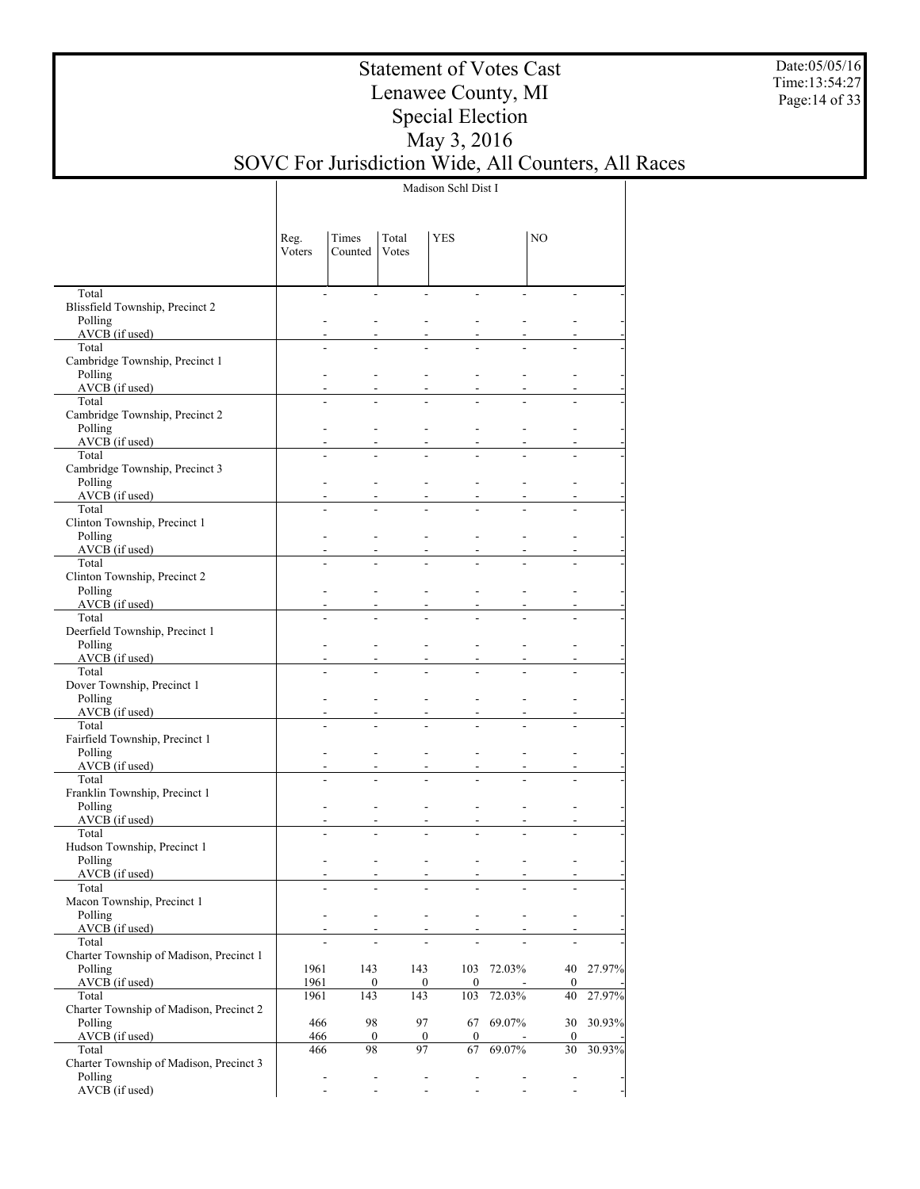Date:05/05/16 Time:13:54:27 Page:14 of 33

## Statement of Votes Cast Lenawee County, MI Special Election May 3, 2016 SOVC For Jurisdiction Wide, All Counters, All Races

Madison Schl Dist I

|                                                    | Reg.<br>Voters | Times<br>Counted                                     | Total<br>Votes           | <b>YES</b>                                           |            | NO                       |           |
|----------------------------------------------------|----------------|------------------------------------------------------|--------------------------|------------------------------------------------------|------------|--------------------------|-----------|
| Total                                              |                | $\overline{\phantom{a}}$<br>$\overline{a}$           |                          |                                                      |            |                          |           |
| Blissfield Township, Precinct 2                    |                |                                                      |                          |                                                      |            |                          |           |
| Polling                                            |                |                                                      |                          |                                                      |            |                          |           |
| AVCB (if used)                                     |                |                                                      |                          |                                                      |            |                          |           |
| Total                                              |                |                                                      |                          |                                                      |            |                          |           |
| Cambridge Township, Precinct 1<br>Polling          |                |                                                      |                          |                                                      |            |                          |           |
| AVCB (if used)                                     |                |                                                      |                          |                                                      |            |                          |           |
| Total                                              |                |                                                      |                          |                                                      |            |                          |           |
| Cambridge Township, Precinct 2                     |                |                                                      |                          |                                                      |            |                          |           |
| Polling                                            |                |                                                      |                          |                                                      |            |                          |           |
| AVCB (if used)                                     |                |                                                      |                          |                                                      |            |                          |           |
| Total<br>Cambridge Township, Precinct 3            |                |                                                      |                          |                                                      |            |                          |           |
| Polling                                            |                |                                                      |                          |                                                      |            |                          |           |
| $AVCB$ (if used)                                   |                |                                                      |                          |                                                      |            |                          |           |
| Total                                              |                |                                                      |                          |                                                      |            |                          |           |
| Clinton Township, Precinct 1                       |                |                                                      |                          |                                                      |            |                          |           |
| Polling                                            |                |                                                      |                          |                                                      |            |                          |           |
| $AVCB$ (if used)                                   |                |                                                      |                          |                                                      |            |                          |           |
| Total<br>Clinton Township, Precinct 2              |                |                                                      |                          |                                                      |            |                          |           |
| Polling                                            |                |                                                      |                          |                                                      |            |                          |           |
| AVCB (if used)                                     |                |                                                      |                          |                                                      |            |                          |           |
| Total                                              |                |                                                      |                          |                                                      |            |                          |           |
| Deerfield Township, Precinct 1                     |                |                                                      |                          |                                                      |            |                          |           |
| Polling                                            |                |                                                      |                          |                                                      |            |                          |           |
| $AVCB$ (if used)<br>Total                          |                |                                                      |                          |                                                      |            |                          |           |
| Dover Township, Precinct 1                         |                |                                                      |                          |                                                      |            |                          |           |
| Polling                                            |                |                                                      |                          |                                                      |            |                          |           |
| AVCB (if used)                                     |                |                                                      |                          |                                                      |            |                          |           |
| Total                                              |                |                                                      |                          |                                                      |            |                          |           |
| Fairfield Township, Precinct 1                     |                |                                                      |                          |                                                      |            |                          |           |
| Polling                                            |                |                                                      |                          |                                                      |            |                          |           |
| AVCB (if used)<br>Total                            |                |                                                      |                          |                                                      |            |                          |           |
| Franklin Township, Precinct 1                      |                |                                                      |                          |                                                      |            |                          |           |
| Polling                                            |                |                                                      |                          |                                                      |            |                          |           |
| AVCB (if used)                                     |                |                                                      |                          |                                                      |            |                          |           |
| Total                                              |                |                                                      |                          |                                                      |            |                          |           |
| Hudson Township, Precinct 1                        |                |                                                      |                          |                                                      |            |                          |           |
| Polling<br>AVCB (if used)                          |                |                                                      |                          | $\overline{\phantom{a}}$<br>$\overline{\phantom{a}}$ |            |                          |           |
| Total                                              |                |                                                      |                          | ۰                                                    |            |                          |           |
| Macon Township, Precinct 1                         |                |                                                      |                          |                                                      |            |                          |           |
| Polling                                            | $\blacksquare$ | $\overline{\phantom{a}}$                             | $\overline{\phantom{a}}$ | $\overline{\phantom{a}}$                             |            | $\overline{\phantom{0}}$ |           |
| AVCB (if used)                                     |                |                                                      |                          | $\overline{\phantom{a}}$                             |            |                          |           |
| Total                                              |                |                                                      |                          |                                                      |            |                          |           |
| Charter Township of Madison, Precinct 1            |                |                                                      |                          |                                                      |            |                          |           |
| Polling<br>$AVCB$ (if used)                        | 1961<br>1961   | 143<br>$\boldsymbol{0}$                              | 143<br>$\boldsymbol{0}$  | $\overline{0}$                                       | 103 72.03% | 0                        | 40 27.97% |
| Total                                              | 1961           | 143                                                  | 143                      | 103                                                  | 72.03%     | 40                       | 27.97%    |
| Charter Township of Madison, Precinct 2            |                |                                                      |                          |                                                      |            |                          |           |
| Polling                                            | 466            | 98                                                   | 97                       | 67                                                   | 69.07%     | 30                       | 30.93%    |
| AVCB (if used)                                     | 466            | $\boldsymbol{0}$                                     | $\boldsymbol{0}$         | $\mathbf{0}$                                         |            | $\boldsymbol{0}$         |           |
| Total                                              | 466            | 98                                                   | 97                       | 67                                                   | 69.07%     | 30                       | 30.93%    |
| Charter Township of Madison, Precinct 3<br>Polling |                | $\overline{\phantom{a}}$<br>$\overline{\phantom{a}}$ |                          | $\overline{\phantom{a}}$                             |            | $\overline{\phantom{a}}$ |           |
| AVCB (if used)                                     |                | $\blacksquare$                                       |                          | ÷,                                                   |            |                          |           |
|                                                    |                |                                                      |                          |                                                      |            |                          |           |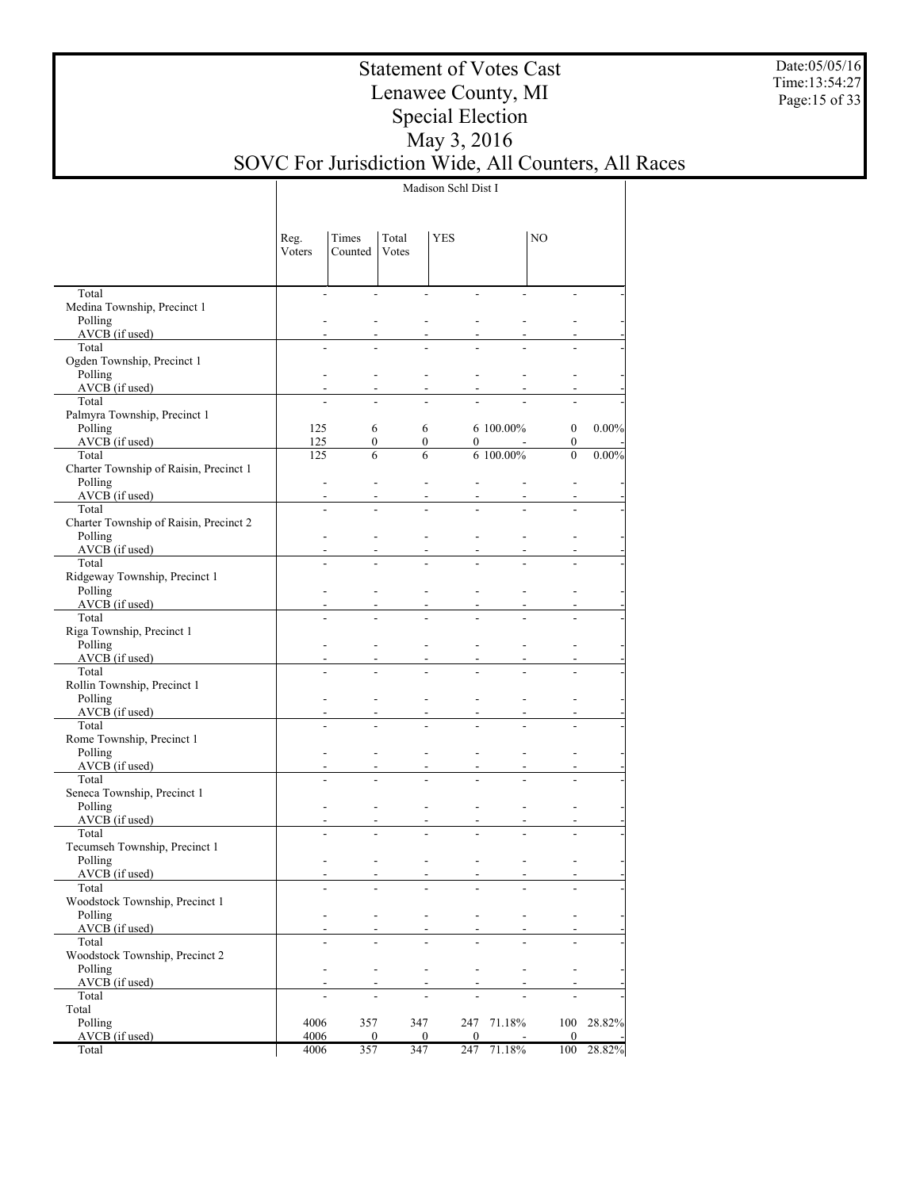Date:05/05/16 Time:13:54:27 Page:15 of 33

## Statement of Votes Cast Lenawee County, MI Special Election May 3, 2016 SOVC For Jurisdiction Wide, All Counters, All Races

Madison Schl Dist I

|                                        | Reg.<br>Voters           | Times<br>Counted | Total<br>Votes   | YES                      |           | NO               |          |
|----------------------------------------|--------------------------|------------------|------------------|--------------------------|-----------|------------------|----------|
| Total                                  | $\overline{a}$           | ÷                |                  | ÷.                       |           |                  |          |
| Medina Township, Precinct 1<br>Polling |                          |                  |                  |                          |           |                  |          |
| $AVCB$ (if used)                       |                          |                  |                  |                          |           |                  |          |
| Total                                  |                          |                  |                  |                          |           |                  |          |
| Ogden Township, Precinct 1             |                          |                  |                  |                          |           |                  |          |
| Polling                                |                          |                  |                  |                          |           |                  |          |
| $AVCB$ (if used)                       |                          |                  |                  |                          |           |                  |          |
| Total<br>Palmyra Township, Precinct 1  |                          |                  |                  |                          |           |                  |          |
| Polling                                | 125                      | 6                | 6                |                          | 6 100.00% | $\boldsymbol{0}$ | $0.00\%$ |
| AVCB (if used)                         | 125                      | $\overline{0}$   | $\boldsymbol{0}$ | 0                        |           | 0                |          |
| Total                                  | 125                      | 6                | 6                |                          | 6 100.00% | $\overline{0}$   | $0.00\%$ |
| Charter Township of Raisin, Precinct 1 |                          |                  |                  |                          |           |                  |          |
| Polling                                |                          |                  |                  |                          |           |                  |          |
| AVCB (if used)<br>Total                |                          |                  |                  |                          |           |                  |          |
| Charter Township of Raisin, Precinct 2 |                          |                  |                  |                          |           |                  |          |
| Polling                                |                          |                  |                  |                          |           |                  |          |
| AVCB (if used)                         |                          |                  |                  |                          |           |                  |          |
| Total                                  |                          |                  |                  |                          |           |                  |          |
| Ridgeway Township, Precinct 1          |                          |                  |                  |                          |           |                  |          |
| Polling                                |                          |                  |                  |                          |           |                  |          |
| AVCB (if used)<br>Total                |                          |                  |                  |                          |           |                  |          |
| Riga Township, Precinct 1              |                          |                  |                  |                          |           |                  |          |
| Polling                                |                          |                  |                  |                          |           |                  |          |
| AVCB (if used)                         |                          |                  |                  |                          |           |                  |          |
| Total                                  |                          |                  |                  |                          |           |                  |          |
| Rollin Township, Precinct 1            |                          |                  |                  |                          |           |                  |          |
| Polling                                |                          |                  |                  |                          |           |                  |          |
| $AVCB$ (if used)<br>Total              |                          |                  |                  |                          |           |                  |          |
| Rome Township, Precinct 1              |                          |                  |                  |                          |           |                  |          |
| Polling                                |                          |                  |                  |                          |           |                  |          |
| $AVCB$ (if used)                       |                          |                  |                  |                          |           |                  |          |
| Total                                  |                          |                  |                  |                          |           |                  |          |
| Seneca Township, Precinct 1            |                          |                  |                  |                          |           |                  |          |
| Polling<br>$AVCB$ (if used)            |                          |                  |                  |                          |           |                  |          |
| Total                                  |                          |                  |                  |                          |           |                  |          |
| Tecumseh Township, Precinct 1          |                          |                  |                  |                          |           |                  |          |
| Polling                                |                          |                  |                  |                          |           |                  |          |
| AVCB (if used)                         | $\overline{\phantom{a}}$ |                  |                  | $\overline{\phantom{a}}$ |           |                  |          |
| Total                                  |                          |                  |                  |                          |           |                  |          |
| Woodstock Township, Precinct 1         |                          |                  |                  |                          |           |                  |          |
| Polling<br>AVCB (if used)              |                          |                  |                  |                          |           |                  |          |
| Total                                  |                          |                  |                  |                          |           |                  |          |
| Woodstock Township, Precinct 2         |                          |                  |                  |                          |           |                  |          |
| Polling                                |                          |                  |                  | $\overline{a}$           |           |                  |          |
| AVCB (if used)                         |                          |                  |                  |                          |           |                  |          |
| Total                                  |                          |                  |                  |                          |           |                  |          |
| Total<br>Polling                       | 4006                     | 357              | 347              | 247                      | 71.18%    | 100              | 28.82%   |
| AVCB (if used)                         | 4006                     | 0                | 0                | $\Omega$                 |           | $\mathbf{0}$     |          |
| Total                                  | 4006                     | 357              | 347              | 247                      | 71.18%    | 100              | 28.82%   |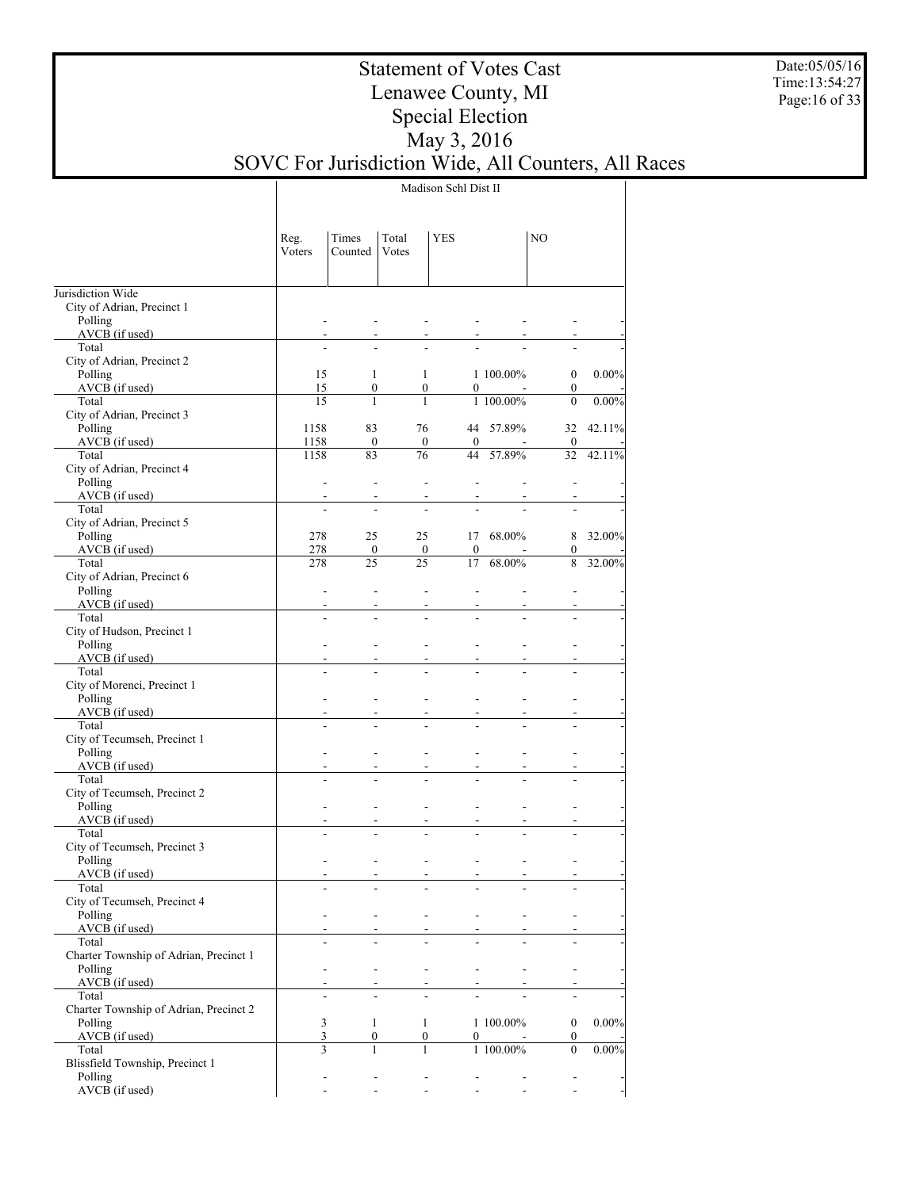Date:05/05/16 Time:13:54:27 Page:16 of 33

## Statement of Votes Cast Lenawee County, MI Special Election May 3, 2016 SOVC For Jurisdiction Wide, All Counters, All Races

Madison Schl Dist II

|                                                   | Reg.<br>Voters | Times<br>Counted       | Total<br>Votes | YES                                                  |           | NO                       |           |
|---------------------------------------------------|----------------|------------------------|----------------|------------------------------------------------------|-----------|--------------------------|-----------|
| Jurisdiction Wide                                 |                |                        |                |                                                      |           |                          |           |
| City of Adrian, Precinct 1                        |                |                        |                |                                                      |           |                          |           |
| Polling                                           |                |                        |                |                                                      |           |                          |           |
| AVCB (if used)<br>Total                           |                |                        |                |                                                      |           |                          |           |
| City of Adrian, Precinct 2                        |                |                        |                |                                                      |           |                          |           |
| Polling                                           | 15             | 1                      |                | 1                                                    | 1 100.00% | $\boldsymbol{0}$         | $0.00\%$  |
| AVCB (if used)                                    | 15             | 0                      |                | $\boldsymbol{0}$<br>0                                |           | $\boldsymbol{0}$         |           |
| Total                                             | 15             | $\mathbf{1}$           |                | 1                                                    | 1 100.00% | $\mathbf{0}$             | $0.00\%$  |
| City of Adrian, Precinct 3                        |                |                        |                |                                                      |           |                          |           |
| Polling<br>AVCB (if used)                         | 1158<br>1158   | 83<br>$\boldsymbol{0}$ | 76             | $\boldsymbol{0}$<br>$\mathbf{0}$                     | 44 57.89% | $\bf{0}$                 | 32 42.11% |
| Total                                             | 1158           | 83                     | 76             | 44                                                   | 57.89%    | 32                       | 42.11%    |
| City of Adrian, Precinct 4                        |                |                        |                |                                                      |           |                          |           |
| Polling                                           |                |                        |                |                                                      |           |                          |           |
| AVCB (if used)                                    |                |                        |                |                                                      |           |                          |           |
| Total                                             |                |                        |                |                                                      |           |                          |           |
| City of Adrian, Precinct 5<br>Polling             | 278            | 25                     | 25             | 17                                                   | 68.00%    | 8                        | 32.00%    |
| AVCB (if used)                                    | 278            | 0                      |                | $\bf{0}$<br>0                                        |           | 0                        |           |
| Total                                             | 278            | 25                     | 25             | 17                                                   | 68.00%    | 8                        | 32.00%    |
| City of Adrian, Precinct 6                        |                |                        |                |                                                      |           |                          |           |
| Polling                                           |                |                        |                |                                                      |           |                          |           |
| AVCB (if used)                                    |                |                        |                |                                                      |           |                          |           |
| Total                                             |                |                        |                |                                                      |           |                          |           |
| City of Hudson, Precinct 1<br>Polling             |                |                        |                |                                                      |           |                          |           |
| $AVCB$ (if used)                                  |                |                        |                |                                                      |           |                          |           |
| Total                                             |                |                        |                |                                                      |           |                          |           |
| City of Morenci, Precinct 1                       |                |                        |                |                                                      |           |                          |           |
| Polling                                           |                |                        |                |                                                      |           |                          |           |
| AVCB (if used)                                    |                |                        |                |                                                      |           |                          |           |
| Total<br>City of Tecumseh, Precinct 1             |                |                        |                |                                                      |           |                          |           |
| Polling                                           |                |                        |                |                                                      |           |                          |           |
| AVCB (if used)                                    |                |                        |                |                                                      |           |                          |           |
| Total                                             |                |                        |                |                                                      |           |                          |           |
| City of Tecumseh, Precinct 2                      |                |                        |                |                                                      |           |                          |           |
| Polling                                           |                |                        |                |                                                      |           |                          |           |
| AVCB (if used)<br>Total                           |                |                        |                |                                                      |           |                          |           |
| City of Tecumseh, Precinct 3                      |                |                        |                |                                                      |           |                          |           |
| Polling                                           |                |                        |                |                                                      |           |                          |           |
| AVCB (if used)                                    |                |                        |                | ٠<br>$\overline{\phantom{0}}$                        |           |                          |           |
| Total                                             |                |                        |                |                                                      |           |                          |           |
| City of Tecumseh, Precinct 4                      |                |                        |                |                                                      |           |                          |           |
| Polling<br>AVCB (if used)                         |                |                        |                | $\overline{\phantom{a}}$                             |           |                          |           |
| Total                                             |                |                        |                |                                                      |           |                          |           |
| Charter Township of Adrian, Precinct 1            |                |                        |                |                                                      |           |                          |           |
| Polling                                           |                |                        |                | $\overline{\phantom{a}}$<br>$\overline{\phantom{a}}$ |           |                          |           |
| $AVCB$ (if used)                                  |                |                        |                |                                                      |           |                          |           |
| Total                                             |                |                        |                |                                                      |           |                          |           |
| Charter Township of Adrian, Precinct 2<br>Polling | $\mathfrak{Z}$ | $\mathbf{1}$           |                | $\mathbf{1}$                                         | 1 100.00% | $\boldsymbol{0}$         | $0.00\%$  |
| AVCB (if used)                                    | 3              | $\boldsymbol{0}$       |                | $\mathbf{0}$<br>$\mathbf{0}$                         | $\sim$    | 0                        |           |
| Total                                             | 3              | 1                      |                | $\mathbf{1}$                                         | 1 100.00% | $\mathbf{0}$             | $0.00\%$  |
| Blissfield Township, Precinct 1                   |                |                        |                |                                                      |           |                          |           |
| Polling                                           |                |                        |                | $\overline{\phantom{a}}$                             |           | $\overline{\phantom{0}}$ |           |
| AVCB (if used)                                    |                |                        | ÷.             | ÷.<br>$\blacksquare$                                 |           | L.<br>$\sim$             |           |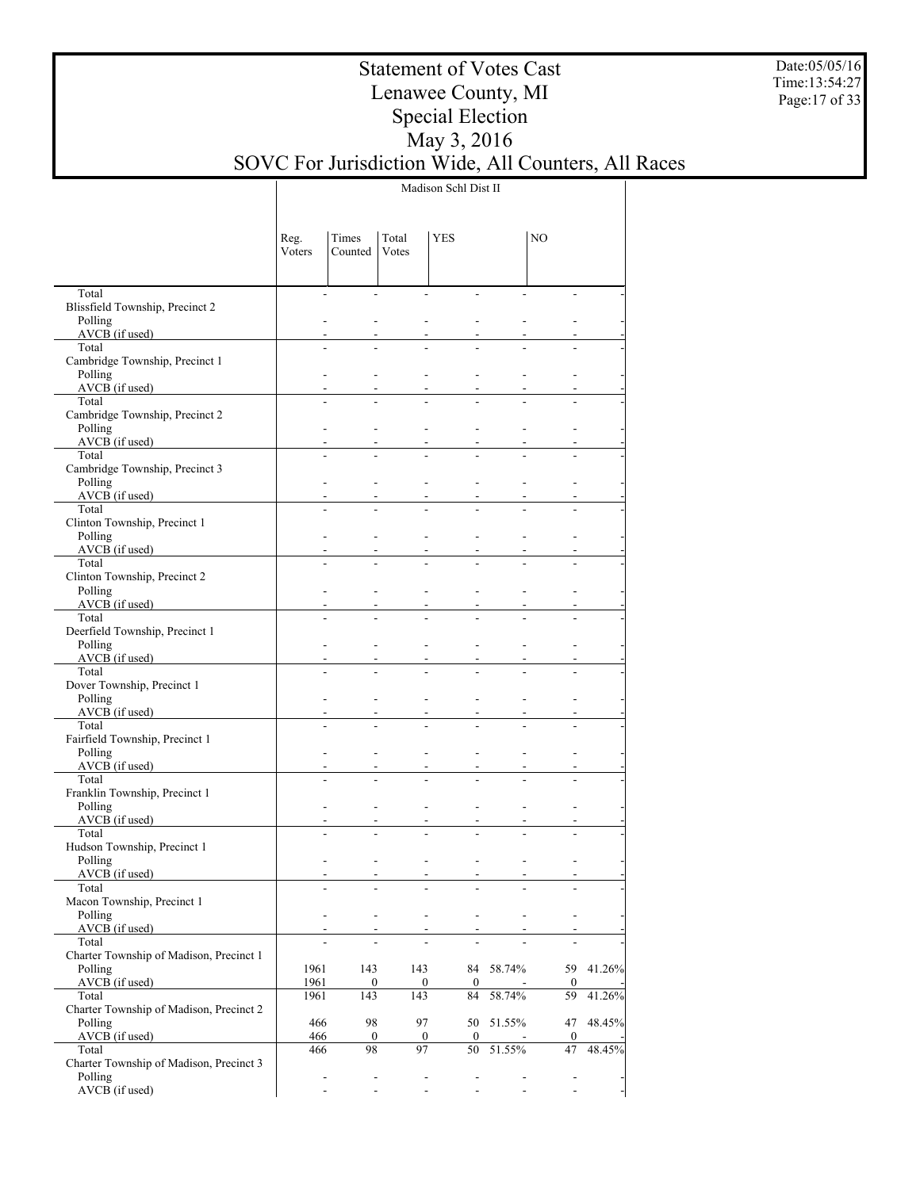Date:05/05/16 Time:13:54:27 Page:17 of 33

## Statement of Votes Cast Lenawee County, MI Special Election May 3, 2016 SOVC For Jurisdiction Wide, All Counters, All Races

Madison Schl Dist II

|                                           | Reg.<br>Voters | Times<br>Counted                                         | Total<br>Votes                                       | <b>YES</b>               |           | NO                       |           |
|-------------------------------------------|----------------|----------------------------------------------------------|------------------------------------------------------|--------------------------|-----------|--------------------------|-----------|
| Total                                     |                | $\overline{\phantom{a}}$                                 | $\overline{a}$<br>$\overline{a}$                     |                          |           |                          |           |
| Blissfield Township, Precinct 2           |                |                                                          |                                                      |                          |           |                          |           |
| Polling                                   |                |                                                          |                                                      |                          |           |                          |           |
| AVCB (if used)                            |                |                                                          |                                                      |                          |           |                          |           |
| Total                                     |                |                                                          |                                                      |                          |           |                          |           |
| Cambridge Township, Precinct 1<br>Polling |                |                                                          |                                                      |                          |           |                          |           |
| AVCB (if used)                            |                |                                                          |                                                      |                          |           |                          |           |
| Total                                     |                |                                                          |                                                      |                          |           |                          |           |
| Cambridge Township, Precinct 2            |                |                                                          |                                                      |                          |           |                          |           |
| Polling                                   |                |                                                          |                                                      |                          |           |                          |           |
| $AVCB$ (if used)                          |                |                                                          |                                                      |                          |           |                          |           |
| Total                                     |                |                                                          |                                                      |                          |           |                          |           |
| Cambridge Township, Precinct 3<br>Polling |                |                                                          |                                                      |                          |           |                          |           |
| $AVCB$ (if used)                          |                |                                                          |                                                      |                          |           |                          |           |
| Total                                     |                |                                                          |                                                      |                          |           |                          |           |
| Clinton Township, Precinct 1              |                |                                                          |                                                      |                          |           |                          |           |
| Polling                                   |                |                                                          |                                                      |                          |           |                          |           |
| $AVCB$ (if used)                          |                |                                                          |                                                      |                          |           |                          |           |
| Total<br>Clinton Township, Precinct 2     |                |                                                          |                                                      |                          |           |                          |           |
| Polling                                   |                |                                                          |                                                      |                          |           |                          |           |
| $AVCB$ (if used)                          |                |                                                          |                                                      |                          |           |                          |           |
| Total                                     |                |                                                          |                                                      |                          |           |                          |           |
| Deerfield Township, Precinct 1            |                |                                                          |                                                      |                          |           |                          |           |
| Polling                                   |                |                                                          |                                                      |                          |           |                          |           |
| $AVCB$ (if used)                          |                |                                                          |                                                      |                          |           |                          |           |
| Total<br>Dover Township, Precinct 1       |                |                                                          |                                                      |                          |           |                          |           |
| Polling                                   |                |                                                          |                                                      |                          |           |                          |           |
| $AVCB$ (if used)                          |                |                                                          |                                                      |                          |           |                          |           |
| Total                                     |                |                                                          |                                                      |                          |           |                          |           |
| Fairfield Township, Precinct 1            |                |                                                          |                                                      |                          |           |                          |           |
| Polling                                   |                |                                                          |                                                      |                          |           |                          |           |
| AVCB (if used)<br>Total                   |                |                                                          |                                                      |                          |           |                          |           |
| Franklin Township, Precinct 1             |                |                                                          |                                                      |                          |           |                          |           |
| Polling                                   |                | $\blacksquare$                                           |                                                      |                          |           |                          |           |
| AVCB (if used)                            |                |                                                          |                                                      |                          |           |                          |           |
| Total                                     |                |                                                          |                                                      |                          |           |                          |           |
| Hudson Township, Precinct 1               |                |                                                          |                                                      |                          |           |                          |           |
| Polling                                   |                |                                                          |                                                      |                          |           |                          |           |
| $AVCB$ (if used)<br>Total                 |                | $\overline{\phantom{a}}$                                 | $\overline{\phantom{a}}$                             | $\overline{\phantom{a}}$ |           |                          |           |
| Macon Township, Precinct 1                |                |                                                          |                                                      | $\overline{\phantom{a}}$ |           |                          |           |
| Polling                                   |                | $\overline{\phantom{a}}$                                 | $\overline{\phantom{a}}$<br>$\overline{\phantom{a}}$ | $\overline{\phantom{a}}$ |           | $\overline{\phantom{0}}$ |           |
| AVCB (if used)                            |                |                                                          |                                                      | $\sim$                   |           |                          |           |
| Total                                     |                |                                                          |                                                      |                          |           |                          |           |
| Charter Township of Madison, Precinct 1   |                |                                                          |                                                      |                          |           |                          |           |
| Polling                                   | 1961           | 143                                                      | 143                                                  |                          | 84 58.74% |                          | 59 41.26% |
| $AVCB$ (if used)<br>Total                 | 1961<br>1961   | 0<br>143                                                 | $\boldsymbol{0}$<br>143                              | $\mathbf{0}$<br>84       | 58.74%    | 0<br>59                  | 41.26%    |
| Charter Township of Madison, Precinct 2   |                |                                                          |                                                      |                          |           |                          |           |
| Polling                                   | 466            | 98                                                       | 97                                                   |                          | 50 51.55% | 47                       | 48.45%    |
| AVCB (if used)                            | 466            | $\boldsymbol{0}$                                         | $\boldsymbol{0}$                                     | $\overline{0}$           |           | $\boldsymbol{0}$         |           |
| Total                                     | 466            | 98                                                       | 97                                                   | 50                       | 51.55%    | 47                       | 48.45%    |
| Charter Township of Madison, Precinct 3   |                |                                                          |                                                      |                          |           |                          |           |
| Polling                                   |                | $\overline{\phantom{a}}$<br>$\qquad \qquad \blacksquare$ |                                                      | $\overline{\phantom{a}}$ |           | -                        |           |
| AVCB (if used)                            |                | $\blacksquare$                                           |                                                      | ÷,                       |           |                          |           |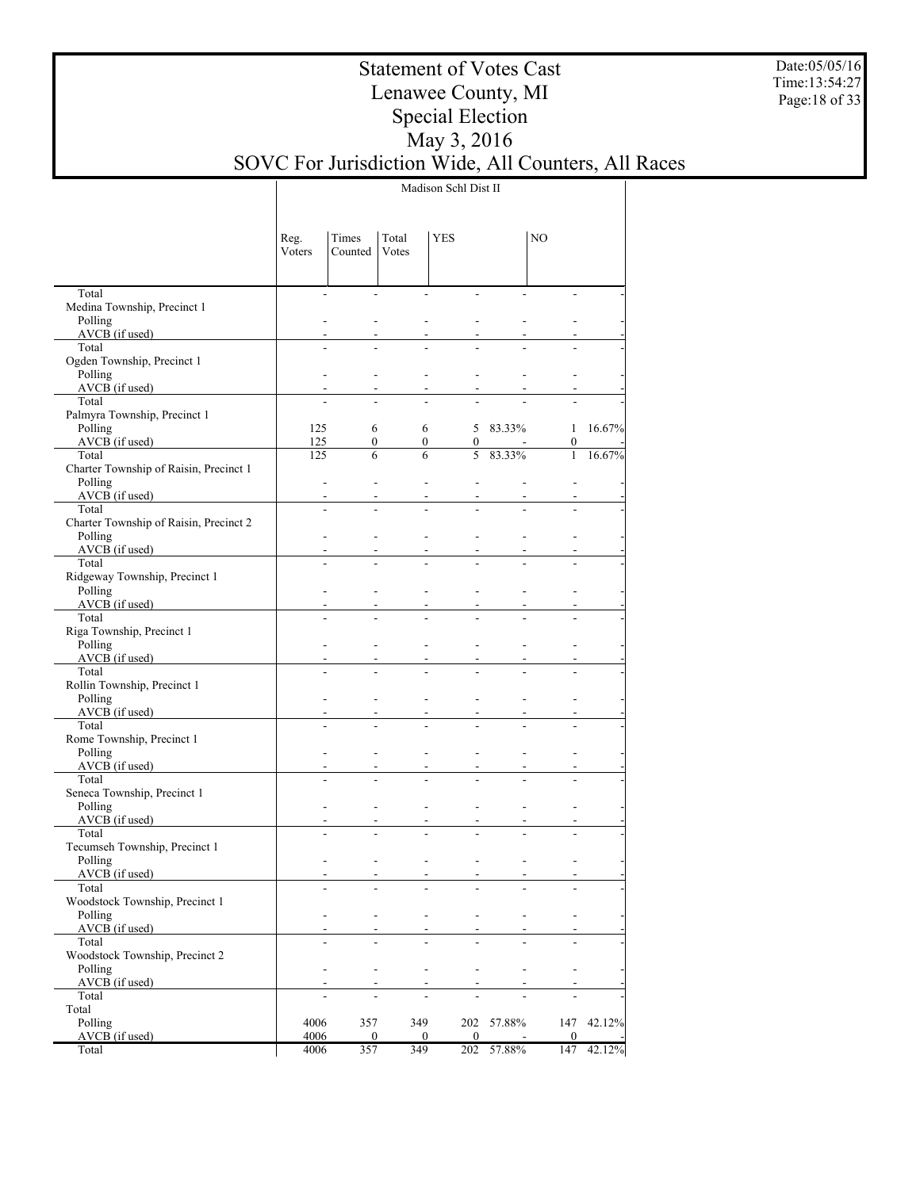Date:05/05/16 Time:13:54:27 Page:18 of 33

## Statement of Votes Cast Lenawee County, MI Special Election May 3, 2016 SOVC For Jurisdiction Wide, All Counters, All Races

Madison Schl Dist II

| $\blacksquare$<br>$\overline{a}$<br>÷.<br>Medina Township, Precinct 1<br>Polling<br>$AVCB$ (if used)<br>Total<br>÷.<br>Ogden Township, Precinct 1<br>Polling<br>L,<br>$AVCB$ (if used)<br>Total<br>Palmyra Township, Precinct 1<br>Polling<br>125<br>5 83.33%<br>6<br>6<br>$\mathbf{1}$<br>$AVCB$ (if used)<br>125<br>$\boldsymbol{0}$<br>$\boldsymbol{0}$<br>$\boldsymbol{0}$<br>$\boldsymbol{0}$<br>$583.33\%$<br>Total<br>6<br>6<br>$\mathbf{1}$<br>125<br>Charter Township of Raisin, Precinct 1<br>Polling<br>÷,<br>$\overline{a}$<br>$\overline{\phantom{0}}$<br>$\overline{a}$<br>AVCB (if used)<br>Total<br>$\overline{a}$<br>Charter Township of Raisin, Precinct 2<br>Polling<br>$AVCB$ (if used)<br>Total<br>÷.<br>Ridgeway Township, Precinct 1<br>Polling<br>$AVCB$ (if used)<br>Total<br>÷.<br>Riga Township, Precinct 1<br>Polling<br>$AVCB$ (if used)<br>Total<br>÷.<br>Rollin Township, Precinct 1<br>Polling<br>$AVCB$ (if used)<br>Total<br>$\overline{a}$<br>Rome Township, Precinct 1<br>Polling<br>L,<br>AVCB (if used)<br>Total<br>$\overline{a}$<br>Seneca Township, Precinct 1<br>Polling<br>÷,<br>L,<br>L,<br>$AVCB$ (if used)<br>Total<br>$\overline{a}$<br>Tecumseh Township, Precinct 1<br>Polling<br>$\overline{a}$<br>AVCB (if used)<br>$\overline{\phantom{a}}$<br>Total<br>Woodstock Township, Precinct 1<br>Polling<br>$\overline{a}$<br>٠<br>$AVCB$ (if used)<br>Total<br>Woodstock Township, Precinct 2<br>Polling<br>L,<br>AVCB (if used)<br>Total<br>Total<br>Polling<br>4006<br>357<br>349<br>202 57.88%<br>147<br>AVCB (if used)<br>4006<br>$\mathbf{0}$<br>$\bf{0}$<br>$\bf{0}$<br>$\mathbf{0}$<br>357<br>349<br>4006 |       | Reg.<br>Voters | Times<br>Counted | Total<br>Votes | <b>YES</b> |        | NO  |        |
|----------------------------------------------------------------------------------------------------------------------------------------------------------------------------------------------------------------------------------------------------------------------------------------------------------------------------------------------------------------------------------------------------------------------------------------------------------------------------------------------------------------------------------------------------------------------------------------------------------------------------------------------------------------------------------------------------------------------------------------------------------------------------------------------------------------------------------------------------------------------------------------------------------------------------------------------------------------------------------------------------------------------------------------------------------------------------------------------------------------------------------------------------------------------------------------------------------------------------------------------------------------------------------------------------------------------------------------------------------------------------------------------------------------------------------------------------------------------------------------------------------------------------------------------------------------------------------------------------------------------------------------------------------------|-------|----------------|------------------|----------------|------------|--------|-----|--------|
| 16.67%                                                                                                                                                                                                                                                                                                                                                                                                                                                                                                                                                                                                                                                                                                                                                                                                                                                                                                                                                                                                                                                                                                                                                                                                                                                                                                                                                                                                                                                                                                                                                                                                                                                         | Total |                |                  |                | ÷,         |        |     |        |
|                                                                                                                                                                                                                                                                                                                                                                                                                                                                                                                                                                                                                                                                                                                                                                                                                                                                                                                                                                                                                                                                                                                                                                                                                                                                                                                                                                                                                                                                                                                                                                                                                                                                |       |                |                  |                |            |        |     |        |
|                                                                                                                                                                                                                                                                                                                                                                                                                                                                                                                                                                                                                                                                                                                                                                                                                                                                                                                                                                                                                                                                                                                                                                                                                                                                                                                                                                                                                                                                                                                                                                                                                                                                |       |                |                  |                |            |        |     |        |
|                                                                                                                                                                                                                                                                                                                                                                                                                                                                                                                                                                                                                                                                                                                                                                                                                                                                                                                                                                                                                                                                                                                                                                                                                                                                                                                                                                                                                                                                                                                                                                                                                                                                |       |                |                  |                |            |        |     |        |
|                                                                                                                                                                                                                                                                                                                                                                                                                                                                                                                                                                                                                                                                                                                                                                                                                                                                                                                                                                                                                                                                                                                                                                                                                                                                                                                                                                                                                                                                                                                                                                                                                                                                |       |                |                  |                |            |        |     |        |
|                                                                                                                                                                                                                                                                                                                                                                                                                                                                                                                                                                                                                                                                                                                                                                                                                                                                                                                                                                                                                                                                                                                                                                                                                                                                                                                                                                                                                                                                                                                                                                                                                                                                |       |                |                  |                |            |        |     |        |
|                                                                                                                                                                                                                                                                                                                                                                                                                                                                                                                                                                                                                                                                                                                                                                                                                                                                                                                                                                                                                                                                                                                                                                                                                                                                                                                                                                                                                                                                                                                                                                                                                                                                |       |                |                  |                |            |        |     |        |
|                                                                                                                                                                                                                                                                                                                                                                                                                                                                                                                                                                                                                                                                                                                                                                                                                                                                                                                                                                                                                                                                                                                                                                                                                                                                                                                                                                                                                                                                                                                                                                                                                                                                |       |                |                  |                |            |        |     |        |
| 16.67%<br>42.12%                                                                                                                                                                                                                                                                                                                                                                                                                                                                                                                                                                                                                                                                                                                                                                                                                                                                                                                                                                                                                                                                                                                                                                                                                                                                                                                                                                                                                                                                                                                                                                                                                                               |       |                |                  |                |            |        |     |        |
|                                                                                                                                                                                                                                                                                                                                                                                                                                                                                                                                                                                                                                                                                                                                                                                                                                                                                                                                                                                                                                                                                                                                                                                                                                                                                                                                                                                                                                                                                                                                                                                                                                                                |       |                |                  |                |            |        |     |        |
|                                                                                                                                                                                                                                                                                                                                                                                                                                                                                                                                                                                                                                                                                                                                                                                                                                                                                                                                                                                                                                                                                                                                                                                                                                                                                                                                                                                                                                                                                                                                                                                                                                                                |       |                |                  |                |            |        |     |        |
|                                                                                                                                                                                                                                                                                                                                                                                                                                                                                                                                                                                                                                                                                                                                                                                                                                                                                                                                                                                                                                                                                                                                                                                                                                                                                                                                                                                                                                                                                                                                                                                                                                                                |       |                |                  |                |            |        |     |        |
|                                                                                                                                                                                                                                                                                                                                                                                                                                                                                                                                                                                                                                                                                                                                                                                                                                                                                                                                                                                                                                                                                                                                                                                                                                                                                                                                                                                                                                                                                                                                                                                                                                                                |       |                |                  |                |            |        |     |        |
|                                                                                                                                                                                                                                                                                                                                                                                                                                                                                                                                                                                                                                                                                                                                                                                                                                                                                                                                                                                                                                                                                                                                                                                                                                                                                                                                                                                                                                                                                                                                                                                                                                                                |       |                |                  |                |            |        |     |        |
|                                                                                                                                                                                                                                                                                                                                                                                                                                                                                                                                                                                                                                                                                                                                                                                                                                                                                                                                                                                                                                                                                                                                                                                                                                                                                                                                                                                                                                                                                                                                                                                                                                                                |       |                |                  |                |            |        |     |        |
|                                                                                                                                                                                                                                                                                                                                                                                                                                                                                                                                                                                                                                                                                                                                                                                                                                                                                                                                                                                                                                                                                                                                                                                                                                                                                                                                                                                                                                                                                                                                                                                                                                                                |       |                |                  |                |            |        |     |        |
|                                                                                                                                                                                                                                                                                                                                                                                                                                                                                                                                                                                                                                                                                                                                                                                                                                                                                                                                                                                                                                                                                                                                                                                                                                                                                                                                                                                                                                                                                                                                                                                                                                                                |       |                |                  |                |            |        |     |        |
|                                                                                                                                                                                                                                                                                                                                                                                                                                                                                                                                                                                                                                                                                                                                                                                                                                                                                                                                                                                                                                                                                                                                                                                                                                                                                                                                                                                                                                                                                                                                                                                                                                                                |       |                |                  |                |            |        |     |        |
|                                                                                                                                                                                                                                                                                                                                                                                                                                                                                                                                                                                                                                                                                                                                                                                                                                                                                                                                                                                                                                                                                                                                                                                                                                                                                                                                                                                                                                                                                                                                                                                                                                                                |       |                |                  |                |            |        |     |        |
|                                                                                                                                                                                                                                                                                                                                                                                                                                                                                                                                                                                                                                                                                                                                                                                                                                                                                                                                                                                                                                                                                                                                                                                                                                                                                                                                                                                                                                                                                                                                                                                                                                                                |       |                |                  |                |            |        |     |        |
|                                                                                                                                                                                                                                                                                                                                                                                                                                                                                                                                                                                                                                                                                                                                                                                                                                                                                                                                                                                                                                                                                                                                                                                                                                                                                                                                                                                                                                                                                                                                                                                                                                                                |       |                |                  |                |            |        |     |        |
|                                                                                                                                                                                                                                                                                                                                                                                                                                                                                                                                                                                                                                                                                                                                                                                                                                                                                                                                                                                                                                                                                                                                                                                                                                                                                                                                                                                                                                                                                                                                                                                                                                                                |       |                |                  |                |            |        |     |        |
|                                                                                                                                                                                                                                                                                                                                                                                                                                                                                                                                                                                                                                                                                                                                                                                                                                                                                                                                                                                                                                                                                                                                                                                                                                                                                                                                                                                                                                                                                                                                                                                                                                                                |       |                |                  |                |            |        |     |        |
|                                                                                                                                                                                                                                                                                                                                                                                                                                                                                                                                                                                                                                                                                                                                                                                                                                                                                                                                                                                                                                                                                                                                                                                                                                                                                                                                                                                                                                                                                                                                                                                                                                                                |       |                |                  |                |            |        |     |        |
|                                                                                                                                                                                                                                                                                                                                                                                                                                                                                                                                                                                                                                                                                                                                                                                                                                                                                                                                                                                                                                                                                                                                                                                                                                                                                                                                                                                                                                                                                                                                                                                                                                                                |       |                |                  |                |            |        |     |        |
|                                                                                                                                                                                                                                                                                                                                                                                                                                                                                                                                                                                                                                                                                                                                                                                                                                                                                                                                                                                                                                                                                                                                                                                                                                                                                                                                                                                                                                                                                                                                                                                                                                                                |       |                |                  |                |            |        |     |        |
|                                                                                                                                                                                                                                                                                                                                                                                                                                                                                                                                                                                                                                                                                                                                                                                                                                                                                                                                                                                                                                                                                                                                                                                                                                                                                                                                                                                                                                                                                                                                                                                                                                                                |       |                |                  |                |            |        |     |        |
|                                                                                                                                                                                                                                                                                                                                                                                                                                                                                                                                                                                                                                                                                                                                                                                                                                                                                                                                                                                                                                                                                                                                                                                                                                                                                                                                                                                                                                                                                                                                                                                                                                                                |       |                |                  |                |            |        |     |        |
|                                                                                                                                                                                                                                                                                                                                                                                                                                                                                                                                                                                                                                                                                                                                                                                                                                                                                                                                                                                                                                                                                                                                                                                                                                                                                                                                                                                                                                                                                                                                                                                                                                                                |       |                |                  |                |            |        |     |        |
|                                                                                                                                                                                                                                                                                                                                                                                                                                                                                                                                                                                                                                                                                                                                                                                                                                                                                                                                                                                                                                                                                                                                                                                                                                                                                                                                                                                                                                                                                                                                                                                                                                                                |       |                |                  |                |            |        |     |        |
|                                                                                                                                                                                                                                                                                                                                                                                                                                                                                                                                                                                                                                                                                                                                                                                                                                                                                                                                                                                                                                                                                                                                                                                                                                                                                                                                                                                                                                                                                                                                                                                                                                                                |       |                |                  |                |            |        |     |        |
|                                                                                                                                                                                                                                                                                                                                                                                                                                                                                                                                                                                                                                                                                                                                                                                                                                                                                                                                                                                                                                                                                                                                                                                                                                                                                                                                                                                                                                                                                                                                                                                                                                                                |       |                |                  |                |            |        |     |        |
|                                                                                                                                                                                                                                                                                                                                                                                                                                                                                                                                                                                                                                                                                                                                                                                                                                                                                                                                                                                                                                                                                                                                                                                                                                                                                                                                                                                                                                                                                                                                                                                                                                                                |       |                |                  |                |            |        |     |        |
|                                                                                                                                                                                                                                                                                                                                                                                                                                                                                                                                                                                                                                                                                                                                                                                                                                                                                                                                                                                                                                                                                                                                                                                                                                                                                                                                                                                                                                                                                                                                                                                                                                                                |       |                |                  |                |            |        |     |        |
|                                                                                                                                                                                                                                                                                                                                                                                                                                                                                                                                                                                                                                                                                                                                                                                                                                                                                                                                                                                                                                                                                                                                                                                                                                                                                                                                                                                                                                                                                                                                                                                                                                                                |       |                |                  |                |            |        |     |        |
|                                                                                                                                                                                                                                                                                                                                                                                                                                                                                                                                                                                                                                                                                                                                                                                                                                                                                                                                                                                                                                                                                                                                                                                                                                                                                                                                                                                                                                                                                                                                                                                                                                                                |       |                |                  |                |            |        |     |        |
|                                                                                                                                                                                                                                                                                                                                                                                                                                                                                                                                                                                                                                                                                                                                                                                                                                                                                                                                                                                                                                                                                                                                                                                                                                                                                                                                                                                                                                                                                                                                                                                                                                                                |       |                |                  |                |            |        |     |        |
|                                                                                                                                                                                                                                                                                                                                                                                                                                                                                                                                                                                                                                                                                                                                                                                                                                                                                                                                                                                                                                                                                                                                                                                                                                                                                                                                                                                                                                                                                                                                                                                                                                                                |       |                |                  |                |            |        |     |        |
|                                                                                                                                                                                                                                                                                                                                                                                                                                                                                                                                                                                                                                                                                                                                                                                                                                                                                                                                                                                                                                                                                                                                                                                                                                                                                                                                                                                                                                                                                                                                                                                                                                                                |       |                |                  |                |            |        |     |        |
|                                                                                                                                                                                                                                                                                                                                                                                                                                                                                                                                                                                                                                                                                                                                                                                                                                                                                                                                                                                                                                                                                                                                                                                                                                                                                                                                                                                                                                                                                                                                                                                                                                                                |       |                |                  |                |            |        |     |        |
|                                                                                                                                                                                                                                                                                                                                                                                                                                                                                                                                                                                                                                                                                                                                                                                                                                                                                                                                                                                                                                                                                                                                                                                                                                                                                                                                                                                                                                                                                                                                                                                                                                                                |       |                |                  |                |            |        |     |        |
|                                                                                                                                                                                                                                                                                                                                                                                                                                                                                                                                                                                                                                                                                                                                                                                                                                                                                                                                                                                                                                                                                                                                                                                                                                                                                                                                                                                                                                                                                                                                                                                                                                                                |       |                |                  |                |            |        |     |        |
|                                                                                                                                                                                                                                                                                                                                                                                                                                                                                                                                                                                                                                                                                                                                                                                                                                                                                                                                                                                                                                                                                                                                                                                                                                                                                                                                                                                                                                                                                                                                                                                                                                                                |       |                |                  |                |            |        |     |        |
|                                                                                                                                                                                                                                                                                                                                                                                                                                                                                                                                                                                                                                                                                                                                                                                                                                                                                                                                                                                                                                                                                                                                                                                                                                                                                                                                                                                                                                                                                                                                                                                                                                                                |       |                |                  |                |            |        |     |        |
|                                                                                                                                                                                                                                                                                                                                                                                                                                                                                                                                                                                                                                                                                                                                                                                                                                                                                                                                                                                                                                                                                                                                                                                                                                                                                                                                                                                                                                                                                                                                                                                                                                                                |       |                |                  |                |            |        |     |        |
|                                                                                                                                                                                                                                                                                                                                                                                                                                                                                                                                                                                                                                                                                                                                                                                                                                                                                                                                                                                                                                                                                                                                                                                                                                                                                                                                                                                                                                                                                                                                                                                                                                                                |       |                |                  |                |            |        |     |        |
|                                                                                                                                                                                                                                                                                                                                                                                                                                                                                                                                                                                                                                                                                                                                                                                                                                                                                                                                                                                                                                                                                                                                                                                                                                                                                                                                                                                                                                                                                                                                                                                                                                                                |       |                |                  |                |            |        |     |        |
|                                                                                                                                                                                                                                                                                                                                                                                                                                                                                                                                                                                                                                                                                                                                                                                                                                                                                                                                                                                                                                                                                                                                                                                                                                                                                                                                                                                                                                                                                                                                                                                                                                                                |       |                |                  |                |            |        |     |        |
|                                                                                                                                                                                                                                                                                                                                                                                                                                                                                                                                                                                                                                                                                                                                                                                                                                                                                                                                                                                                                                                                                                                                                                                                                                                                                                                                                                                                                                                                                                                                                                                                                                                                |       |                |                  |                |            |        |     |        |
|                                                                                                                                                                                                                                                                                                                                                                                                                                                                                                                                                                                                                                                                                                                                                                                                                                                                                                                                                                                                                                                                                                                                                                                                                                                                                                                                                                                                                                                                                                                                                                                                                                                                | Total |                |                  |                | 202        | 57.88% | 147 | 42.12% |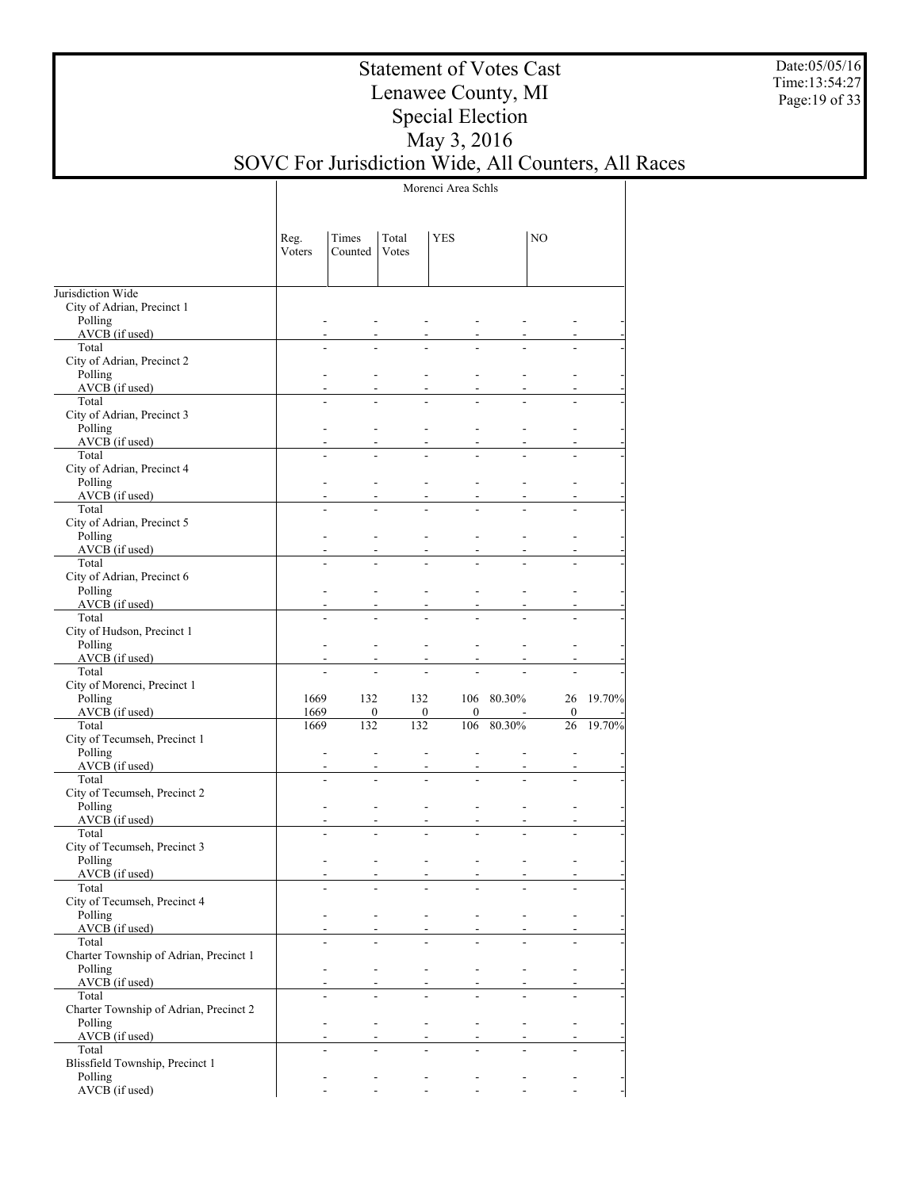Date:05/05/16 Time:13:54:27 Page:19 of 33

## Statement of Votes Cast Lenawee County, MI Special Election May 3, 2016 SOVC For Jurisdiction Wide, All Counters, All Races

Morenci Area Schls

|                                                 | Reg.<br>Voters | Times<br>Counted                                | Total<br>Votes          | <b>YES</b>                                                |            | NO                       |        |
|-------------------------------------------------|----------------|-------------------------------------------------|-------------------------|-----------------------------------------------------------|------------|--------------------------|--------|
| Jurisdiction Wide                               |                |                                                 |                         |                                                           |            |                          |        |
| City of Adrian, Precinct 1                      |                |                                                 |                         |                                                           |            |                          |        |
| Polling                                         |                |                                                 |                         |                                                           |            |                          |        |
| AVCB (if used)<br>Total                         |                |                                                 |                         |                                                           |            |                          |        |
| City of Adrian, Precinct 2                      |                |                                                 |                         |                                                           |            |                          |        |
| Polling                                         |                |                                                 |                         |                                                           |            |                          |        |
| AVCB (if used)                                  |                |                                                 |                         |                                                           |            |                          |        |
| Total                                           |                |                                                 |                         |                                                           |            |                          |        |
| City of Adrian, Precinct 3<br>Polling           |                |                                                 |                         |                                                           |            |                          |        |
| AVCB (if used)                                  |                |                                                 |                         |                                                           |            |                          |        |
| Total                                           |                |                                                 |                         |                                                           |            |                          |        |
| City of Adrian, Precinct 4                      |                |                                                 |                         |                                                           |            |                          |        |
| Polling<br>AVCB (if used)                       |                |                                                 |                         |                                                           |            |                          |        |
| Total                                           |                |                                                 |                         |                                                           |            |                          |        |
| City of Adrian, Precinct 5                      |                |                                                 |                         |                                                           |            |                          |        |
| Polling                                         |                |                                                 |                         |                                                           |            |                          |        |
| AVCB (if used)                                  |                |                                                 |                         |                                                           |            |                          |        |
| Total<br>City of Adrian, Precinct 6             |                |                                                 |                         |                                                           |            |                          |        |
| Polling                                         |                |                                                 |                         |                                                           |            |                          |        |
| AVCB (if used)                                  |                |                                                 |                         |                                                           |            |                          |        |
| Total                                           |                | ÷                                               |                         |                                                           |            |                          |        |
| City of Hudson, Precinct 1                      |                |                                                 |                         |                                                           |            |                          |        |
| Polling<br>AVCB (if used)                       |                |                                                 | $\blacksquare$<br>÷     |                                                           |            |                          |        |
| Total                                           |                |                                                 |                         |                                                           |            |                          |        |
| City of Morenci, Precinct 1                     |                |                                                 |                         |                                                           |            |                          |        |
| Polling                                         | 1669           | 132                                             | 132                     |                                                           | 106 80.30% | 26                       | 19.70% |
| AVCB (if used)<br>Total                         | 1669<br>1669   | $\bf{0}$<br>132                                 | $\boldsymbol{0}$<br>132 | $\boldsymbol{0}$<br>106                                   | 80.30%     | 0<br>26                  | 19.70% |
| City of Tecumseh, Precinct 1                    |                |                                                 |                         |                                                           |            |                          |        |
| Polling                                         |                | ٠                                               | L,                      |                                                           |            |                          |        |
| AVCB (if used)                                  |                |                                                 |                         |                                                           |            |                          |        |
| Total                                           |                | ÷,                                              |                         |                                                           |            |                          |        |
| City of Tecumseh, Precinct 2<br>Polling         |                |                                                 | L                       | $\blacksquare$                                            |            |                          |        |
| AVCB (if used)                                  |                |                                                 |                         | ۰                                                         |            |                          |        |
| Total                                           |                |                                                 |                         |                                                           |            |                          |        |
| City of Tecumseh, Precinct 3                    |                |                                                 |                         |                                                           |            |                          |        |
| Polling                                         |                |                                                 | $\blacksquare$          | $\blacksquare$                                            |            |                          |        |
| AVCB (if used)<br>Total                         |                | $\blacksquare$<br>$\overline{\phantom{a}}$      | -                       | $\overline{\phantom{a}}$<br>$\overline{\phantom{a}}$<br>- |            |                          |        |
| City of Tecumseh, Precinct 4                    |                |                                                 |                         |                                                           |            |                          |        |
| Polling                                         |                | $\overline{\phantom{a}}$                        |                         | $\sim$<br>$\overline{\phantom{a}}$                        |            |                          |        |
| $AVCB$ (if used)                                |                |                                                 |                         | $\sim$                                                    |            |                          |        |
| Total<br>Charter Township of Adrian, Precinct 1 |                |                                                 |                         |                                                           |            |                          |        |
| Polling                                         |                |                                                 |                         | $\overline{\phantom{0}}$<br>$\blacksquare$                |            |                          |        |
| $AVCB$ (if used)                                |                |                                                 |                         | $\sim$                                                    |            |                          |        |
| Total                                           |                | $\overline{a}$                                  |                         |                                                           |            |                          |        |
| Charter Township of Adrian, Precinct 2          |                |                                                 |                         |                                                           |            |                          |        |
| Polling<br>$AVCB$ (if used)                     |                | $\overline{a}$<br>٠<br>$\overline{\phantom{0}}$ |                         | $\overline{\phantom{0}}$<br>$\blacksquare$<br>$\sim$      | ۰          | $\overline{\phantom{a}}$ |        |
| Total                                           |                | $\overline{a}$                                  |                         | $\sim$                                                    |            |                          |        |
| Blissfield Township, Precinct 1                 |                |                                                 |                         |                                                           |            |                          |        |
| Polling                                         |                |                                                 |                         |                                                           |            |                          |        |
| AVCB (if used)                                  |                |                                                 |                         |                                                           |            |                          |        |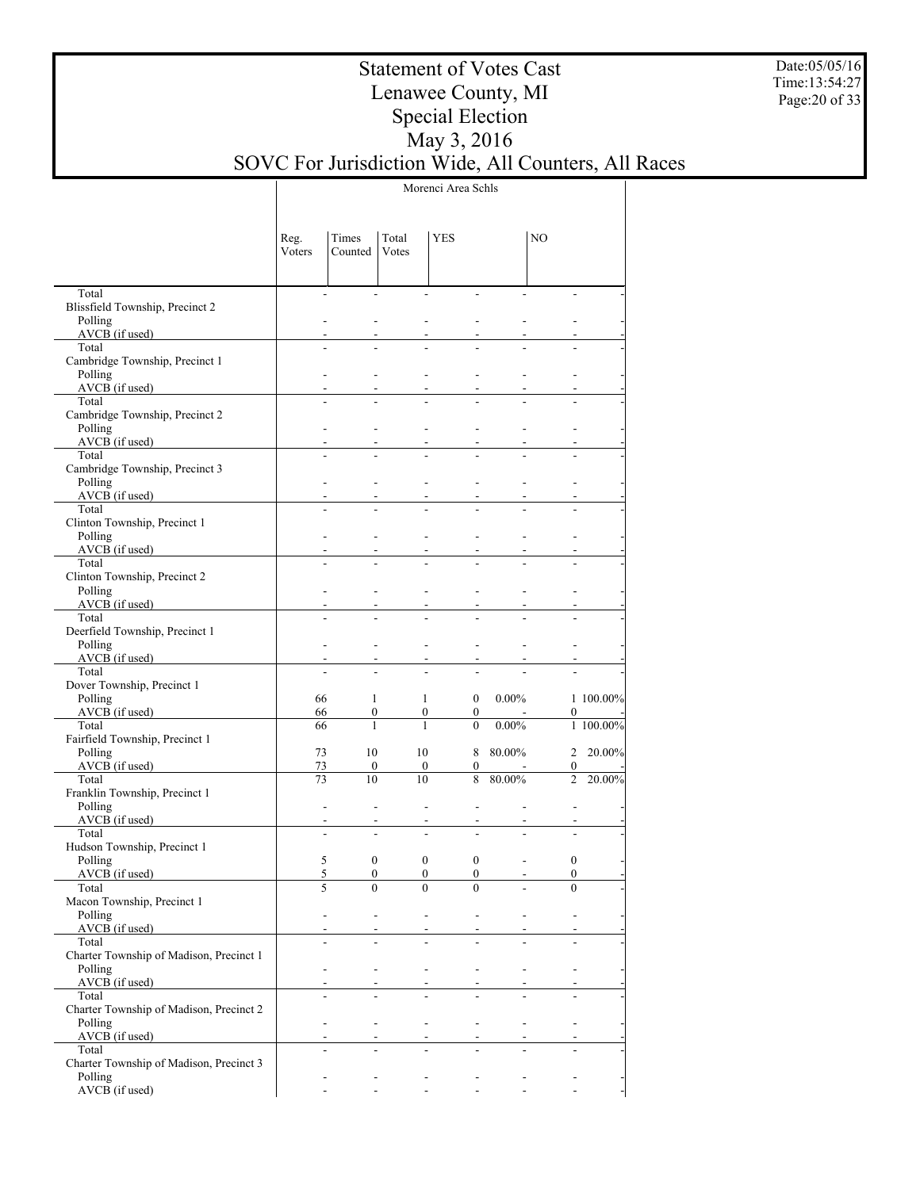Date:05/05/16 Time:13:54:27 Page:20 of 33

## Statement of Votes Cast Lenawee County, MI Special Election May 3, 2016 SOVC For Jurisdiction Wide, All Counters, All Races

Morenci Area Schls

|                                                    | Reg.<br>Voters | Times<br>Counted | Total<br>Votes | <b>YES</b>                                           |                          | NO                       |           |
|----------------------------------------------------|----------------|------------------|----------------|------------------------------------------------------|--------------------------|--------------------------|-----------|
| Total                                              | $\blacksquare$ |                  |                | $\overline{a}$<br>÷.                                 |                          |                          |           |
| Blissfield Township, Precinct 2                    |                |                  |                |                                                      |                          |                          |           |
| Polling<br>AVCB (if used)                          |                |                  |                |                                                      |                          |                          |           |
| Total                                              |                |                  |                |                                                      |                          |                          |           |
| Cambridge Township, Precinct 1                     |                |                  |                |                                                      |                          |                          |           |
| Polling                                            |                |                  |                |                                                      |                          |                          |           |
| $AVCB$ (if used)                                   |                |                  |                |                                                      |                          |                          |           |
| Total                                              |                |                  |                |                                                      |                          |                          |           |
| Cambridge Township, Precinct 2<br>Polling          |                |                  |                |                                                      |                          |                          |           |
| AVCB (if used)                                     |                |                  |                |                                                      |                          |                          |           |
| Total                                              |                |                  |                |                                                      |                          |                          |           |
| Cambridge Township, Precinct 3                     |                |                  |                |                                                      |                          |                          |           |
| Polling                                            |                |                  |                |                                                      |                          |                          |           |
| AVCB (if used)                                     |                |                  |                |                                                      |                          |                          |           |
| Total<br>Clinton Township, Precinct 1              |                |                  |                |                                                      |                          |                          |           |
| Polling                                            |                |                  |                |                                                      |                          |                          |           |
| AVCB (if used)                                     |                |                  |                |                                                      |                          |                          |           |
| Total                                              |                |                  |                |                                                      |                          |                          |           |
| Clinton Township, Precinct 2                       |                |                  |                |                                                      |                          |                          |           |
| Polling                                            |                |                  |                |                                                      |                          |                          |           |
| AVCB (if used)<br>Total                            |                |                  |                |                                                      |                          |                          |           |
| Deerfield Township, Precinct 1                     |                |                  |                |                                                      |                          |                          |           |
| Polling                                            |                |                  |                |                                                      |                          |                          |           |
| AVCB (if used)                                     |                |                  |                |                                                      |                          |                          |           |
| Total                                              |                |                  |                |                                                      |                          |                          |           |
| Dover Township, Precinct 1                         |                |                  |                |                                                      |                          |                          |           |
| Polling                                            | 66<br>66       | 1                |                | $\overline{0}$<br>1                                  | $0.00\%$                 |                          | 1 100.00% |
| AVCB (if used)<br>Total                            | 66             | 0<br>1           | $\mathbf{1}$   | $\boldsymbol{0}$<br>$\mathbf{0}$<br>$\theta$         | $0.00\%$                 | 0                        | 1 100.00% |
| Fairfield Township, Precinct 1                     |                |                  |                |                                                      |                          |                          |           |
| Polling                                            | 73             | 10               | 10             |                                                      | 8 80.00%                 | $\overline{2}$           | 20.00%    |
| AVCB (if used)                                     | 73             | $\mathbf{0}$     |                | $\boldsymbol{0}$<br>0                                |                          | 0                        |           |
| Total                                              | 73             | 10               | 10             | 8                                                    | 80.00%                   | $\overline{2}$           | 20.00%    |
| Franklin Township, Precinct 1                      |                |                  |                |                                                      |                          |                          |           |
| Polling<br>AVCB (if used)                          | $\overline{a}$ |                  |                |                                                      |                          |                          |           |
| Total                                              |                |                  |                |                                                      |                          |                          |           |
| Hudson Township, Precinct 1                        |                |                  |                |                                                      |                          |                          |           |
| Polling                                            | 5              | $\boldsymbol{0}$ |                | $\boldsymbol{0}$<br>$\boldsymbol{0}$                 | $\overline{a}$           | 0                        |           |
| $AVCB$ (if used)                                   | 5              | $\mathbf{0}$     |                | $\boldsymbol{0}$<br>$\mathbf{0}$                     | $\overline{\phantom{a}}$ | 0                        |           |
| Total                                              | 5              | $\theta$         |                | $\boldsymbol{0}$<br>$\Omega$                         |                          | $\theta$                 |           |
| Macon Township, Precinct 1<br>Polling              |                |                  |                | $\overline{\phantom{a}}$<br>$\overline{\phantom{a}}$ | $\overline{\phantom{a}}$ |                          |           |
| AVCB (if used)                                     |                |                  |                |                                                      |                          |                          |           |
| Total                                              |                |                  |                |                                                      |                          |                          |           |
| Charter Township of Madison, Precinct 1            |                |                  |                |                                                      |                          |                          |           |
| Polling                                            |                |                  |                | $\blacksquare$<br>$\overline{\phantom{a}}$           |                          |                          |           |
| $AVCB$ (if used)                                   |                |                  |                |                                                      |                          |                          |           |
| Total                                              |                |                  |                |                                                      |                          |                          |           |
| Charter Township of Madison, Precinct 2<br>Polling | $\overline{a}$ |                  |                | $\overline{\phantom{a}}$<br>$\blacksquare$           | $\frac{1}{2}$            | $\overline{\phantom{a}}$ |           |
| AVCB (if used)                                     |                |                  |                |                                                      |                          |                          |           |
| Total                                              |                |                  |                |                                                      |                          |                          |           |
| Charter Township of Madison, Precinct 3            |                |                  |                |                                                      |                          |                          |           |
| Polling                                            |                |                  |                |                                                      |                          |                          |           |
| AVCB (if used)                                     |                |                  |                | $\overline{\phantom{a}}$<br>$\mathcal{L}$            |                          | $\mathbf{r}$             |           |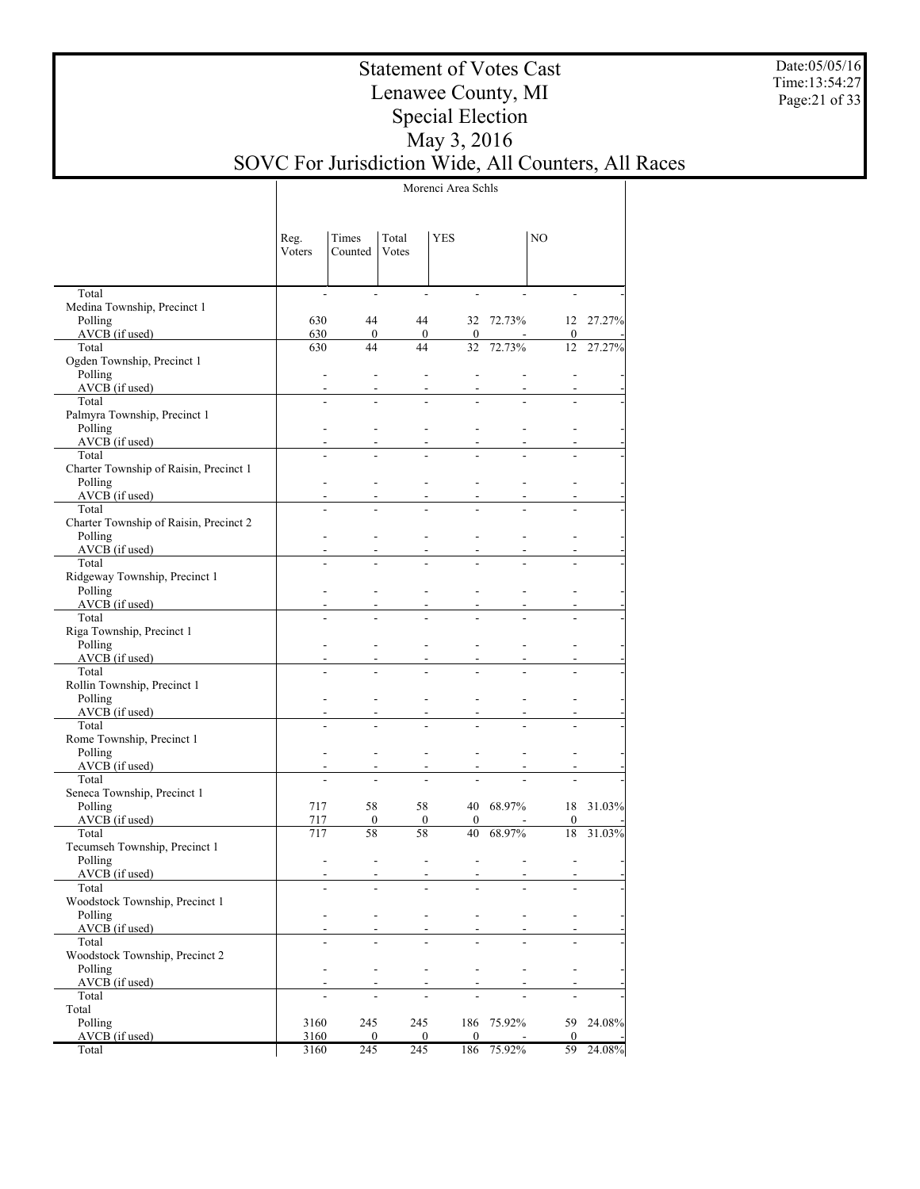Date:05/05/16 Time:13:54:27 Page:21 of 33

## Statement of Votes Cast Lenawee County, MI Special Election May 3, 2016 SOVC For Jurisdiction Wide, All Counters, All Races

Morenci Area Schls

|                                           | Reg.<br>Voters           | Times<br>Counted         | Total<br>Votes           | <b>YES</b>               |            | NO                     |           |
|-------------------------------------------|--------------------------|--------------------------|--------------------------|--------------------------|------------|------------------------|-----------|
| Total                                     | $\blacksquare$           | $\overline{\phantom{a}}$ | $\overline{\phantom{a}}$ | ÷,                       |            |                        |           |
| Medina Township, Precinct 1               |                          |                          |                          |                          |            |                        |           |
| Polling<br>AVCB (if used)                 | 630<br>630               | 44<br>$\overline{0}$     | 44                       |                          | 32 72.73%  |                        | 12 27.27% |
| Total                                     | 630                      | 44                       | $\boldsymbol{0}$<br>44   | $\mathbf{0}$<br>32       | 72.73%     | $\boldsymbol{0}$<br>12 | 27.27%    |
| Ogden Township, Precinct 1                |                          |                          |                          |                          |            |                        |           |
| Polling                                   | $\sim$                   | $\overline{a}$           | ÷,                       | $\overline{a}$           |            |                        |           |
| AVCB (if used)                            | $\blacksquare$           |                          |                          |                          |            |                        |           |
| Total                                     | ÷,                       |                          |                          |                          |            |                        |           |
| Palmyra Township, Precinct 1              |                          |                          |                          |                          |            |                        |           |
| Polling                                   | $\blacksquare$           |                          |                          |                          |            |                        |           |
| $AVCB$ (if used)                          |                          |                          |                          |                          |            |                        |           |
| Total                                     |                          |                          |                          |                          |            |                        |           |
| Charter Township of Raisin, Precinct 1    |                          |                          |                          |                          |            |                        |           |
| Polling<br>$AVCB$ (if used)               | $\blacksquare$<br>$\sim$ |                          | ÷.                       | ٠                        |            |                        |           |
| Total                                     |                          |                          | $\overline{\phantom{0}}$ |                          |            |                        |           |
| Charter Township of Raisin, Precinct 2    |                          |                          |                          |                          |            |                        |           |
| Polling                                   | $\blacksquare$           |                          | ÷.                       |                          |            |                        |           |
| $AVCB$ (if used)                          | $\blacksquare$           |                          |                          |                          |            |                        |           |
| Total                                     |                          |                          |                          |                          |            |                        |           |
| Ridgeway Township, Precinct 1             |                          |                          |                          |                          |            |                        |           |
| Polling                                   | $\sim$                   |                          | ÷.                       |                          |            |                        |           |
| $AVCB$ (if used)                          |                          |                          |                          |                          |            |                        |           |
| Total                                     |                          |                          |                          |                          |            |                        |           |
| Riga Township, Precinct 1                 |                          |                          |                          |                          |            |                        |           |
| Polling<br>$AVCB$ (if used)               | $\sim$                   |                          | ÷.                       |                          |            |                        |           |
| Total                                     |                          |                          |                          |                          |            |                        |           |
| Rollin Township, Precinct 1               |                          |                          |                          |                          |            |                        |           |
| Polling                                   | $\sim$                   |                          | ÷.                       | ٠                        |            |                        |           |
| $AVCB$ (if used)                          | $\blacksquare$           |                          |                          |                          |            |                        |           |
| Total                                     |                          |                          |                          |                          |            |                        |           |
| Rome Township, Precinct 1                 |                          |                          |                          |                          |            |                        |           |
| Polling                                   | $\sim$                   |                          | ÷.                       | ٠                        |            |                        |           |
| $AVCB$ (if used)                          |                          |                          | $\overline{\phantom{a}}$ |                          |            |                        |           |
| Total                                     |                          |                          |                          |                          |            |                        |           |
| Seneca Township, Precinct 1<br>Polling    | 717                      | 58                       | 58                       |                          | 40 68.97%  | 18                     |           |
| $AVCB$ (if used)                          | 717                      | $\mathbf{0}$             | $\mathbf{0}$             | $\mathbf{0}$             |            | $\boldsymbol{0}$       | 31.03%    |
| Total                                     | 717                      | 58                       | 58                       | 40                       | 68.97%     | 18                     | 31.03%    |
| Tecumseh Township, Precinct 1             |                          |                          |                          |                          |            |                        |           |
| Polling                                   | $\blacksquare$           |                          | ÷.                       | L,                       |            |                        |           |
| $AVCB$ (if used)                          | $\overline{\phantom{a}}$ |                          | $\overline{\phantom{a}}$ | $\overline{\phantom{0}}$ |            |                        |           |
| Total                                     | $\overline{\phantom{a}}$ |                          | -                        | ۰                        | -          |                        |           |
| Woodstock Township, Precinct 1            |                          |                          |                          |                          |            |                        |           |
| Polling                                   | $\blacksquare$           | $\overline{\phantom{a}}$ | ٠                        | ٠                        |            |                        |           |
| AVCB (if used)                            |                          |                          |                          |                          |            |                        |           |
| Total                                     |                          |                          |                          |                          |            |                        |           |
| Woodstock Township, Precinct 2<br>Polling | $\blacksquare$           | $\blacksquare$           | ٠                        | ٠                        |            |                        |           |
| AVCB (if used)                            |                          |                          | ٠                        |                          |            |                        |           |
| Total                                     |                          |                          |                          |                          |            |                        |           |
| Total                                     |                          |                          |                          |                          |            |                        |           |
| Polling                                   | 3160                     | 245                      | 245                      |                          | 186 75.92% | 59                     | 24.08%    |
| $AVCB$ (if used)                          | 3160                     | 0                        | $\mathbf{0}$             | $\mathbf{0}$             |            | $\mathbf{0}$           |           |
| Total                                     | 3160                     | 245                      | 245                      | 186                      | 75.92%     | 59                     | 24.08%    |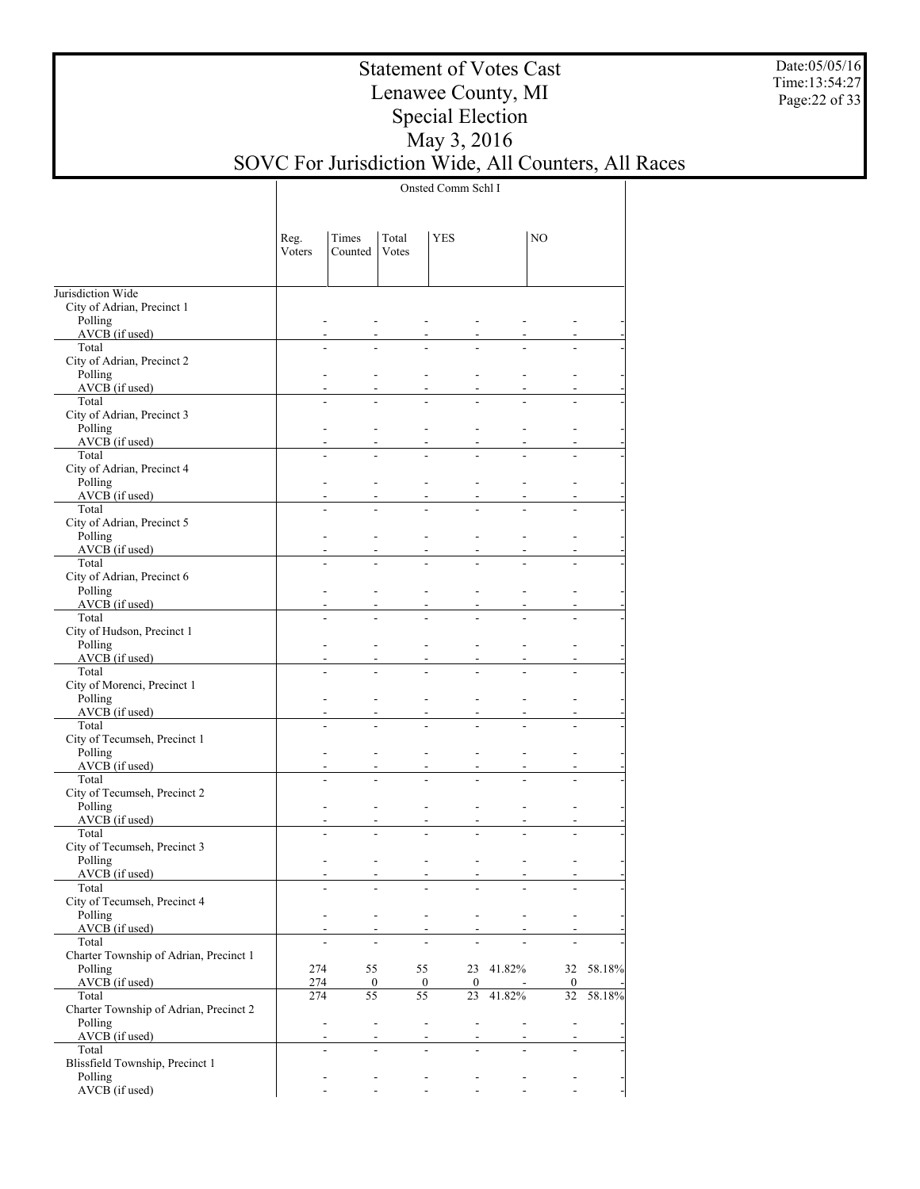Date:05/05/16 Time:13:54:27 Page:22 of 33

## Statement of Votes Cast Lenawee County, MI Special Election May 3, 2016 SOVC For Jurisdiction Wide, All Counters, All Races

Onsted Comm Schl I

|                                                 | Reg.<br>Voters | Times<br>Counted                                     | Total<br>Votes | <b>YES</b>                                 |                | NO                       |           |
|-------------------------------------------------|----------------|------------------------------------------------------|----------------|--------------------------------------------|----------------|--------------------------|-----------|
| Jurisdiction Wide<br>City of Adrian, Precinct 1 |                |                                                      |                |                                            |                |                          |           |
| Polling<br>$AVCB$ (if used)                     |                |                                                      |                |                                            |                |                          |           |
| Total                                           |                |                                                      |                |                                            |                |                          |           |
| City of Adrian, Precinct 2                      |                |                                                      |                |                                            |                |                          |           |
| Polling<br>$AVCB$ (if used)                     |                |                                                      |                |                                            |                |                          |           |
| Total                                           |                |                                                      |                |                                            |                |                          |           |
| City of Adrian, Precinct 3<br>Polling           |                |                                                      |                |                                            |                |                          |           |
| AVCB (if used)                                  |                |                                                      |                |                                            |                |                          |           |
| Total<br>City of Adrian, Precinct 4             |                |                                                      |                |                                            |                |                          |           |
| Polling                                         |                |                                                      |                |                                            |                |                          |           |
| AVCB (if used)<br>Total                         |                |                                                      |                |                                            |                |                          |           |
| City of Adrian, Precinct 5                      |                |                                                      |                |                                            |                |                          |           |
| Polling<br>$AVCB$ (if used)                     |                |                                                      |                |                                            |                |                          |           |
| Total                                           |                |                                                      |                |                                            |                |                          |           |
| City of Adrian, Precinct 6                      |                |                                                      |                |                                            |                |                          |           |
| Polling<br>$AVCB$ (if used)                     |                |                                                      |                |                                            |                |                          |           |
| Total                                           |                |                                                      |                |                                            |                |                          |           |
| City of Hudson, Precinct 1<br>Polling           |                |                                                      |                |                                            |                |                          |           |
| AVCB (if used)                                  |                |                                                      |                |                                            |                |                          |           |
| Total                                           |                |                                                      |                |                                            |                |                          |           |
| City of Morenci, Precinct 1<br>Polling          |                |                                                      |                |                                            |                |                          |           |
| $AVCB$ (if used)                                |                |                                                      |                |                                            |                |                          |           |
| Total<br>City of Tecumseh, Precinct 1           |                |                                                      |                |                                            |                |                          |           |
| Polling                                         |                |                                                      |                |                                            |                |                          |           |
| AVCB (if used)<br>Total                         |                |                                                      |                |                                            |                |                          |           |
| City of Tecumseh, Precinct 2                    |                |                                                      |                |                                            |                |                          |           |
| Polling<br>AVCB (if used)                       |                |                                                      |                |                                            |                |                          |           |
| Total                                           |                |                                                      |                |                                            |                |                          |           |
| City of Tecumseh, Precinct 3<br>Polling         |                |                                                      |                |                                            |                |                          |           |
| AVCB (if used)                                  |                |                                                      |                | $\blacksquare$                             |                |                          |           |
| Total                                           |                |                                                      |                |                                            |                |                          |           |
| City of Tecumseh, Precinct 4<br>Polling         |                | $\overline{\phantom{a}}$<br>$\overline{\phantom{a}}$ |                | $\overline{\phantom{a}}$<br>$\blacksquare$ |                |                          |           |
| AVCB (if used)                                  |                |                                                      |                |                                            |                |                          |           |
| Total<br>Charter Township of Adrian, Precinct 1 |                |                                                      |                |                                            |                |                          |           |
| Polling                                         | 274            | 55                                                   |                | 55                                         | 23 41.82%      |                          | 32 58.18% |
| AVCB (if used)<br>Total                         | 274<br>274     | $\bf{0}$<br>55                                       | 55             | $\mathbf{0}$<br>$\mathbf{0}$               | 23 41.82%      | $\bf{0}$<br>32           | 58.18%    |
| Charter Township of Adrian, Precinct 2          |                |                                                      |                |                                            |                |                          |           |
| Polling<br>AVCB (if used)                       |                | ÷,<br>$\blacksquare$                                 |                | $\Box$<br>$\overline{\phantom{a}}$         | $\mathbf{r}$   | $\Box$                   |           |
| Total                                           |                |                                                      |                |                                            |                |                          |           |
| Blissfield Township, Precinct 1<br>Polling      |                |                                                      |                |                                            |                |                          |           |
| AVCB (if used)                                  |                |                                                      |                | $\frac{1}{2}$<br>$\overline{\phantom{a}}$  | $\blacksquare$ | $\overline{\phantom{a}}$ |           |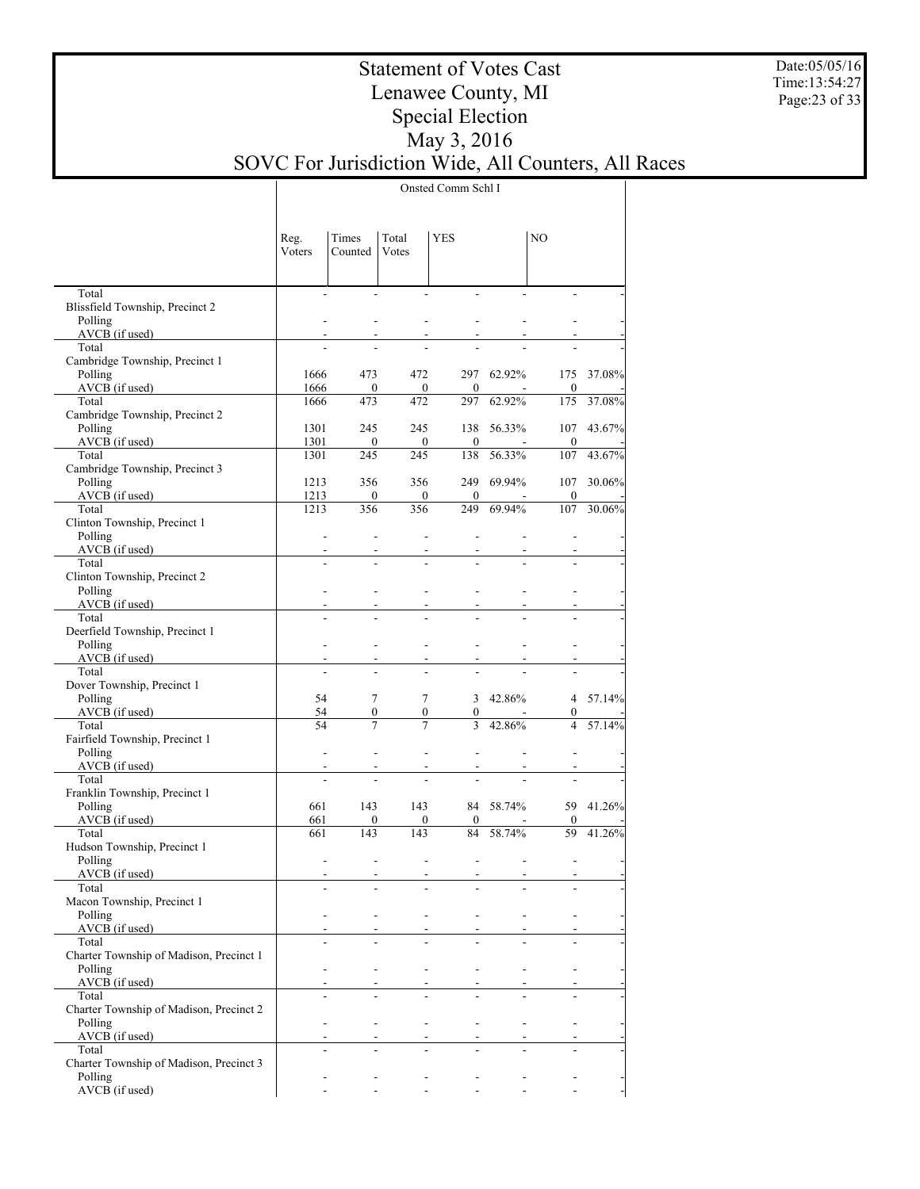Date:05/05/16 Time:13:54:27 Page:23 of 33

## Statement of Votes Cast Lenawee County, MI Special Election May 3, 2016 SOVC For Jurisdiction Wide, All Counters, All Races

Onsted Comm Schl I

|                                                    | Reg.<br>Voters | Times<br>Counted | Total<br>Votes         | YES                   |             | NO                  |           |
|----------------------------------------------------|----------------|------------------|------------------------|-----------------------|-------------|---------------------|-----------|
| Total<br>Blissfield Township, Precinct 2           |                |                  |                        |                       |             |                     |           |
| Polling<br>$AVCB$ (if used)                        |                |                  |                        |                       |             |                     |           |
| Total                                              |                |                  |                        |                       |             |                     |           |
| Cambridge Township, Precinct 1                     |                |                  |                        |                       |             |                     |           |
| Polling                                            | 1666           | 473              | 472                    |                       | 297 62.92%  | 175                 | 37.08%    |
| $AVCB$ (if used)<br>Total                          | 1666<br>1666   | $\bf{0}$<br>473  | $\mathbf{0}$<br>472    | $\overline{0}$<br>297 | 62.92%      | $\bf{0}$<br>175     | 37.08%    |
| Cambridge Township, Precinct 2                     |                |                  |                        |                       |             |                     |           |
| Polling                                            | 1301           | 245              | 245                    | 138                   | 56.33%      | 107                 | 43.67%    |
| $AVCB$ (if used)                                   | 1301           | $\bf{0}$         | $\boldsymbol{0}$       | $\overline{0}$        |             | $\boldsymbol{0}$    |           |
| Total                                              | 1301           | 245              | 245                    | 138                   | 56.33%      | 107                 | 43.67%    |
| Cambridge Township, Precinct 3<br>Polling          | 1213           | 356              | 356                    |                       | 249 69.94%  | 107                 | 30.06%    |
| $AVCB$ (if used)                                   | 1213           | $\bf{0}$         | $\overline{0}$         | $\mathbf{0}$          |             | $\boldsymbol{0}$    |           |
| Total                                              | 1213           | 356              | 356                    | 249                   | 69.94%      | 107                 | 30.06%    |
| Clinton Township, Precinct 1                       |                |                  |                        |                       |             |                     |           |
| Polling                                            |                |                  |                        |                       |             |                     |           |
| AVCB (if used)<br>Total                            |                |                  |                        |                       |             |                     |           |
| Clinton Township, Precinct 2                       |                |                  |                        |                       |             |                     |           |
| Polling                                            |                |                  |                        |                       |             |                     |           |
| $AVCB$ (if used)                                   |                |                  |                        |                       |             |                     |           |
| Total                                              |                |                  |                        |                       |             |                     |           |
| Deerfield Township, Precinct 1                     |                |                  |                        |                       |             |                     |           |
| Polling<br>$AVCB$ (if used)                        |                |                  |                        |                       |             |                     |           |
| Total                                              |                |                  |                        |                       |             |                     |           |
| Dover Township, Precinct 1                         |                |                  |                        |                       |             |                     |           |
| Polling                                            | 54             | $\tau$           | $\tau$                 |                       | 3 $42.86\%$ |                     | 4 57.14%  |
| AVCB (if used)<br>Total                            | 54<br>54       | 0<br>$\tau$      | $\mathbf{0}$<br>$\tau$ | $\mathbf{0}$<br>3     | 42.86%      | 0<br>$\overline{4}$ | 57.14%    |
| Fairfield Township, Precinct 1                     |                |                  |                        |                       |             |                     |           |
| Polling                                            |                |                  |                        |                       |             |                     |           |
| $AVCB$ (if used)                                   |                |                  |                        |                       |             |                     |           |
| Total                                              |                |                  |                        |                       |             |                     |           |
| Franklin Township, Precinct 1<br>Polling           | 661            | 143              | 143                    |                       | 84 58.74%   |                     | 59 41.26% |
| $AVCB$ (if used)                                   | 661            | $\overline{0}$   | $\overline{0}$         | $\mathbf{0}$          |             | 0                   |           |
| Total                                              | 661            | 143              | 143                    | 84                    | 58.74%      | 59                  | 41.26%    |
| Hudson Township, Precinct 1                        |                |                  |                        |                       |             |                     |           |
| Polling                                            |                |                  |                        |                       |             |                     |           |
| AVCB (if used)<br>Total                            |                |                  |                        |                       |             |                     |           |
| Macon Township, Precinct 1                         |                |                  |                        |                       |             |                     |           |
| Polling                                            |                |                  |                        |                       |             |                     |           |
| AVCB (if used)                                     |                |                  |                        |                       |             |                     |           |
| Total                                              |                |                  |                        |                       |             |                     |           |
| Charter Township of Madison, Precinct 1<br>Polling |                |                  |                        |                       |             |                     |           |
| AVCB (if used)                                     |                |                  |                        |                       |             |                     |           |
| Total                                              |                |                  |                        |                       |             |                     |           |
| Charter Township of Madison, Precinct 2            |                |                  |                        |                       |             |                     |           |
| Polling                                            |                |                  |                        |                       |             |                     |           |
| AVCB (if used)                                     |                |                  |                        |                       |             |                     |           |
| Total<br>Charter Township of Madison, Precinct 3   |                |                  |                        |                       |             |                     |           |
| Polling                                            |                |                  |                        |                       |             |                     |           |
| AVCB (if used)                                     |                |                  |                        |                       |             |                     |           |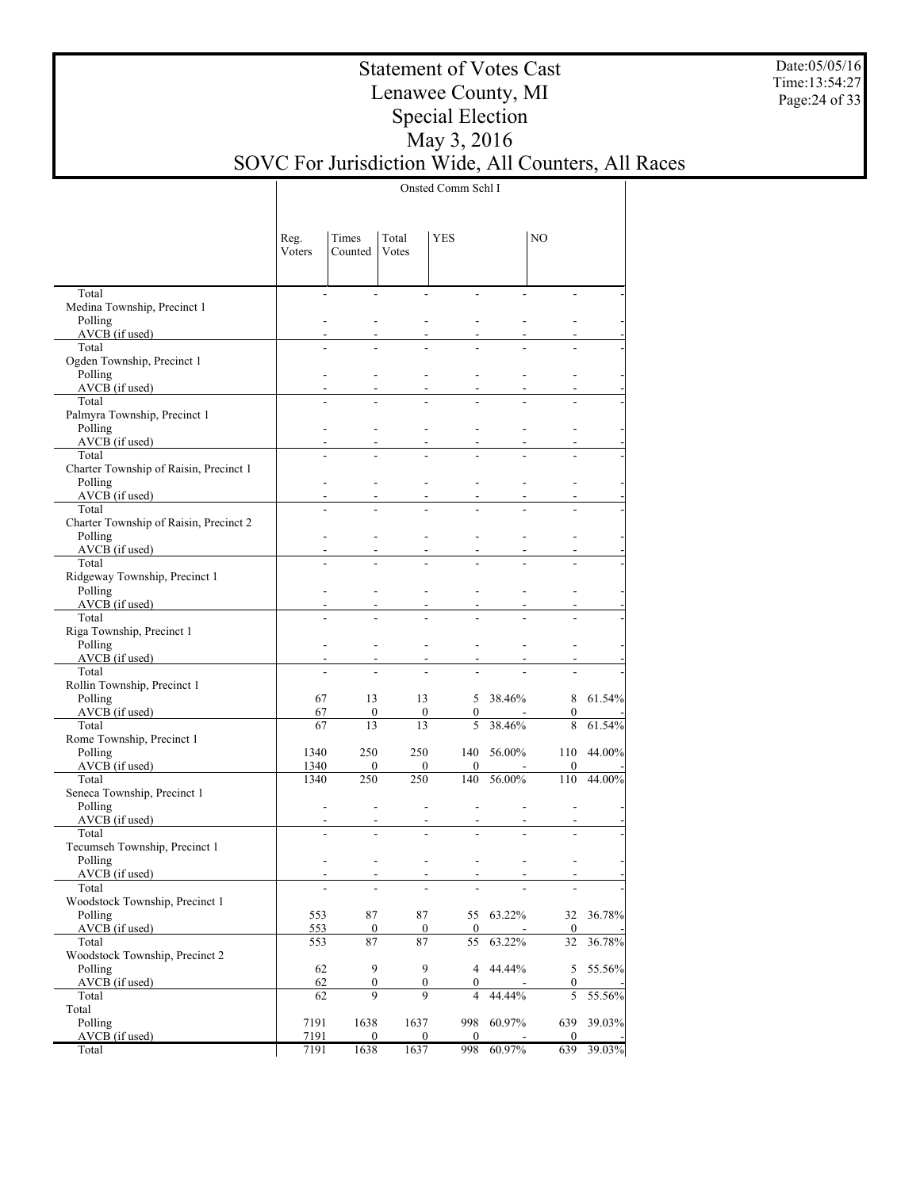Date:05/05/16 Time:13:54:27 Page:24 of 33

## Statement of Votes Cast Lenawee County, MI Special Election May 3, 2016 SOVC For Jurisdiction Wide, All Counters, All Races

Onsted Comm Schl I

|                                                 | Reg.<br>Voters | Times<br>Counted         | Total<br>Votes        | YES                   |          | NO                    |           |
|-------------------------------------------------|----------------|--------------------------|-----------------------|-----------------------|----------|-----------------------|-----------|
| Total                                           |                | $\frac{1}{2}$            |                       | ÷,                    |          |                       |           |
| Medina Township, Precinct 1<br>Polling          |                |                          |                       |                       |          |                       |           |
| AVCB (if used)                                  |                |                          |                       |                       |          |                       |           |
| Total                                           |                |                          |                       |                       |          |                       |           |
| Ogden Township, Precinct 1                      |                |                          |                       |                       |          |                       |           |
| Polling<br>AVCB (if used)                       |                |                          |                       |                       |          |                       |           |
| Total                                           |                |                          |                       |                       |          |                       |           |
| Palmyra Township, Precinct 1                    |                |                          |                       |                       |          |                       |           |
| Polling                                         |                |                          |                       |                       |          |                       |           |
| AVCB (if used)                                  |                |                          |                       |                       |          |                       |           |
| Total<br>Charter Township of Raisin, Precinct 1 |                |                          |                       |                       |          |                       |           |
| Polling                                         |                |                          |                       |                       |          |                       |           |
| AVCB (if used)                                  |                |                          |                       |                       |          |                       |           |
| Total                                           |                |                          |                       |                       |          |                       |           |
| Charter Township of Raisin, Precinct 2          |                |                          |                       |                       |          |                       |           |
| Polling<br>AVCB (if used)                       |                |                          |                       |                       |          |                       |           |
| Total                                           |                |                          |                       |                       |          |                       |           |
| Ridgeway Township, Precinct 1                   |                |                          |                       |                       |          |                       |           |
| Polling                                         |                |                          |                       |                       |          |                       |           |
| AVCB (if used)<br>Total                         |                |                          |                       |                       |          |                       |           |
| Riga Township, Precinct 1                       |                |                          |                       |                       |          |                       |           |
| Polling                                         |                |                          |                       |                       |          |                       |           |
| AVCB (if used)                                  |                |                          |                       |                       |          |                       |           |
| Total                                           |                |                          |                       |                       |          |                       |           |
| Rollin Township, Precinct 1<br>Polling          | 67             | 13                       | 13                    |                       | 5 38.46% | 8                     | 61.54%    |
| AVCB (if used)                                  | 67             | $\mathbf{0}$             | $\mathbf{0}$          | $\mathbf{0}$          |          | $\boldsymbol{0}$      |           |
| Total                                           | 67             | 13                       | 13                    | 5                     | 38.46%   | 8                     | 61.54%    |
| Rome Township, Precinct 1                       |                |                          |                       |                       |          |                       |           |
| Polling<br>$AVCB$ (if used)                     | 1340<br>1340   | 250<br>$\mathbf{0}$      | 250<br>$\mathbf{0}$   | 140<br>$\mathbf{0}$   | 56.00%   | 110<br>$\mathbf{0}$   | 44.00%    |
| Total                                           | 1340           | 250                      | 250                   | 140                   | 56.00%   | 110                   | 44.00%    |
| Seneca Township, Precinct 1                     |                |                          |                       |                       |          |                       |           |
| Polling                                         |                | $\overline{\phantom{a}}$ | ٠                     |                       |          |                       |           |
| AVCB (if used)                                  |                |                          |                       |                       |          |                       |           |
| Total<br>Tecumseh Township, Precinct 1          |                |                          |                       |                       |          |                       |           |
| Polling                                         |                |                          |                       |                       |          |                       |           |
| $AVCB$ (if used)                                |                |                          |                       |                       |          |                       |           |
| Total                                           |                |                          |                       |                       |          |                       |           |
| Woodstock Township, Precinct 1                  |                | 87                       | 87                    |                       | 63.22%   |                       | 36.78%    |
| Polling<br>$AVCB$ (if used)                     | 553<br>553     | $\bf{0}$                 | $\bf{0}$              | 55<br>$\mathbf{0}$    |          | 32<br>$\bf{0}$        |           |
| Total                                           | 553            | 87                       | 87                    | 55                    | 63.22%   | 32                    | $36.78\%$ |
| Woodstock Township, Precinct 2                  |                |                          |                       |                       |          |                       |           |
| Polling                                         | 62             | 9                        | 9                     | $\overline{4}$        | 44.44%   | 5                     | 55.56%    |
| AVCB (if used)<br>Total                         | 62<br>62       | $\boldsymbol{0}$<br>9    | $\boldsymbol{0}$<br>9 | $\boldsymbol{0}$<br>4 | 44.44%   | $\boldsymbol{0}$<br>5 | 55.56%    |
| Total                                           |                |                          |                       |                       |          |                       |           |
| Polling                                         | 7191           | 1638                     | 1637                  | 998                   | 60.97%   | 639                   | 39.03%    |
| AVCB (if used)                                  | 7191           | $\bf{0}$                 | $\boldsymbol{0}$      | $\boldsymbol{0}$      |          | $\bf{0}$              |           |
| Total                                           | 7191           | 1638                     | 1637                  | 998                   | 60.97%   | 639                   | 39.03%    |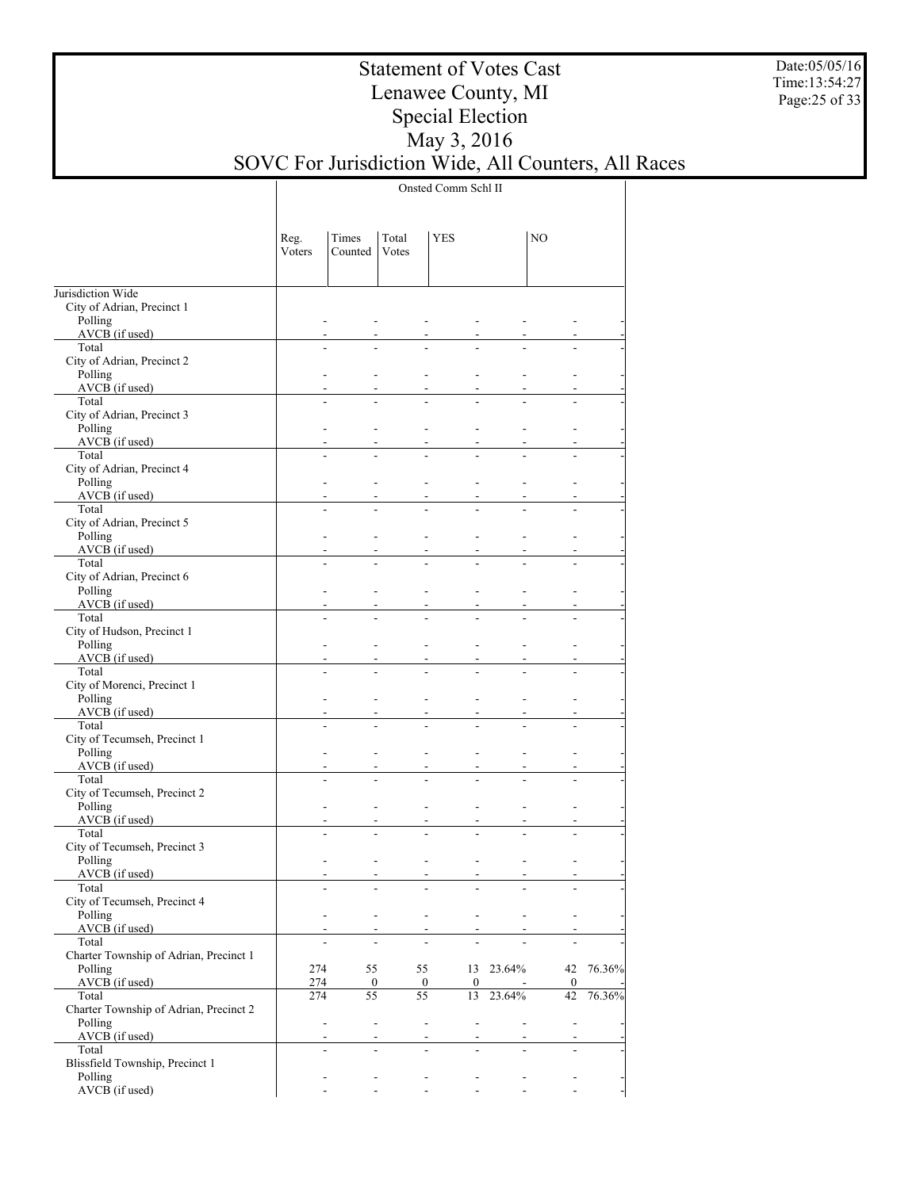Date:05/05/16 Time:13:54:27 Page:25 of 33

## Statement of Votes Cast Lenawee County, MI Special Election May 3, 2016 SOVC For Jurisdiction Wide, All Counters, All Races

Onsted Comm Schl II

|                                                   | Reg.<br>Voters | Times<br>Counted                           | Total<br>Votes           | YES                                                  |                             | NO                       |        |
|---------------------------------------------------|----------------|--------------------------------------------|--------------------------|------------------------------------------------------|-----------------------------|--------------------------|--------|
| Jurisdiction Wide                                 |                |                                            |                          |                                                      |                             |                          |        |
| City of Adrian, Precinct 1                        |                |                                            |                          |                                                      |                             |                          |        |
| Polling<br>AVCB (if used)                         |                |                                            |                          |                                                      |                             |                          |        |
| Total                                             |                |                                            |                          |                                                      |                             |                          |        |
| City of Adrian, Precinct 2                        |                |                                            |                          |                                                      |                             |                          |        |
| Polling                                           |                | ÷                                          |                          | L.                                                   |                             |                          |        |
| AVCB (if used)<br>Total                           |                |                                            |                          |                                                      |                             |                          |        |
| City of Adrian, Precinct 3                        |                |                                            |                          |                                                      |                             |                          |        |
| Polling                                           |                | ÷                                          |                          | L.<br>$\overline{a}$                                 |                             | ۰                        |        |
| AVCB (if used)<br>Total                           |                |                                            |                          |                                                      |                             |                          |        |
| City of Adrian, Precinct 4                        |                |                                            |                          |                                                      |                             |                          |        |
| Polling                                           |                | ÷                                          |                          | ۰<br>$\overline{a}$                                  |                             | ۰                        |        |
| AVCB (if used)                                    |                |                                            |                          |                                                      |                             |                          |        |
| Total<br>City of Adrian, Precinct 5               |                |                                            |                          |                                                      |                             |                          |        |
| Polling                                           |                | ÷                                          |                          | ۰<br>$\overline{a}$                                  |                             | ۰                        |        |
| AVCB (if used)                                    |                |                                            |                          |                                                      |                             |                          |        |
| Total<br>City of Adrian, Precinct 6               |                |                                            |                          |                                                      |                             |                          |        |
| Polling                                           |                | ÷                                          |                          | ۰<br>$\overline{a}$                                  |                             | ۰                        |        |
| AVCB (if used)                                    |                | ÷                                          |                          |                                                      |                             |                          |        |
| Total                                             |                | $\overline{a}$                             |                          |                                                      |                             |                          |        |
| City of Hudson, Precinct 1<br>Polling             |                | ÷                                          |                          | ÷<br>$\overline{a}$                                  |                             |                          |        |
| AVCB (if used)                                    |                | ÷                                          |                          |                                                      |                             |                          |        |
| Total                                             |                |                                            |                          |                                                      |                             |                          |        |
| City of Morenci, Precinct 1                       |                |                                            |                          |                                                      |                             |                          |        |
| Polling<br>AVCB (if used)                         |                | ÷<br>÷                                     |                          | L.<br>$\overline{a}$                                 |                             |                          |        |
| Total                                             |                | ÷.                                         |                          |                                                      |                             |                          |        |
| City of Tecumseh, Precinct 1                      |                |                                            |                          |                                                      |                             |                          |        |
| Polling<br>AVCB (if used)                         |                | ÷<br>÷                                     |                          | L.<br>$\overline{a}$                                 |                             | ۰                        |        |
| Total                                             |                | ÷.                                         |                          |                                                      |                             |                          |        |
| City of Tecumseh, Precinct 2                      |                |                                            |                          |                                                      |                             |                          |        |
| Polling                                           |                | ÷                                          |                          | L.<br>$\overline{a}$                                 |                             | ÷.                       |        |
| AVCB (if used)<br>Total                           |                | ÷                                          |                          |                                                      |                             |                          |        |
| City of Tecumseh, Precinct 3                      |                |                                            |                          |                                                      |                             |                          |        |
| Polling                                           |                | ÷                                          |                          | ۰                                                    |                             |                          |        |
| AVCB (if used)<br>Total                           |                | $\mathbf{r}$                               |                          | $\overline{\phantom{a}}$<br>$\blacksquare$           |                             |                          |        |
| City of Tecumseh, Precinct 4                      |                |                                            |                          | $\overline{\phantom{0}}$<br>$\overline{\phantom{a}}$ |                             |                          |        |
| Polling                                           |                | $\overline{\phantom{a}}$                   | $\blacksquare$           | $\overline{\phantom{a}}$<br>$\overline{\phantom{a}}$ | $\overline{\phantom{a}}$    | $\overline{\phantom{a}}$ |        |
| AVCB (if used)                                    |                | $\sim$                                     | $\overline{\phantom{a}}$ | $\sim$                                               |                             |                          |        |
| Total<br>Charter Township of Adrian, Precinct 1   |                |                                            |                          |                                                      |                             |                          |        |
| Polling                                           | 274            | 55                                         | 55                       |                                                      | 13 23.64%                   | 42                       | 76.36% |
| AVCB (if used)                                    | 274            | $\bf{0}$                                   |                          | $\boldsymbol{0}$<br>$\mathbf{0}$                     |                             | $\bf{0}$                 |        |
| Total                                             | 274            | 55                                         | 55                       | 13                                                   | 23.64%                      | 42                       | 76.36% |
| Charter Township of Adrian, Precinct 2<br>Polling |                | $\blacksquare$                             | $\overline{\phantom{a}}$ | $\blacksquare$<br>$\overline{\phantom{a}}$           | $\mathcal{L}^{\mathcal{A}}$ | $\blacksquare$           |        |
| AVCB (if used)                                    |                | $\sim$                                     |                          | $\overline{\phantom{0}}$<br>$\sim$                   | $\overline{\phantom{a}}$    | $\overline{a}$           |        |
| Total                                             |                | $\overline{a}$                             |                          | $\overline{a}$<br>$\overline{a}$                     |                             | $\overline{a}$           |        |
| Blissfield Township, Precinct 1<br>Polling        |                | $\blacksquare$<br>$\overline{\phantom{a}}$ |                          | $\overline{\phantom{a}}$<br>$\overline{\phantom{a}}$ | $\overline{\phantom{a}}$    | $\overline{\phantom{a}}$ |        |
| AVCB (if used)                                    |                |                                            |                          | $\mathbf{r}$                                         |                             |                          |        |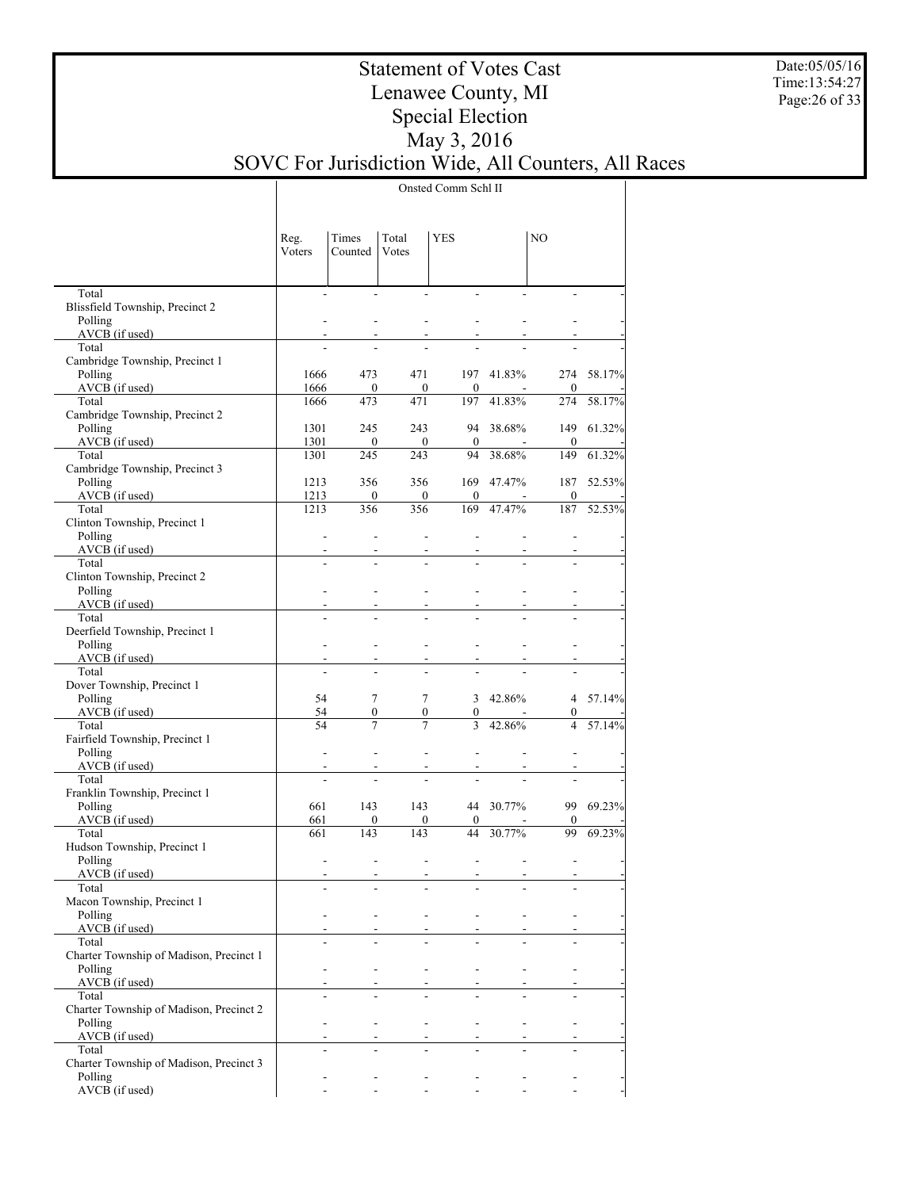Date:05/05/16 Time:13:54:27 Page:26 of 33

## Statement of Votes Cast Lenawee County, MI Special Election May 3, 2016 SOVC For Jurisdiction Wide, All Counters, All Races

Onsted Comm Schl II

|                                                  | Reg.                     | Times                    | Total                    | <b>YES</b>                                           |                          | NO              |            |
|--------------------------------------------------|--------------------------|--------------------------|--------------------------|------------------------------------------------------|--------------------------|-----------------|------------|
|                                                  | Voters                   | Counted                  | Votes                    |                                                      |                          |                 |            |
|                                                  |                          |                          |                          |                                                      |                          |                 |            |
| Total                                            |                          |                          |                          |                                                      |                          |                 |            |
| Blissfield Township, Precinct 2<br>Polling       |                          |                          |                          |                                                      |                          |                 |            |
| $AVC\overrightarrow{B}$ (if used)                |                          |                          |                          |                                                      |                          |                 |            |
| Total                                            |                          |                          |                          |                                                      |                          |                 |            |
| Cambridge Township, Precinct 1                   |                          |                          |                          |                                                      |                          |                 |            |
| Polling                                          | 1666                     | 473                      | 471                      |                                                      | 197 41.83%               |                 | 274 58.17% |
| $AVCB$ (if used)<br>Total                        | 1666<br>1666             | $\bf{0}$<br>473          | $\overline{0}$<br>471    | $\overline{0}$                                       | $\sim$<br>197 41.83%     | $\bf{0}$<br>274 | 58.17%     |
| Cambridge Township, Precinct 2                   |                          |                          |                          |                                                      |                          |                 |            |
| Polling                                          | 1301                     | 245                      | 243                      |                                                      | 94 38.68%                |                 | 149 61.32% |
| $AVCB$ (if used)                                 | 1301                     | $\overline{0}$           | $\overline{0}$           | $\mathbf{0}$                                         | $\sim 10^{-1}$           | $\bf{0}$        |            |
| Total                                            | 1301                     | 245                      | 243                      |                                                      | 94 38.68%                | 149             | 61.32%     |
| Cambridge Township, Precinct 3<br>Polling        | 1213                     | 356                      | 356                      |                                                      | 169 47.47%               | 187             | 52.53%     |
| $AVCB$ (if used)                                 | 1213                     | $\overline{0}$           | $\overline{0}$           | $\mathbf{0}$                                         | $\sim$ $-$               | $\bf{0}$        |            |
| Total                                            | 1213                     | 356                      | 356                      |                                                      | 169 47.47%               | 187             | 52.53%     |
| Clinton Township, Precinct 1                     |                          |                          |                          |                                                      |                          |                 |            |
| Polling                                          | $\mathbf{r}$             |                          |                          |                                                      |                          |                 |            |
| $AVCB$ (if used)                                 | $\sim$                   |                          |                          | $\sim$<br>$\blacksquare$                             |                          |                 |            |
| Total<br>Clinton Township, Precinct 2            |                          |                          |                          |                                                      |                          |                 |            |
| Polling                                          |                          |                          |                          |                                                      |                          |                 |            |
| AVCB (if used)                                   |                          |                          |                          | $\overline{\phantom{a}}$<br>$\overline{\phantom{a}}$ |                          |                 |            |
| Total                                            |                          |                          |                          |                                                      |                          |                 |            |
| Deerfield Township, Precinct 1                   |                          |                          |                          |                                                      |                          |                 |            |
| Polling<br>$AVCB$ (if used)                      | $\overline{\phantom{a}}$ |                          |                          |                                                      |                          |                 |            |
| Total                                            | $\blacksquare$           | $\overline{\phantom{a}}$ |                          | $\sim$<br>$\overline{\phantom{a}}$                   |                          |                 |            |
| Dover Township, Precinct 1                       |                          |                          |                          |                                                      |                          |                 |            |
| Polling                                          | 54                       | 7                        | $\tau$                   |                                                      | $3\quad 42.86\%$         |                 | 4 57.14%   |
| $AVCB$ (if used)                                 | 54                       | $\boldsymbol{0}$         |                          | $\overline{0}$                                       | $0 \qquad -$             | $\overline{0}$  | ÷,         |
| Total                                            | 54                       | 7                        | $\overline{7}$           |                                                      | 3 42.86%                 | $\overline{4}$  | 57.14%     |
| Fairfield Township, Precinct 1<br>Polling        | $\overline{\phantom{a}}$ |                          |                          |                                                      |                          |                 |            |
| $AVCB$ (if used)                                 |                          |                          | $\blacksquare$           | $\overline{\phantom{a}}$                             |                          |                 |            |
| Total                                            |                          |                          |                          |                                                      |                          |                 |            |
| Franklin Township, Precinct 1                    |                          |                          |                          |                                                      |                          |                 |            |
| Polling                                          | 661                      | 143                      | 143                      |                                                      | 44 30.77%                |                 | 99 69.23%  |
| $AVCB$ (if used)<br>Total                        | 661<br>661               | $\overline{0}$<br>143    | 143                      | $\overline{0}$<br>$\mathbf{0}$                       | $\sim$<br>44 30.77%      | $\bf{0}$        | 99 69.23%  |
| Hudson Township, Precinct 1                      |                          |                          |                          |                                                      |                          |                 |            |
| Polling                                          | $\overline{\phantom{a}}$ |                          | $\overline{a}$           | $\overline{\phantom{a}}$                             |                          |                 |            |
| AVCB (if used)                                   |                          |                          | $\overline{\phantom{a}}$ | $\overline{\phantom{a}}$                             | $\blacksquare$           |                 |            |
| Total                                            |                          |                          |                          |                                                      |                          |                 |            |
| Macon Township, Precinct 1<br>Polling            |                          |                          |                          |                                                      |                          |                 |            |
| AVCB (if used)                                   | $\sim$                   |                          |                          | $\sim$<br>۰.                                         | $\overline{\phantom{a}}$ |                 |            |
| Total                                            |                          |                          |                          |                                                      |                          |                 |            |
| Charter Township of Madison, Precinct 1          |                          |                          |                          |                                                      |                          |                 |            |
| Polling                                          |                          |                          |                          |                                                      |                          |                 |            |
| AVCB (if used)                                   | $\blacksquare$           |                          |                          | $\blacksquare$<br>$\overline{\phantom{a}}$           | $\sim$                   |                 |            |
| Total<br>Charter Township of Madison, Precinct 2 |                          |                          |                          |                                                      |                          |                 |            |
| Polling                                          |                          |                          |                          | ÷,                                                   | $\overline{a}$           |                 |            |
| AVCB (if used)                                   | $\blacksquare$           |                          |                          | $\overline{\phantom{a}}$<br>$\overline{\phantom{a}}$ | $\blacksquare$           |                 |            |
| Total                                            |                          |                          |                          |                                                      |                          |                 |            |
| Charter Township of Madison, Precinct 3          |                          |                          |                          |                                                      |                          |                 |            |
| Polling<br>AVCB (if used)                        |                          |                          |                          |                                                      |                          |                 |            |
|                                                  |                          |                          |                          |                                                      |                          |                 |            |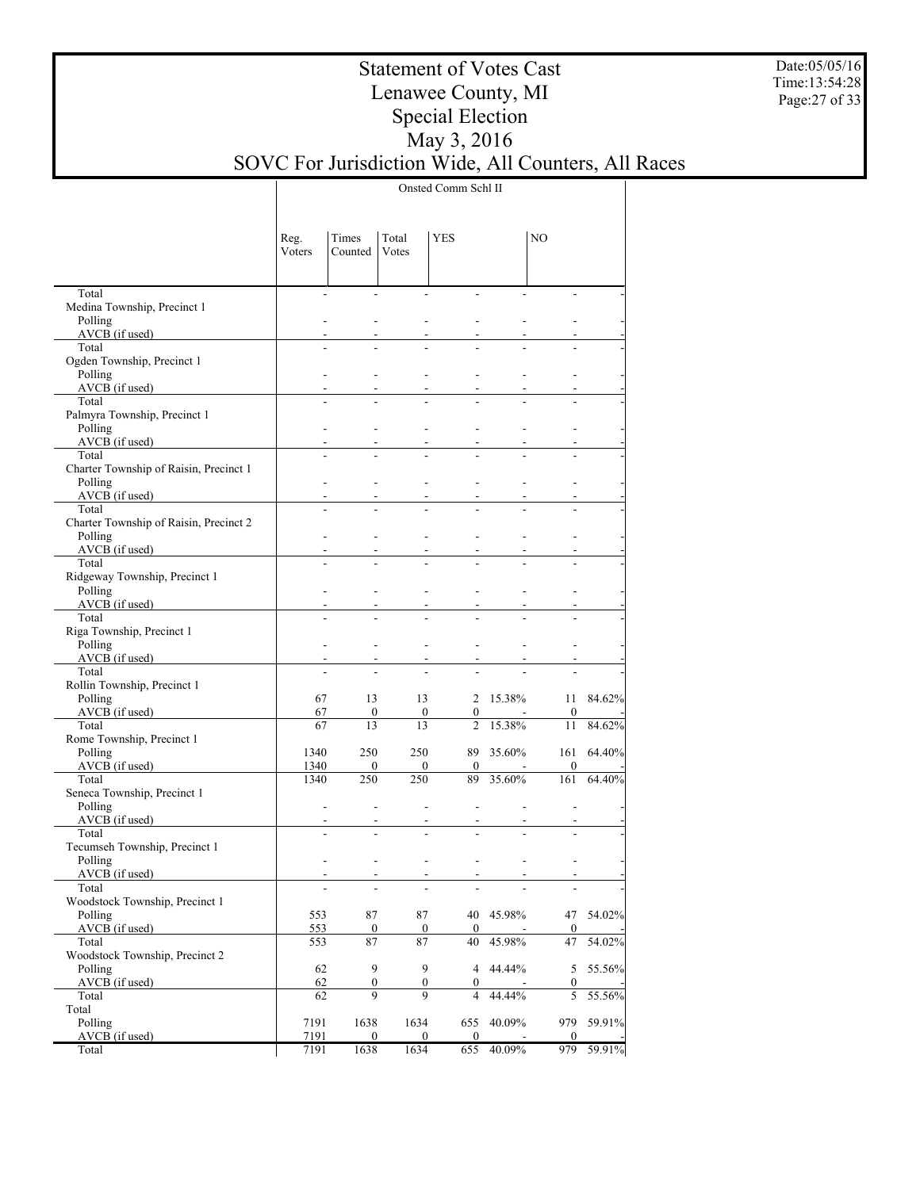Date:05/05/16 Time:13:54:28 Page:27 of 33

## Statement of Votes Cast Lenawee County, MI Special Election May 3, 2016 SOVC For Jurisdiction Wide, All Counters, All Races

Onsted Comm Schl II

|                                         | Reg.<br>Voters | Times<br>Counted      | Total<br>Votes                             | <b>YES</b>                         |           | NO                    |        |
|-----------------------------------------|----------------|-----------------------|--------------------------------------------|------------------------------------|-----------|-----------------------|--------|
| Total<br>Medina Township, Precinct 1    |                | $\blacksquare$        | $\overline{a}$<br>$\overline{\phantom{a}}$ | ÷,                                 |           |                       |        |
| Polling                                 |                |                       |                                            |                                    |           |                       |        |
| AVCB (if used)                          |                |                       |                                            |                                    |           |                       |        |
| Total                                   |                | L.                    |                                            |                                    |           |                       |        |
| Ogden Township, Precinct 1              |                |                       |                                            |                                    |           |                       |        |
| Polling                                 |                |                       |                                            |                                    |           |                       |        |
| AVCB (if used)<br>Total                 |                | L.                    |                                            |                                    |           |                       |        |
| Palmyra Township, Precinct 1            |                |                       |                                            |                                    |           |                       |        |
| Polling                                 |                |                       |                                            |                                    |           |                       |        |
| AVCB (if used)                          |                |                       |                                            |                                    |           |                       |        |
| Total                                   |                |                       |                                            |                                    |           |                       |        |
| Charter Township of Raisin, Precinct 1  |                |                       |                                            |                                    |           |                       |        |
| Polling                                 |                |                       |                                            |                                    |           |                       |        |
| AVCB (if used)<br>Total                 |                | L.                    |                                            |                                    |           |                       |        |
| Charter Township of Raisin, Precinct 2  |                |                       |                                            |                                    |           |                       |        |
| Polling                                 |                |                       |                                            |                                    |           |                       |        |
| AVCB (if used)                          |                |                       |                                            |                                    |           |                       |        |
| Total                                   |                | ÷.                    |                                            |                                    |           |                       |        |
| Ridgeway Township, Precinct 1           |                |                       |                                            |                                    |           |                       |        |
| Polling<br>AVCB (if used)               |                |                       |                                            | L,                                 |           |                       |        |
| Total                                   |                | $\overline{a}$        |                                            |                                    |           |                       |        |
| Riga Township, Precinct 1               |                |                       |                                            |                                    |           |                       |        |
| Polling                                 |                |                       |                                            | L,                                 |           |                       |        |
| AVCB (if used)                          |                |                       |                                            |                                    |           |                       |        |
| Total                                   |                | L.                    |                                            |                                    |           |                       |        |
| Rollin Township, Precinct 1<br>Polling  | 67             | 13                    | 13                                         |                                    | 2 15.38%  | 11                    | 84.62% |
| AVCB (if used)                          | 67             | $\boldsymbol{0}$      | $\bf{0}$                                   | $\boldsymbol{0}$                   |           | $\boldsymbol{0}$      |        |
| Total                                   | 67             | 13                    | 13                                         | $\overline{c}$                     | 15.38%    | 11                    | 84.62% |
| Rome Township, Precinct 1               |                |                       |                                            |                                    |           |                       |        |
| Polling                                 | 1340           | 250                   | 250                                        |                                    | 89 35.60% | 161                   | 64.40% |
| AVCB (if used)                          | 1340           | $\boldsymbol{0}$      | $\mathbf{0}$                               | $\mathbf{0}$                       |           | $\mathbf{0}$          |        |
| Total                                   | 1340           | 250                   | 250                                        | 89                                 | 35.60%    | 161                   | 64.40% |
| Seneca Township, Precinct 1<br>Polling  |                | $\frac{1}{2}$         |                                            | $\overline{a}$                     |           |                       |        |
| AVCB (if used)                          |                |                       |                                            |                                    |           |                       |        |
| Total                                   |                | $\overline{a}$        |                                            |                                    |           |                       |        |
| Tecumseh Township, Precinct 1           |                |                       |                                            |                                    |           |                       |        |
| Polling                                 |                |                       |                                            | $\overline{\phantom{a}}$           |           |                       |        |
| AVCB (if used)                          |                |                       |                                            |                                    |           |                       |        |
| Total<br>Woodstock Township, Precinct 1 |                |                       |                                            |                                    |           |                       |        |
| Polling                                 | 553            | 87                    | 87                                         | 40                                 | 45.98%    | 47                    | 54.02% |
| $AVCB$ (if used)                        | 553            | $\boldsymbol{0}$      | $\boldsymbol{0}$                           | $\boldsymbol{0}$                   |           | $\boldsymbol{0}$      |        |
| Total                                   | 553            | 87                    | 87                                         | 40                                 | 45.98%    | 47                    | 54.02% |
| Woodstock Township, Precinct 2          |                |                       |                                            |                                    |           |                       |        |
| Polling                                 | 62             | 9                     | 9                                          | $\overline{4}$                     | 44.44%    | 5                     | 55.56% |
| AVCB (if used)<br>Total                 | 62<br>62       | $\boldsymbol{0}$<br>9 | $\boldsymbol{0}$<br>9                      | $\boldsymbol{0}$<br>$\overline{4}$ | 44.44%    | $\boldsymbol{0}$<br>5 | 55.56% |
| Total                                   |                |                       |                                            |                                    |           |                       |        |
| Polling                                 | 7191           | 1638                  | 1634                                       | 655                                | 40.09%    | 979                   | 59.91% |
| AVCB (if used)                          | 7191           | $\boldsymbol{0}$      | $\mathbf{0}$                               | $\boldsymbol{0}$                   |           | $\mathbf{0}$          |        |
| Total                                   | 7191           | 1638                  | 1634                                       | 655                                | 40.09%    | 979                   | 59.91% |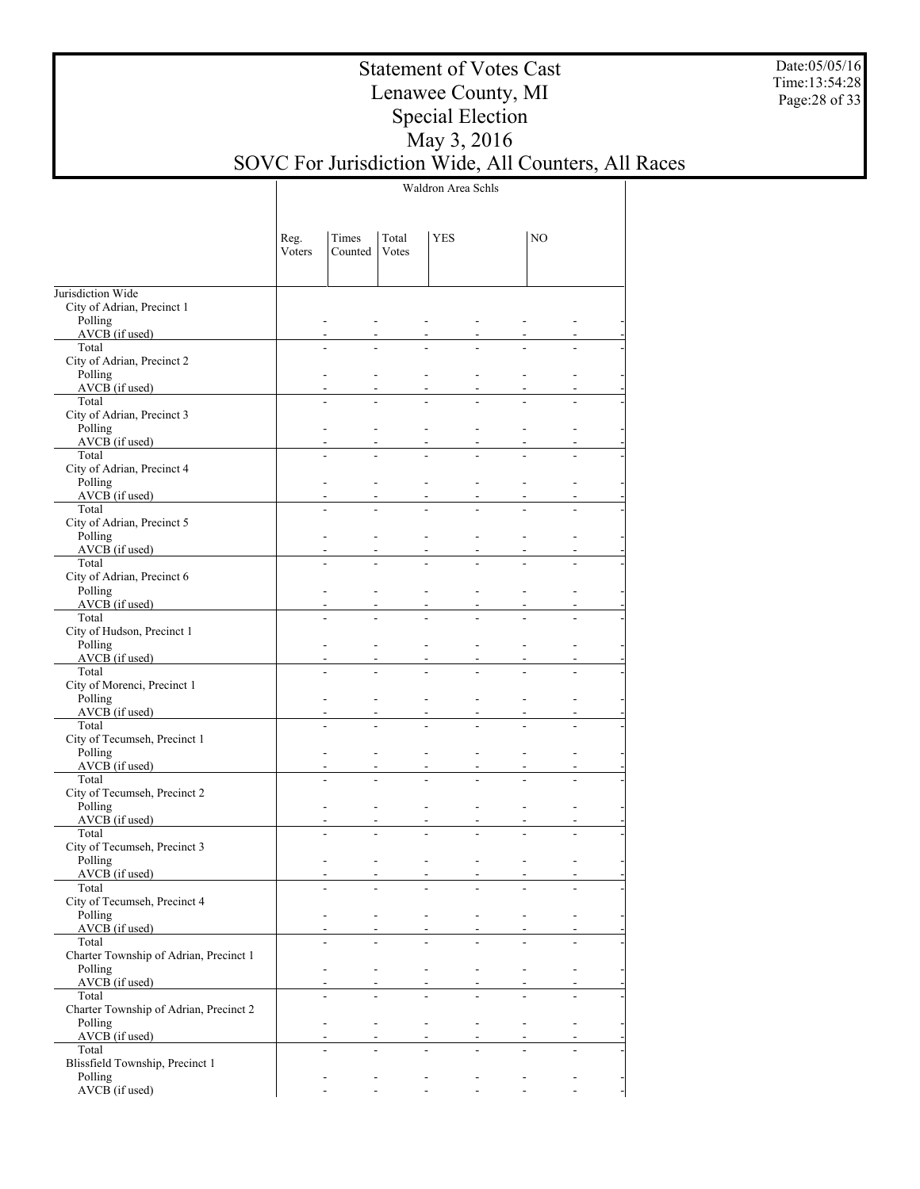Date:05/05/16 Time:13:54:28 Page:28 of 33

## Statement of Votes Cast Lenawee County, MI Special Election May 3, 2016 SOVC For Jurisdiction Wide, All Counters, All Races

Waldron Area Schls

|                                                 | Reg.<br>Voters | Times<br>Counted | Total<br>Votes | <b>YES</b>               |    | NO                       |  |
|-------------------------------------------------|----------------|------------------|----------------|--------------------------|----|--------------------------|--|
|                                                 |                |                  |                |                          |    |                          |  |
| Jurisdiction Wide<br>City of Adrian, Precinct 1 |                |                  |                |                          |    |                          |  |
| Polling                                         |                |                  |                |                          |    |                          |  |
| AVCB (if used)                                  |                |                  |                |                          |    |                          |  |
| Total                                           |                |                  |                |                          |    |                          |  |
| City of Adrian, Precinct 2                      |                |                  |                |                          |    |                          |  |
| Polling                                         |                |                  |                |                          |    |                          |  |
| AVCB (if used)<br>Total                         |                |                  |                |                          |    |                          |  |
| City of Adrian, Precinct 3                      |                |                  |                |                          |    |                          |  |
| Polling                                         |                |                  |                |                          |    |                          |  |
| AVCB (if used)                                  |                |                  |                |                          |    |                          |  |
| Total                                           |                | L.               |                |                          |    |                          |  |
| City of Adrian, Precinct 4                      |                |                  |                |                          |    |                          |  |
| Polling<br>AVCB (if used)                       |                |                  |                |                          |    |                          |  |
| Total                                           |                | L.               |                |                          |    |                          |  |
| City of Adrian, Precinct 5                      |                |                  |                |                          |    |                          |  |
| Polling                                         |                |                  |                |                          |    |                          |  |
| AVCB (if used)                                  |                |                  |                |                          |    |                          |  |
| Total                                           |                | ÷.               |                |                          |    |                          |  |
| City of Adrian, Precinct 6<br>Polling           |                |                  |                |                          |    |                          |  |
| AVCB (if used)                                  |                |                  |                |                          |    |                          |  |
| Total                                           |                | ÷.               |                |                          |    |                          |  |
| City of Hudson, Precinct 1                      |                |                  |                |                          |    |                          |  |
| Polling                                         |                |                  |                |                          |    |                          |  |
| AVCB (if used)                                  |                | ÷.               |                |                          |    |                          |  |
| Total<br>City of Morenci, Precinct 1            |                |                  |                |                          |    |                          |  |
| Polling                                         |                |                  |                |                          |    |                          |  |
| AVCB (if used)                                  |                |                  |                |                          |    |                          |  |
| Total                                           |                | ÷.               |                |                          |    |                          |  |
| City of Tecumseh, Precinct 1                    |                |                  |                |                          |    |                          |  |
| Polling<br>AVCB (if used)                       |                |                  |                |                          |    |                          |  |
| Total                                           |                | L.               |                |                          |    |                          |  |
| City of Tecumseh, Precinct 2                    |                |                  |                |                          |    |                          |  |
| Polling                                         |                |                  |                |                          | L, |                          |  |
| AVCB (if used)                                  |                |                  |                |                          |    |                          |  |
| Total                                           |                |                  |                |                          |    |                          |  |
| City of Tecumseh, Precinct 3<br>Polling         |                |                  |                |                          | ٠  |                          |  |
| AVCB (if used)                                  |                |                  |                |                          |    |                          |  |
| Total                                           |                |                  |                |                          |    |                          |  |
| City of Tecumseh, Precinct 4                    |                |                  |                |                          |    |                          |  |
| Polling                                         |                |                  | $\frac{1}{2}$  | $\overline{\phantom{a}}$ |    |                          |  |
| $AVCB$ (if used)<br>Total                       |                |                  |                |                          |    |                          |  |
| Charter Township of Adrian, Precinct 1          |                |                  |                |                          |    |                          |  |
| Polling                                         |                |                  |                | ÷.                       |    |                          |  |
| $AVCB$ (if used)                                |                |                  |                |                          |    |                          |  |
| Total                                           |                |                  |                |                          |    |                          |  |
| Charter Township of Adrian, Precinct 2          |                |                  |                |                          |    |                          |  |
| Polling<br>$AVCB$ (if used)                     |                | $\overline{a}$   | $\overline{a}$ | ÷.                       |    | $\overline{\phantom{a}}$ |  |
| Total                                           |                |                  |                |                          |    |                          |  |
| Blissfield Township, Precinct 1                 |                |                  |                |                          |    |                          |  |
| Polling                                         |                |                  |                |                          |    |                          |  |
| AVCB (if used)                                  |                |                  |                | $\overline{a}$           |    |                          |  |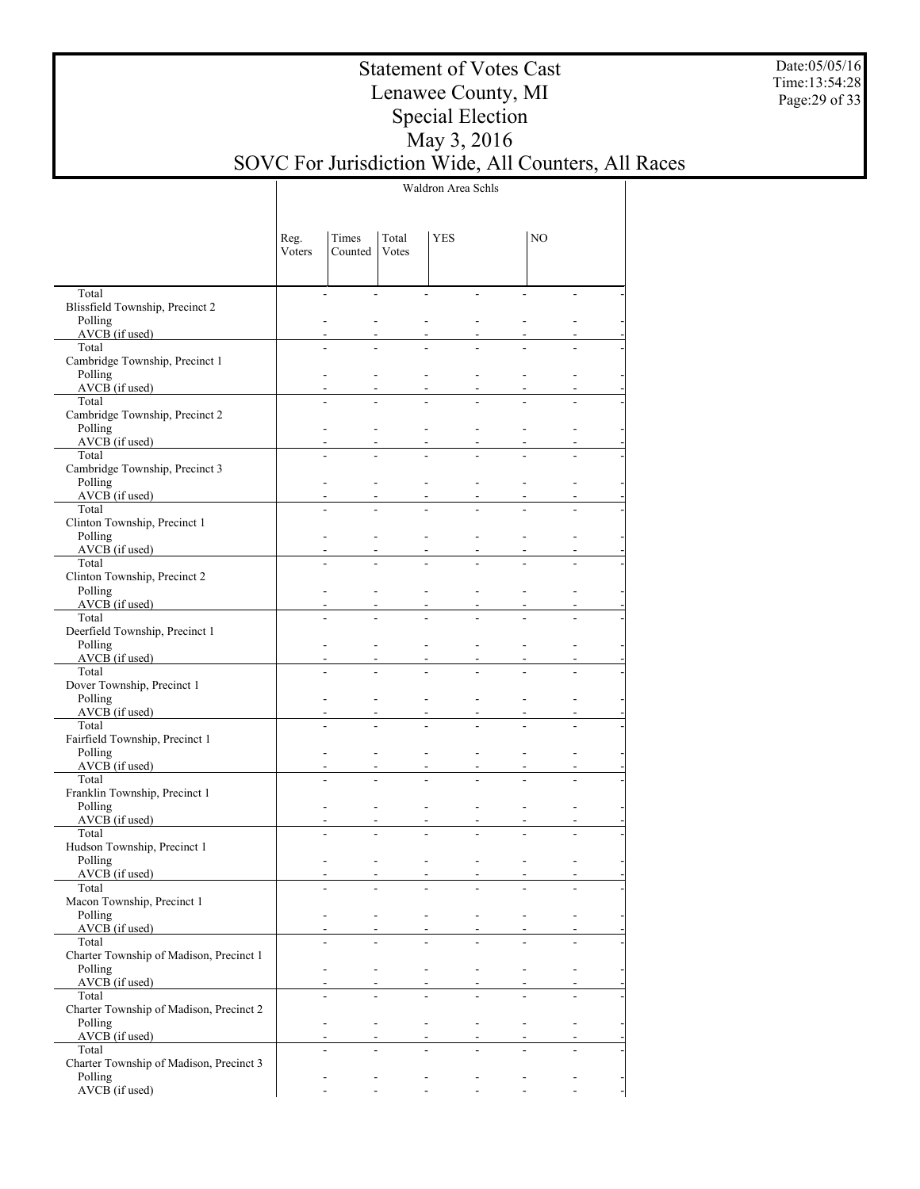Date:05/05/16 Time:13:54:28 Page:29 of 33

## Statement of Votes Cast Lenawee County, MI Special Election May 3, 2016 SOVC For Jurisdiction Wide, All Counters, All Races

Waldron Area Schls

|                                                    | Reg.<br>Voters | Times<br>Counted                 | Total<br>Votes | <b>YES</b>               |                | N <sub>O</sub> |    |
|----------------------------------------------------|----------------|----------------------------------|----------------|--------------------------|----------------|----------------|----|
|                                                    |                |                                  |                |                          |                |                |    |
| Total                                              |                | $\overline{a}$<br>$\overline{a}$ |                | $\overline{\phantom{a}}$ | $\overline{a}$ |                | ÷. |
| Blissfield Township, Precinct 2                    |                |                                  |                |                          |                |                |    |
| Polling<br>$AVCB$ (if used)                        |                |                                  |                |                          |                |                |    |
| Total                                              |                | L.                               |                |                          |                |                |    |
| Cambridge Township, Precinct 1                     |                |                                  |                |                          |                |                |    |
| Polling                                            |                |                                  |                |                          |                |                |    |
| $AVCB$ (if used)                                   |                |                                  |                |                          |                |                |    |
| Total                                              |                | L.                               |                |                          |                |                |    |
| Cambridge Township, Precinct 2<br>Polling          |                |                                  |                |                          |                |                |    |
| $AVCB$ (if used)                                   |                |                                  |                |                          |                |                |    |
| Total                                              |                | $\overline{a}$                   |                |                          |                |                |    |
| Cambridge Township, Precinct 3                     |                |                                  |                |                          |                |                |    |
| Polling                                            |                |                                  |                |                          |                |                |    |
| AVCB (if used)<br>Total                            |                | $\overline{a}$                   |                |                          |                |                |    |
| Clinton Township, Precinct 1                       |                |                                  |                |                          |                |                |    |
| Polling                                            |                |                                  |                |                          |                |                |    |
| AVCB (if used)                                     |                |                                  |                |                          |                |                |    |
| Total                                              |                | $\overline{a}$                   |                |                          |                |                |    |
| Clinton Township, Precinct 2<br>Polling            |                |                                  |                |                          |                |                |    |
| AVCB (if used)                                     |                |                                  |                |                          |                |                |    |
| Total                                              |                | $\overline{a}$                   |                |                          |                |                |    |
| Deerfield Township, Precinct 1                     |                |                                  |                |                          |                |                |    |
| Polling                                            |                |                                  |                |                          |                |                |    |
| AVCB (if used)                                     |                |                                  |                |                          |                |                |    |
| Total<br>Dover Township, Precinct 1                |                | $\overline{a}$                   |                |                          |                |                |    |
| Polling                                            |                |                                  |                |                          |                |                |    |
| AVCB (if used)                                     |                |                                  |                |                          |                |                |    |
| Total                                              |                | $\overline{a}$                   |                |                          |                |                |    |
| Fairfield Township, Precinct 1                     |                |                                  |                |                          |                |                |    |
| Polling<br>$AVCB$ (if used)                        |                |                                  |                |                          |                |                |    |
| Total                                              |                | $\overline{a}$                   |                |                          |                |                |    |
| Franklin Township, Precinct 1                      |                |                                  |                |                          |                |                |    |
| Polling                                            |                |                                  |                |                          |                |                |    |
| $AVCB$ (if used)                                   |                |                                  |                |                          |                |                |    |
| Total<br>Hudson Township, Precinct 1               |                |                                  |                |                          |                |                |    |
| Polling                                            |                |                                  |                |                          |                |                |    |
| AVCB (if used)                                     |                |                                  |                |                          |                |                |    |
| Total                                              |                |                                  |                |                          |                |                |    |
| Macon Township, Precinct 1                         |                |                                  |                |                          |                |                |    |
| Polling<br>$AVCB$ (if used)                        |                | $\overline{\phantom{a}}$         |                |                          |                |                |    |
| Total                                              |                |                                  |                |                          |                |                |    |
| Charter Township of Madison, Precinct 1            |                |                                  |                |                          |                |                |    |
| Polling                                            |                |                                  |                |                          |                |                |    |
| AVCB (if used)                                     |                |                                  |                |                          |                |                |    |
| Total                                              |                |                                  |                |                          |                |                |    |
| Charter Township of Madison, Precinct 2<br>Polling |                |                                  |                | L.                       |                |                |    |
| AVCB (if used)                                     |                |                                  |                |                          |                |                |    |
| Total                                              |                |                                  |                |                          |                |                |    |
| Charter Township of Madison, Precinct 3            |                |                                  |                |                          |                |                |    |
| Polling                                            |                |                                  |                |                          |                |                |    |
| AVCB (if used)                                     |                |                                  |                | $\overline{a}$           |                |                |    |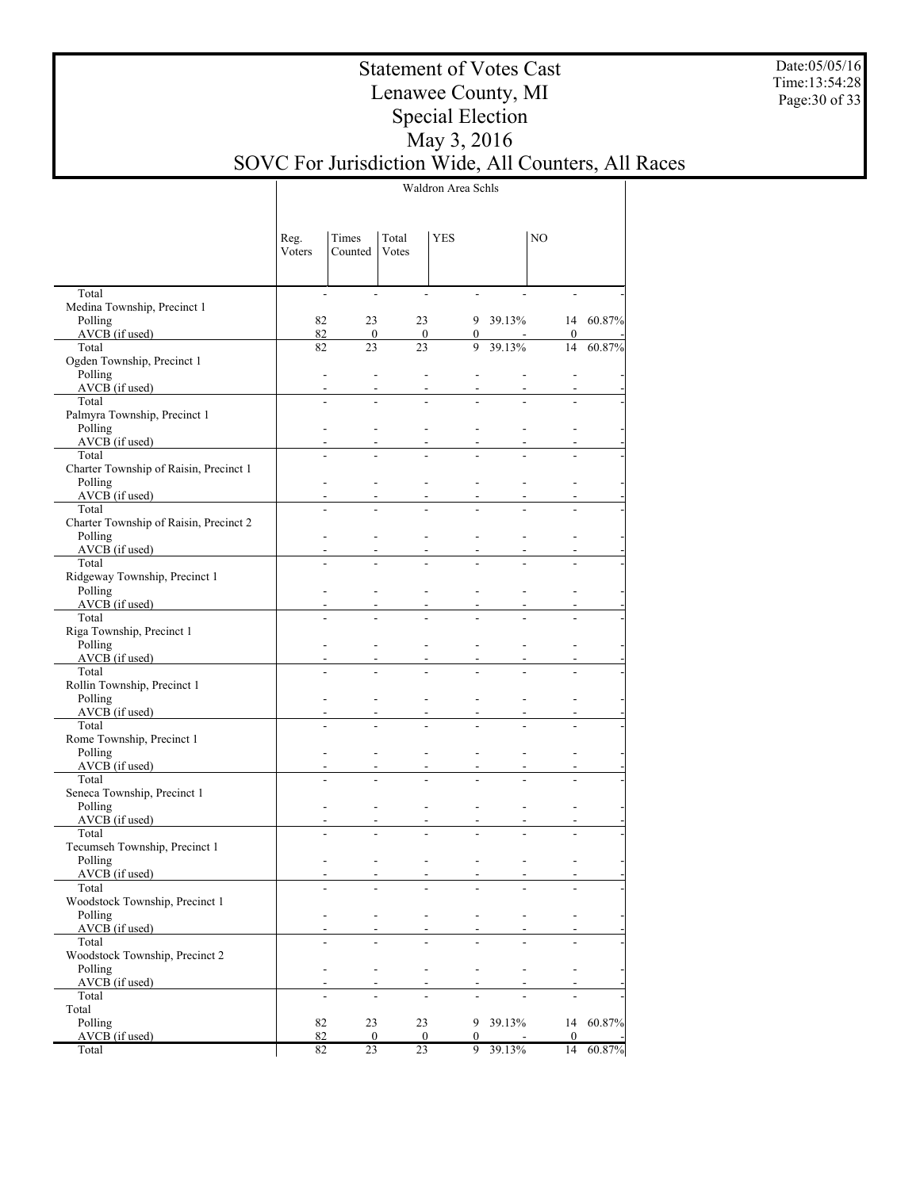Date:05/05/16 Time:13:54:28 Page:30 of 33

## Statement of Votes Cast Lenawee County, MI Special Election May 3, 2016 SOVC For Jurisdiction Wide, All Counters, All Races

Waldron Area Schls

|                                        | Reg.<br>Voters           | Times<br>Counted         | Total<br>Votes | YES                 |          | NO               |        |
|----------------------------------------|--------------------------|--------------------------|----------------|---------------------|----------|------------------|--------|
| Total                                  | $\overline{\phantom{a}}$ | $\overline{\phantom{a}}$ | $\blacksquare$ |                     |          |                  |        |
| Medina Township, Precinct 1            |                          |                          |                |                     |          |                  |        |
| Polling                                | 82                       | 23                       | 23             |                     | 9 39.13% | 14               | 60.87% |
| AVCB (if used)                         | 82                       | $\overline{0}$           | $\overline{0}$ | $\overline{0}$<br>9 | 39.13%   | $\mathbf{0}$     |        |
| Total<br>Ogden Township, Precinct 1    | 82                       | 23                       | 23             |                     |          | 14               | 60.87% |
| Polling                                |                          | $\overline{\phantom{a}}$ | $\overline{a}$ |                     |          |                  |        |
| $AVCB$ (if used)                       |                          |                          |                |                     |          |                  |        |
| Total                                  | ÷,                       |                          |                |                     |          |                  |        |
| Palmyra Township, Precinct 1           |                          |                          |                |                     |          |                  |        |
| Polling                                |                          |                          |                |                     |          |                  |        |
| $AVCB$ (if used)                       |                          |                          |                |                     |          |                  |        |
| Total                                  |                          |                          |                |                     |          |                  |        |
| Charter Township of Raisin, Precinct 1 |                          |                          |                |                     |          |                  |        |
| Polling                                |                          |                          |                |                     |          |                  |        |
| $AVCB$ (if used)<br>Total              |                          |                          |                |                     |          |                  |        |
| Charter Township of Raisin, Precinct 2 |                          |                          |                |                     |          |                  |        |
| Polling                                |                          |                          |                |                     |          |                  |        |
| $AVCB$ (if used)                       |                          |                          |                |                     |          |                  |        |
| Total                                  |                          |                          |                |                     |          |                  |        |
| Ridgeway Township, Precinct 1          |                          |                          |                |                     |          |                  |        |
| Polling                                |                          |                          |                |                     |          |                  |        |
| $AVCB$ (if used)                       |                          |                          |                |                     |          |                  |        |
| Total                                  |                          |                          |                |                     |          |                  |        |
| Riga Township, Precinct 1              |                          |                          |                |                     |          |                  |        |
| Polling                                |                          |                          |                |                     |          |                  |        |
| $AVCB$ (if used)<br>Total              |                          |                          |                |                     |          |                  |        |
| Rollin Township, Precinct 1            |                          |                          |                |                     |          |                  |        |
| Polling                                |                          |                          |                |                     |          |                  |        |
| $AVCB$ (if used)                       |                          |                          |                |                     |          |                  |        |
| Total                                  |                          |                          |                |                     |          |                  |        |
| Rome Township, Precinct 1              |                          |                          |                |                     |          |                  |        |
| Polling                                |                          |                          |                |                     |          |                  |        |
| $AVCB$ (if used)                       |                          |                          |                |                     |          |                  |        |
| Total                                  |                          |                          |                |                     |          |                  |        |
| Seneca Township, Precinct 1            |                          |                          |                |                     |          |                  |        |
| Polling                                |                          |                          |                |                     |          |                  |        |
| AVCB (if used)<br>Total                |                          |                          |                |                     |          |                  |        |
| Tecumseh Township, Precinct 1          |                          |                          |                |                     |          |                  |        |
| Polling                                |                          |                          |                |                     |          |                  |        |
| AVCB (if used)                         |                          |                          |                |                     |          |                  |        |
| Total                                  |                          |                          |                |                     |          |                  |        |
| Woodstock Township, Precinct 1         |                          |                          |                |                     |          |                  |        |
| Polling                                |                          |                          |                |                     |          |                  |        |
| $AVCB$ (if used)                       |                          |                          |                |                     |          |                  |        |
| Total                                  |                          |                          |                |                     |          |                  |        |
| Woodstock Township, Precinct 2         |                          |                          |                |                     |          |                  |        |
| Polling                                |                          |                          |                |                     |          |                  |        |
| AVCB (if used)<br>Total                |                          |                          |                |                     |          |                  |        |
| Total                                  | $\overline{a}$           |                          |                |                     |          |                  |        |
| Polling                                | 82                       | 23                       | 23             | 9                   | 39.13%   | 14               | 60.87% |
| AVCB (if used)                         | 82                       | $\bf{0}$                 | $\bf{0}$       | $\bf{0}$            |          | $\boldsymbol{0}$ |        |
| Total                                  | 82                       | 23                       | 23             |                     | 9 39.13% | 14               | 60.87% |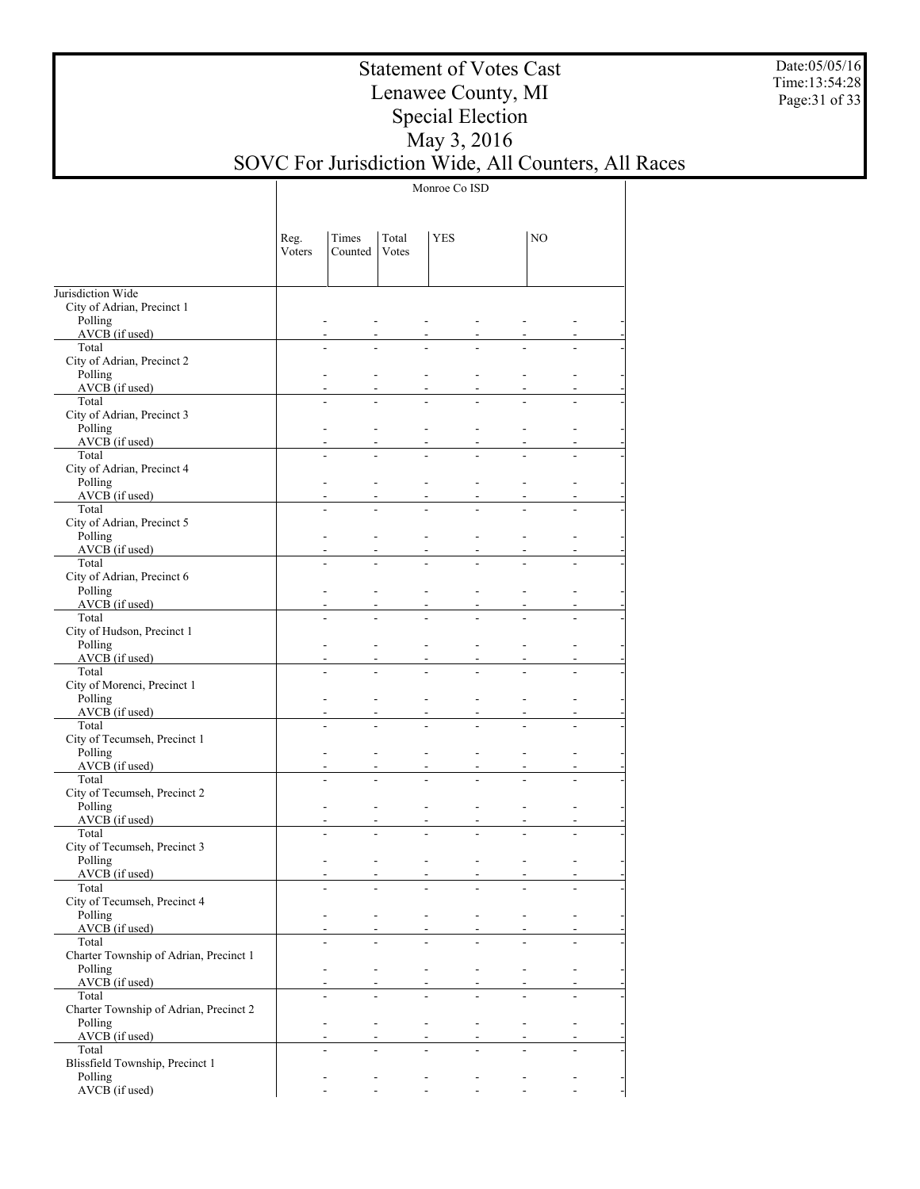Date:05/05/16 Time:13:54:28 Page:31 of 33

## Statement of Votes Cast Lenawee County, MI Special Election May 3, 2016 SOVC For Jurisdiction Wide, All Counters, All Races

Monroe Co ISD

|                                                 | Reg.<br>Voters | Times<br>Counted                                     | Total<br>Votes           | <b>YES</b>                   |                                                                                  | NO            |                                                       |
|-------------------------------------------------|----------------|------------------------------------------------------|--------------------------|------------------------------|----------------------------------------------------------------------------------|---------------|-------------------------------------------------------|
| Jurisdiction Wide<br>City of Adrian, Precinct 1 |                |                                                      |                          |                              |                                                                                  |               |                                                       |
| Polling<br>AVCB (if used)                       |                |                                                      |                          |                              |                                                                                  |               |                                                       |
| Total                                           |                |                                                      |                          |                              |                                                                                  |               |                                                       |
| City of Adrian, Precinct 2                      |                |                                                      |                          |                              |                                                                                  |               |                                                       |
| Polling<br>$AVCB$ (if used)                     |                |                                                      |                          |                              |                                                                                  |               |                                                       |
| Total                                           |                |                                                      |                          |                              |                                                                                  |               |                                                       |
| City of Adrian, Precinct 3<br>Polling           |                |                                                      |                          |                              |                                                                                  |               |                                                       |
| AVCB (if used)                                  |                |                                                      |                          |                              |                                                                                  |               |                                                       |
| Total<br>City of Adrian, Precinct 4             |                |                                                      |                          |                              |                                                                                  |               |                                                       |
| Polling                                         |                |                                                      |                          |                              |                                                                                  |               |                                                       |
| AVCB (if used)<br>Total                         |                |                                                      |                          |                              |                                                                                  |               |                                                       |
| City of Adrian, Precinct 5                      |                |                                                      |                          |                              |                                                                                  |               |                                                       |
| Polling                                         |                |                                                      |                          |                              |                                                                                  |               |                                                       |
| AVCB (if used)<br>Total                         |                |                                                      |                          |                              |                                                                                  |               |                                                       |
| City of Adrian, Precinct 6                      |                |                                                      |                          |                              |                                                                                  |               |                                                       |
| Polling<br>AVCB (if used)                       |                |                                                      |                          |                              |                                                                                  |               |                                                       |
| Total                                           |                |                                                      |                          |                              |                                                                                  |               |                                                       |
| City of Hudson, Precinct 1<br>Polling           |                |                                                      |                          |                              |                                                                                  |               |                                                       |
| AVCB (if used)                                  |                |                                                      |                          |                              |                                                                                  |               |                                                       |
| Total                                           |                |                                                      |                          |                              |                                                                                  |               |                                                       |
| City of Morenci, Precinct 1<br>Polling          |                |                                                      |                          |                              |                                                                                  |               |                                                       |
| AVCB (if used)                                  |                |                                                      |                          |                              |                                                                                  |               |                                                       |
| Total<br>City of Tecumseh, Precinct 1           |                |                                                      |                          |                              |                                                                                  |               |                                                       |
| Polling                                         |                |                                                      |                          |                              |                                                                                  |               |                                                       |
| AVCB (if used)<br>Total                         |                |                                                      |                          |                              |                                                                                  |               |                                                       |
| City of Tecumseh, Precinct 2                    |                |                                                      |                          |                              |                                                                                  |               |                                                       |
| Polling                                         |                |                                                      |                          |                              |                                                                                  |               |                                                       |
| AVCB (if used)<br>Total                         |                |                                                      |                          |                              |                                                                                  |               |                                                       |
| City of Tecumseh, Precinct 3                    |                |                                                      |                          |                              |                                                                                  |               |                                                       |
| Polling<br>AVCB (if used)                       |                |                                                      |                          |                              |                                                                                  |               |                                                       |
| Total                                           |                |                                                      |                          |                              |                                                                                  |               |                                                       |
| City of Tecumseh, Precinct 4<br>Polling         |                | $\blacksquare$                                       | $\sim 100$               | $\sim$                       | $\blacksquare$<br>$\blacksquare$                                                 |               |                                                       |
| $AVCB$ (if used)                                |                |                                                      |                          |                              |                                                                                  |               |                                                       |
| Total<br>Charter Township of Adrian, Precinct 1 |                |                                                      |                          |                              |                                                                                  |               |                                                       |
| Polling                                         |                | $\blacksquare$                                       | $\blacksquare$           | $\mathcal{L}^{\pm}$          | $\mathcal{L}$<br>$\blacksquare$                                                  | $\frac{1}{2}$ |                                                       |
| $AVCB$ (if used)                                |                |                                                      |                          |                              |                                                                                  |               |                                                       |
| Total<br>Charter Township of Adrian, Precinct 2 |                |                                                      |                          |                              |                                                                                  |               |                                                       |
| Polling                                         |                | $\blacksquare$                                       | $\blacksquare$           | ÷.                           | $\mathcal{L}^{\mathcal{A}}$<br>$\mathbf{r}$                                      |               | $\overline{\phantom{a}}$                              |
| $AVCB$ (if used)<br>Total                       |                |                                                      |                          |                              |                                                                                  |               |                                                       |
| Blissfield Township, Precinct 1                 |                |                                                      |                          |                              |                                                                                  |               |                                                       |
| Polling<br>AVCB (if used)                       |                | $\overline{\phantom{a}}$<br>$\overline{\phantom{a}}$ | $\blacksquare$<br>$\sim$ | $\blacksquare$<br>$\omega$ . | $\blacksquare$<br>$\blacksquare$<br>$\mathcal{L}^{\mathcal{A}}$<br>$\mathcal{L}$ |               | $\overline{\phantom{a}}$<br>$\mathbb{Z}^{\mathbb{Z}}$ |
|                                                 |                |                                                      |                          |                              |                                                                                  |               |                                                       |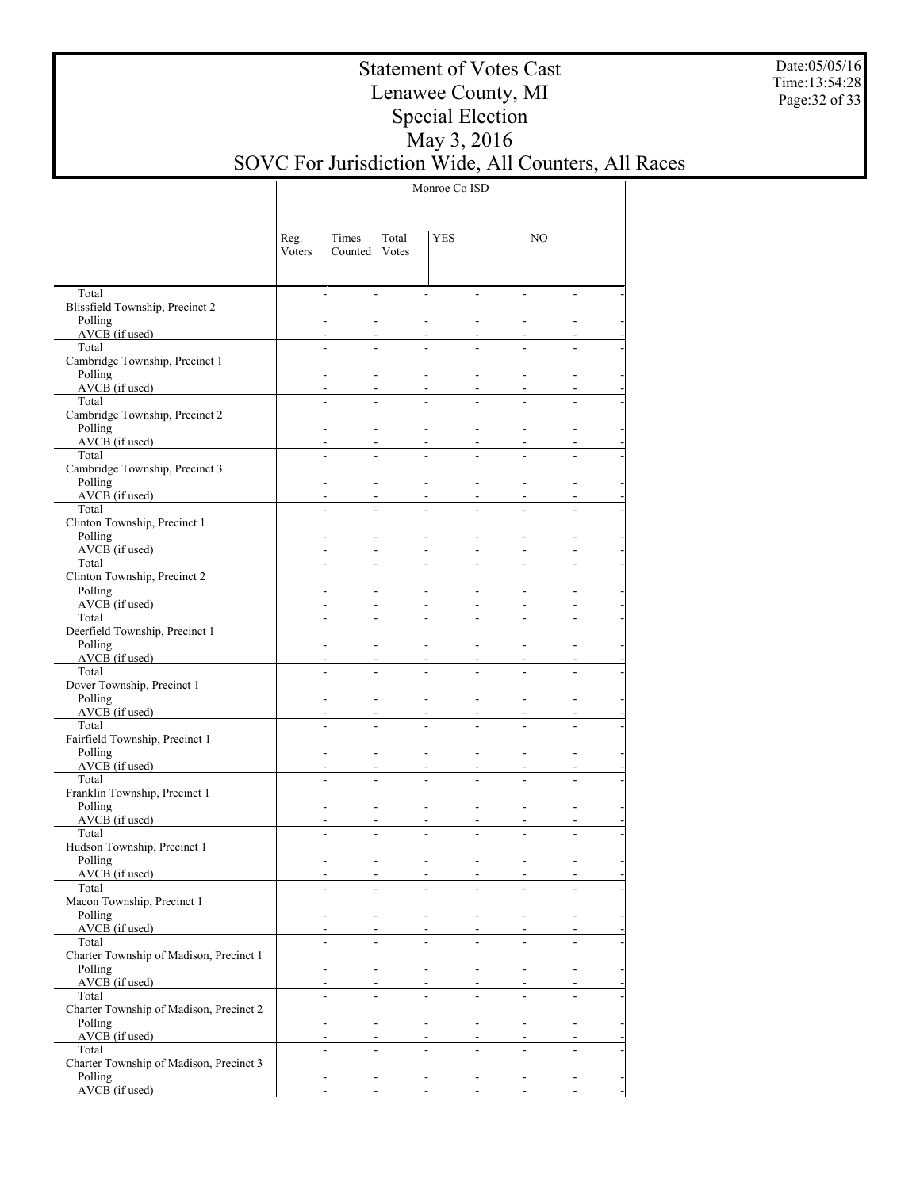Date:05/05/16 Time:13:54:28 Page:32 of 33

## Statement of Votes Cast Lenawee County, MI Special Election May 3, 2016 SOVC For Jurisdiction Wide, All Counters, All Races

Monroe Co ISD

|                                                  | Reg.<br>Voters | Times<br>Counted                   | Total<br>Votes      | YES                       |                                                      | NO                       |                          |
|--------------------------------------------------|----------------|------------------------------------|---------------------|---------------------------|------------------------------------------------------|--------------------------|--------------------------|
|                                                  |                |                                    |                     |                           |                                                      |                          |                          |
| Total                                            | $\sim$         |                                    | $\mathbf{r}$        | $\overline{a}$            | $\overline{a}$<br>÷                                  |                          | ÷.                       |
| Blissfield Township, Precinct 2<br>Polling       | $\sim$         |                                    |                     |                           |                                                      |                          |                          |
| AVCB (if used)                                   |                |                                    |                     |                           |                                                      |                          |                          |
| Total                                            |                |                                    |                     |                           |                                                      |                          |                          |
| Cambridge Township, Precinct 1                   |                |                                    |                     |                           |                                                      |                          |                          |
| Polling<br>$AVCB$ (if used)                      | ÷              |                                    |                     |                           | ٠<br>÷                                               |                          |                          |
| Total                                            | $\overline{a}$ |                                    |                     |                           |                                                      |                          |                          |
| Cambridge Township, Precinct 2                   |                |                                    |                     |                           |                                                      |                          |                          |
| Polling                                          | ÷              | ÷                                  |                     | ÷                         | ٠<br>÷                                               |                          |                          |
| $AVCB$ (if used)<br>Total                        | $\overline{a}$ |                                    |                     |                           | ٠                                                    |                          |                          |
| Cambridge Township, Precinct 3                   |                |                                    |                     |                           |                                                      |                          |                          |
| Polling                                          | ÷              | ÷                                  |                     | ÷                         | ٠<br>÷                                               |                          |                          |
| $AVCB$ (if used)                                 |                |                                    |                     |                           | ٠                                                    |                          |                          |
| Total<br>Clinton Township, Precinct 1            | $\overline{a}$ |                                    |                     |                           |                                                      |                          |                          |
| Polling                                          | ÷              | ÷                                  |                     | ÷                         | ٠<br>÷                                               |                          |                          |
| $AVCB$ (if used)                                 |                |                                    |                     |                           | ٠                                                    |                          |                          |
| Total                                            | $\overline{a}$ |                                    |                     |                           |                                                      |                          |                          |
| Clinton Township, Precinct 2<br>Polling          | $\sim$         | ÷                                  |                     | ÷                         | ÷                                                    |                          |                          |
| $AVCB$ (if used)                                 | $\blacksquare$ |                                    |                     |                           |                                                      |                          |                          |
| Total                                            |                |                                    |                     |                           |                                                      |                          |                          |
| Deerfield Township, Precinct 1                   |                |                                    |                     |                           |                                                      |                          |                          |
| Polling<br>$AVCB$ (if used)                      | ÷              | ÷                                  |                     | ÷                         | ٠                                                    |                          |                          |
| Total                                            | $\overline{a}$ |                                    |                     |                           |                                                      |                          |                          |
| Dover Township, Precinct 1                       |                |                                    |                     |                           |                                                      |                          |                          |
| Polling                                          | ÷              |                                    |                     | ÷                         | ٠                                                    |                          |                          |
| AVCB (if used)<br>Total                          | $\overline{a}$ |                                    |                     |                           |                                                      |                          |                          |
| Fairfield Township, Precinct 1                   |                |                                    |                     |                           |                                                      |                          |                          |
| Polling                                          | ÷              |                                    |                     | ÷                         | ÷                                                    |                          |                          |
| $AVCB$ (if used)                                 | $\blacksquare$ |                                    |                     |                           |                                                      |                          |                          |
| Total<br>Franklin Township, Precinct 1           | $\overline{a}$ |                                    |                     |                           |                                                      |                          |                          |
| Polling                                          | $\sim$         |                                    |                     | ÷                         | ÷                                                    |                          | ÷.                       |
| $AVCB$ (if used)                                 | $\sim$         |                                    |                     |                           |                                                      |                          |                          |
| Total                                            |                |                                    |                     |                           |                                                      |                          |                          |
| Hudson Township, Precinct 1<br>Polling           | $\blacksquare$ |                                    |                     | ÷                         | ٠                                                    |                          |                          |
| AVCB (if used)                                   |                | $\blacksquare$                     | ۰                   | $\overline{\phantom{a}}$  | $\overline{\phantom{a}}$<br>$\blacksquare$           |                          | ۰                        |
| Total                                            |                |                                    |                     | $\overline{\phantom{a}}$  | $\overline{\phantom{a}}$<br>$\overline{\phantom{a}}$ |                          |                          |
| Macon Township, Precinct 1                       |                |                                    |                     |                           |                                                      |                          |                          |
| Polling<br>AVCB (if used)                        |                | $\sim$                             | $\sim 100$          | $\sim 100$<br>$\sim 100$  | $\sim$<br>$\sim$                                     | $\sim$                   | $\overline{\phantom{a}}$ |
| Total                                            |                |                                    |                     |                           |                                                      |                          |                          |
| Charter Township of Madison, Precinct 1          |                |                                    |                     |                           |                                                      |                          |                          |
| Polling                                          |                | $\sim$                             | $\sim$              | $\sim 100$                | $\sim$                                               | $\sim$                   | $\blacksquare$           |
| $AVCB$ (if used)<br>Total                        |                | $\sim$<br>$\overline{\phantom{a}}$ |                     | $\sim$                    | $\sim$                                               | $\sim$                   |                          |
| Charter Township of Madison, Precinct 2          |                |                                    |                     |                           |                                                      |                          |                          |
| Polling                                          |                | $\sim$                             | $\omega_{\rm{max}}$ | $\sim$                    | $\sim$                                               | $\sim$                   | $\blacksquare$           |
| $AVCB$ (if used)                                 |                | $\sim$                             |                     | $\sim$                    | $\sim$                                               | $\sim$                   |                          |
| Total<br>Charter Township of Madison, Precinct 3 |                | $\overline{\phantom{a}}$           |                     |                           |                                                      |                          | $\overline{a}$           |
| Polling                                          |                | $\blacksquare$                     | $\sim$              | $\sim$                    | $\overline{\phantom{a}}$<br>$\overline{\phantom{a}}$ |                          | $\overline{\phantom{a}}$ |
| AVCB (if used)                                   |                | $\mathbf{r}$                       | $\sim$              | $\mathbb{Z}^{\mathbb{Z}}$ | $\mathbf{r}$                                         | $\overline{\phantom{a}}$ | ÷.                       |